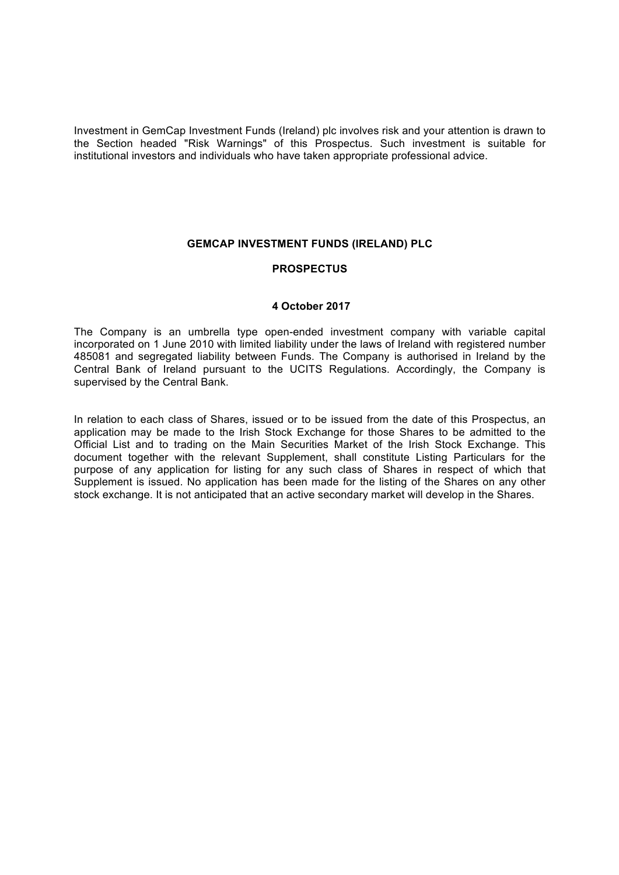Investment in GemCap Investment Funds (Ireland) plc involves risk and your attention is drawn to the Section headed "Risk Warnings" of this Prospectus. Such investment is suitable for institutional investors and individuals who have taken appropriate professional advice.

### **GEMCAP INVESTMENT FUNDS (IRELAND) PLC**

### **PROSPECTUS**

#### **4 October 2017**

The Company is an umbrella type open-ended investment company with variable capital incorporated on 1 June 2010 with limited liability under the laws of Ireland with registered number 485081 and segregated liability between Funds. The Company is authorised in Ireland by the Central Bank of Ireland pursuant to the UCITS Regulations. Accordingly, the Company is supervised by the Central Bank.

In relation to each class of Shares, issued or to be issued from the date of this Prospectus, an application may be made to the Irish Stock Exchange for those Shares to be admitted to the Official List and to trading on the Main Securities Market of the Irish Stock Exchange. This document together with the relevant Supplement, shall constitute Listing Particulars for the purpose of any application for listing for any such class of Shares in respect of which that Supplement is issued. No application has been made for the listing of the Shares on any other stock exchange. It is not anticipated that an active secondary market will develop in the Shares.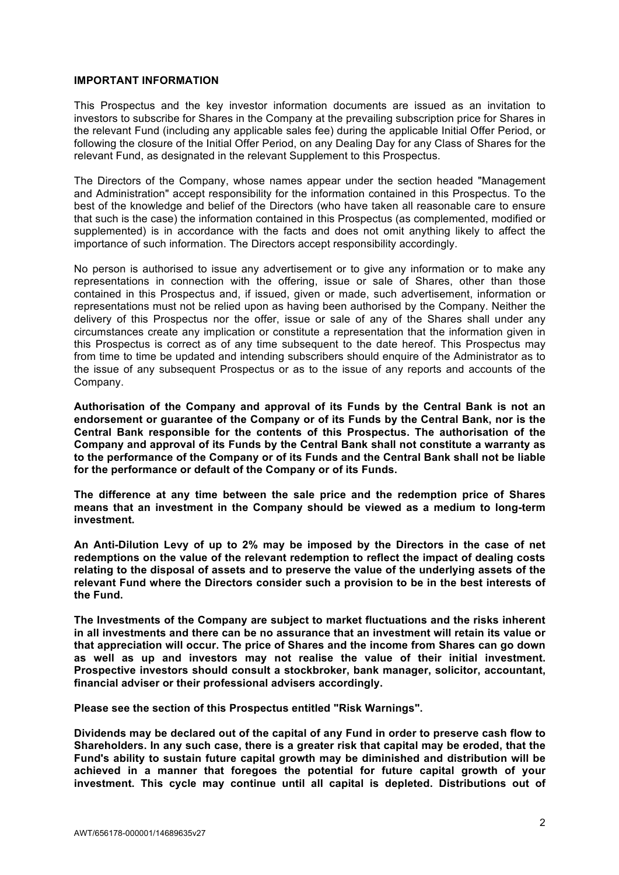#### **IMPORTANT INFORMATION**

This Prospectus and the key investor information documents are issued as an invitation to investors to subscribe for Shares in the Company at the prevailing subscription price for Shares in the relevant Fund (including any applicable sales fee) during the applicable Initial Offer Period, or following the closure of the Initial Offer Period, on any Dealing Day for any Class of Shares for the relevant Fund, as designated in the relevant Supplement to this Prospectus.

The Directors of the Company, whose names appear under the section headed "Management and Administration" accept responsibility for the information contained in this Prospectus. To the best of the knowledge and belief of the Directors (who have taken all reasonable care to ensure that such is the case) the information contained in this Prospectus (as complemented, modified or supplemented) is in accordance with the facts and does not omit anything likely to affect the importance of such information. The Directors accept responsibility accordingly.

No person is authorised to issue any advertisement or to give any information or to make any representations in connection with the offering, issue or sale of Shares, other than those contained in this Prospectus and, if issued, given or made, such advertisement, information or representations must not be relied upon as having been authorised by the Company. Neither the delivery of this Prospectus nor the offer, issue or sale of any of the Shares shall under any circumstances create any implication or constitute a representation that the information given in this Prospectus is correct as of any time subsequent to the date hereof. This Prospectus may from time to time be updated and intending subscribers should enquire of the Administrator as to the issue of any subsequent Prospectus or as to the issue of any reports and accounts of the Company.

**Authorisation of the Company and approval of its Funds by the Central Bank is not an endorsement or guarantee of the Company or of its Funds by the Central Bank, nor is the Central Bank responsible for the contents of this Prospectus. The authorisation of the Company and approval of its Funds by the Central Bank shall not constitute a warranty as to the performance of the Company or of its Funds and the Central Bank shall not be liable for the performance or default of the Company or of its Funds.**

**The difference at any time between the sale price and the redemption price of Shares means that an investment in the Company should be viewed as a medium to long-term investment.**

**An Anti-Dilution Levy of up to 2% may be imposed by the Directors in the case of net redemptions on the value of the relevant redemption to reflect the impact of dealing costs relating to the disposal of assets and to preserve the value of the underlying assets of the relevant Fund where the Directors consider such a provision to be in the best interests of the Fund.**

**The Investments of the Company are subject to market fluctuations and the risks inherent in all investments and there can be no assurance that an investment will retain its value or that appreciation will occur. The price of Shares and the income from Shares can go down as well as up and investors may not realise the value of their initial investment. Prospective investors should consult a stockbroker, bank manager, solicitor, accountant, financial adviser or their professional advisers accordingly.**

**Please see the section of this Prospectus entitled "Risk Warnings".**

**Dividends may be declared out of the capital of any Fund in order to preserve cash flow to Shareholders. In any such case, there is a greater risk that capital may be eroded, that the Fund's ability to sustain future capital growth may be diminished and distribution will be achieved in a manner that foregoes the potential for future capital growth of your investment. This cycle may continue until all capital is depleted. Distributions out of**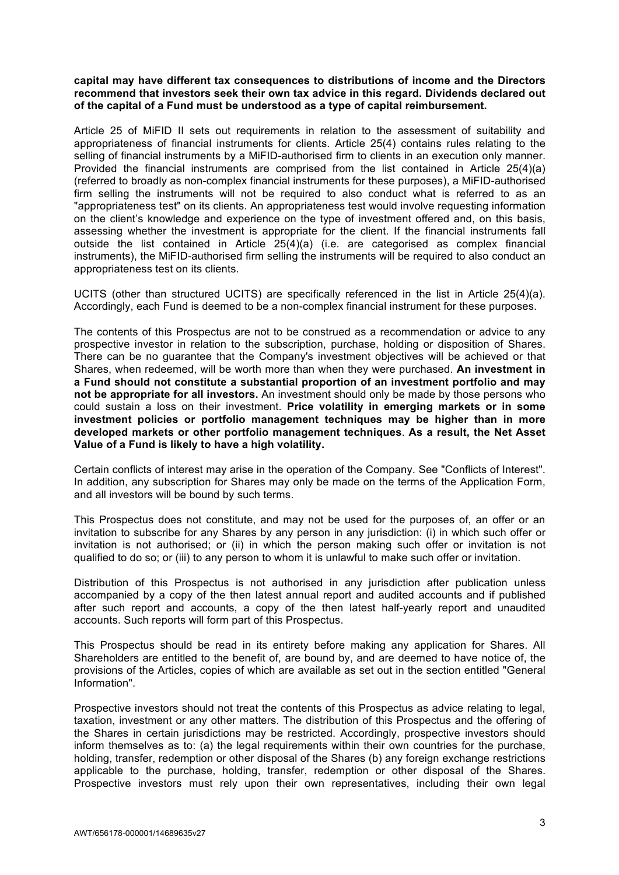## **capital may have different tax consequences to distributions of income and the Directors recommend that investors seek their own tax advice in this regard. Dividends declared out of the capital of a Fund must be understood as a type of capital reimbursement.**

Article 25 of MiFID II sets out requirements in relation to the assessment of suitability and appropriateness of financial instruments for clients. Article 25(4) contains rules relating to the selling of financial instruments by a MiFID-authorised firm to clients in an execution only manner. Provided the financial instruments are comprised from the list contained in Article 25(4)(a) (referred to broadly as non-complex financial instruments for these purposes), a MiFID-authorised firm selling the instruments will not be required to also conduct what is referred to as an "appropriateness test" on its clients. An appropriateness test would involve requesting information on the client's knowledge and experience on the type of investment offered and, on this basis, assessing whether the investment is appropriate for the client. If the financial instruments fall outside the list contained in Article 25(4)(a) (i.e. are categorised as complex financial instruments), the MiFID-authorised firm selling the instruments will be required to also conduct an appropriateness test on its clients.

UCITS (other than structured UCITS) are specifically referenced in the list in Article 25(4)(a). Accordingly, each Fund is deemed to be a non-complex financial instrument for these purposes.

The contents of this Prospectus are not to be construed as a recommendation or advice to any prospective investor in relation to the subscription, purchase, holding or disposition of Shares. There can be no guarantee that the Company's investment objectives will be achieved or that Shares, when redeemed, will be worth more than when they were purchased. **An investment in a Fund should not constitute a substantial proportion of an investment portfolio and may not be appropriate for all investors.** An investment should only be made by those persons who could sustain a loss on their investment. **Price volatility in emerging markets or in some investment policies or portfolio management techniques may be higher than in more developed markets or other portfolio management techniques**. **As a result, the Net Asset Value of a Fund is likely to have a high volatility.**

Certain conflicts of interest may arise in the operation of the Company. See "Conflicts of Interest". In addition, any subscription for Shares may only be made on the terms of the Application Form, and all investors will be bound by such terms.

This Prospectus does not constitute, and may not be used for the purposes of, an offer or an invitation to subscribe for any Shares by any person in any jurisdiction: (i) in which such offer or invitation is not authorised; or (ii) in which the person making such offer or invitation is not qualified to do so; or (iii) to any person to whom it is unlawful to make such offer or invitation.

Distribution of this Prospectus is not authorised in any jurisdiction after publication unless accompanied by a copy of the then latest annual report and audited accounts and if published after such report and accounts, a copy of the then latest half-yearly report and unaudited accounts. Such reports will form part of this Prospectus.

This Prospectus should be read in its entirety before making any application for Shares. All Shareholders are entitled to the benefit of, are bound by, and are deemed to have notice of, the provisions of the Articles, copies of which are available as set out in the section entitled "General Information".

Prospective investors should not treat the contents of this Prospectus as advice relating to legal, taxation, investment or any other matters. The distribution of this Prospectus and the offering of the Shares in certain jurisdictions may be restricted. Accordingly, prospective investors should inform themselves as to: (a) the legal requirements within their own countries for the purchase, holding, transfer, redemption or other disposal of the Shares (b) any foreign exchange restrictions applicable to the purchase, holding, transfer, redemption or other disposal of the Shares. Prospective investors must rely upon their own representatives, including their own legal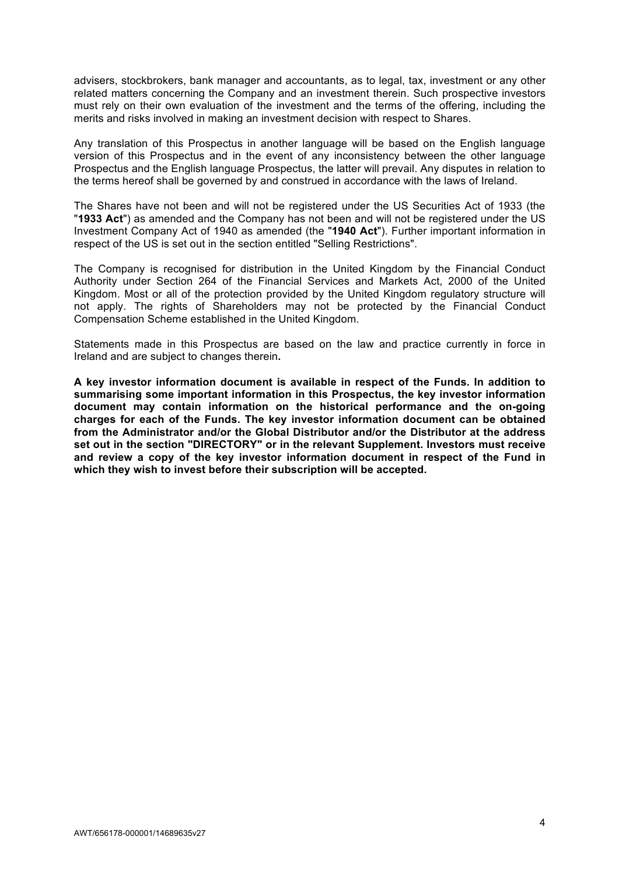advisers, stockbrokers, bank manager and accountants, as to legal, tax, investment or any other related matters concerning the Company and an investment therein. Such prospective investors must rely on their own evaluation of the investment and the terms of the offering, including the merits and risks involved in making an investment decision with respect to Shares.

Any translation of this Prospectus in another language will be based on the English language version of this Prospectus and in the event of any inconsistency between the other language Prospectus and the English language Prospectus, the latter will prevail. Any disputes in relation to the terms hereof shall be governed by and construed in accordance with the laws of Ireland.

The Shares have not been and will not be registered under the US Securities Act of 1933 (the "**1933 Act**") as amended and the Company has not been and will not be registered under the US Investment Company Act of 1940 as amended (the "**1940 Act**"). Further important information in respect of the US is set out in the section entitled "Selling Restrictions".

The Company is recognised for distribution in the United Kingdom by the Financial Conduct Authority under Section 264 of the Financial Services and Markets Act, 2000 of the United Kingdom. Most or all of the protection provided by the United Kingdom regulatory structure will not apply. The rights of Shareholders may not be protected by the Financial Conduct Compensation Scheme established in the United Kingdom.

Statements made in this Prospectus are based on the law and practice currently in force in Ireland and are subject to changes therein**.**

**A key investor information document is available in respect of the Funds. In addition to summarising some important information in this Prospectus, the key investor information document may contain information on the historical performance and the on-going charges for each of the Funds. The key investor information document can be obtained from the Administrator and/or the Global Distributor and/or the Distributor at the address set out in the section "DIRECTORY" or in the relevant Supplement. Investors must receive and review a copy of the key investor information document in respect of the Fund in which they wish to invest before their subscription will be accepted.**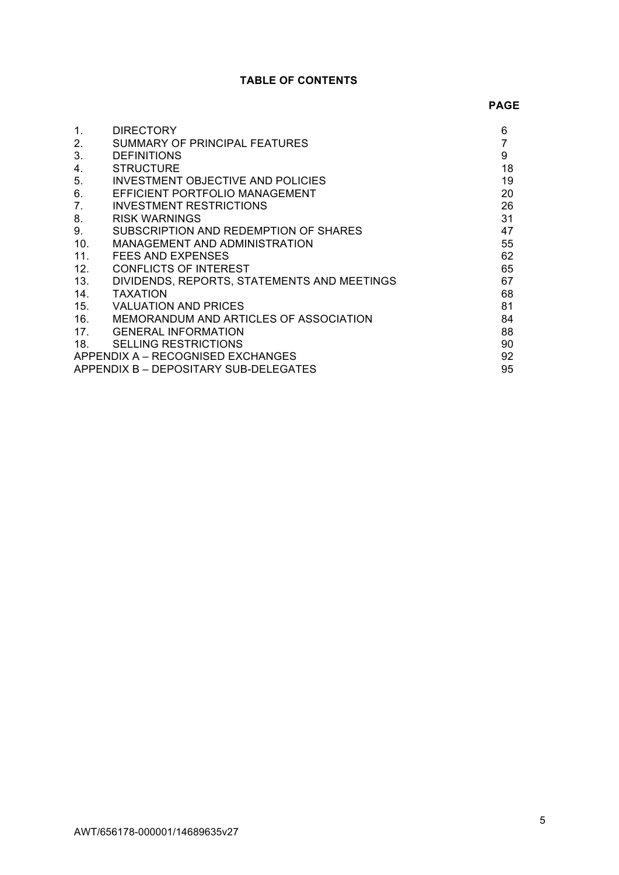# **TABLE OF CONTENTS**

### **PAGE**

| 1.                                          | <b>DIRECTORY</b>                            | 6  |
|---------------------------------------------|---------------------------------------------|----|
| 2.                                          | SUMMARY OF PRINCIPAL FEATURES               | 7  |
| 3.                                          | <b>DEFINITIONS</b>                          | 9  |
| 4.                                          | <b>STRUCTURE</b>                            | 18 |
| 5.                                          | INVESTMENT OBJECTIVE AND POLICIES           | 19 |
| 6.                                          | EFFICIENT PORTFOLIO MANAGEMENT              | 20 |
| 7.                                          | INVESTMENT RESTRICTIONS                     | 26 |
| 8.                                          | <b>RISK WARNINGS</b>                        | 31 |
| 9.                                          | SUBSCRIPTION AND REDEMPTION OF SHARES       | 47 |
| 10.                                         | MANAGEMENT AND ADMINISTRATION               | 55 |
| 11 <sub>1</sub>                             | FEES AND EXPENSES                           | 62 |
| 12.                                         | <b>CONFLICTS OF INTEREST</b>                | 65 |
| 13.                                         | DIVIDENDS, REPORTS, STATEMENTS AND MEETINGS | 67 |
| 14.                                         | <b>TAXATION</b>                             | 68 |
| 15.                                         | <b>VALUATION AND PRICES</b>                 | 81 |
| 16.                                         | MEMORANDUM AND ARTICLES OF ASSOCIATION      | 84 |
| 17 <sub>1</sub>                             | <b>GENERAL INFORMATION</b>                  | 88 |
| 18.                                         | <b>SELLING RESTRICTIONS</b>                 | 90 |
| 92<br>APPENDIX A - RECOGNISED EXCHANGES     |                                             |    |
| 95<br>APPENDIX B - DEPOSITARY SUB-DELEGATES |                                             |    |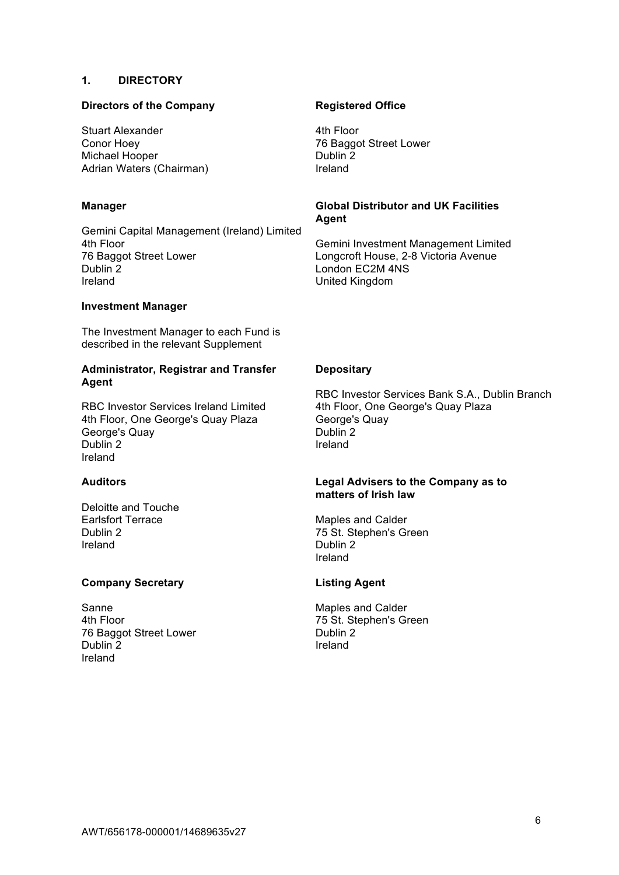## **1. DIRECTORY**

## **Directors of the Company**

Stuart Alexander Conor Hoey Michael Hooper Adrian Waters (Chairman)

### **Manager**

Gemini Capital Management (Ireland) Limited 4th Floor 76 Baggot Street Lower Dublin 2 Ireland

#### **Investment Manager**

The Investment Manager to each Fund is described in the relevant Supplement

### **Administrator, Registrar and Transfer Agent**

RBC Investor Services Ireland Limited 4th Floor, One George's Quay Plaza George's Quay Dublin 2 Ireland

# **Auditors**

Deloitte and Touche Earlsfort Terrace Dublin 2 Ireland

## **Company Secretary**

Sanne 4th Floor 76 Baggot Street Lower Dublin 2 Ireland

### **Registered Office**

4th Floor 76 Baggot Street Lower Dublin 2 Ireland

# **Global Distributor and UK Facilities Agent**

Gemini Investment Management Limited Longcroft House, 2-8 Victoria Avenue London EC2M 4NS United Kingdom

# **Depositary**

RBC Investor Services Bank S.A., Dublin Branch 4th Floor, One George's Quay Plaza George's Quay Dublin 2 Ireland

#### **Legal Advisers to the Company as to matters of Irish law**

Maples and Calder 75 St. Stephen's Green Dublin 2 Ireland

#### **Listing Agent**

Maples and Calder 75 St. Stephen's Green Dublin 2 Ireland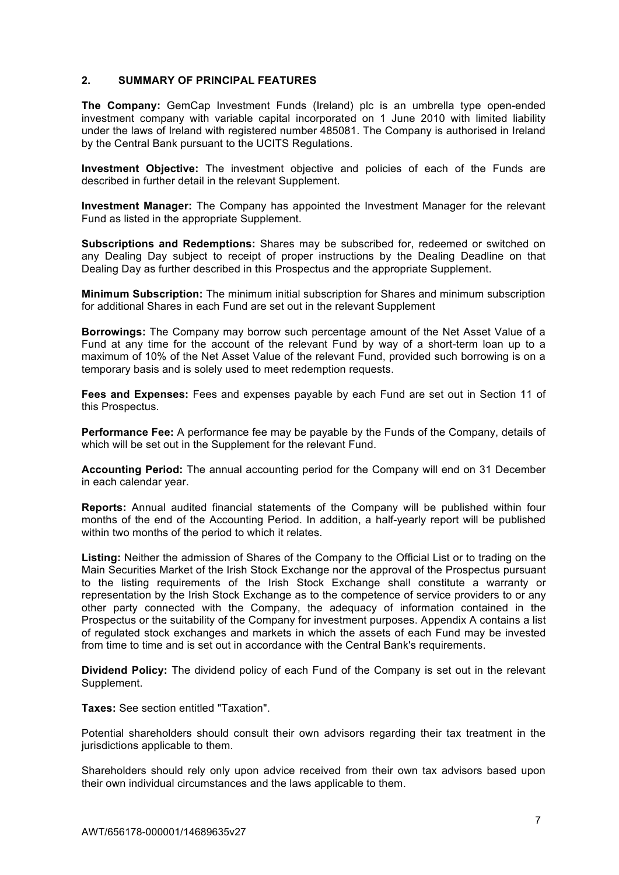## **2. SUMMARY OF PRINCIPAL FEATURES**

**The Company:** GemCap Investment Funds (Ireland) plc is an umbrella type open-ended investment company with variable capital incorporated on 1 June 2010 with limited liability under the laws of Ireland with registered number 485081. The Company is authorised in Ireland by the Central Bank pursuant to the UCITS Regulations.

**Investment Objective:** The investment objective and policies of each of the Funds are described in further detail in the relevant Supplement.

**Investment Manager:** The Company has appointed the Investment Manager for the relevant Fund as listed in the appropriate Supplement.

**Subscriptions and Redemptions:** Shares may be subscribed for, redeemed or switched on any Dealing Day subject to receipt of proper instructions by the Dealing Deadline on that Dealing Day as further described in this Prospectus and the appropriate Supplement.

**Minimum Subscription:** The minimum initial subscription for Shares and minimum subscription for additional Shares in each Fund are set out in the relevant Supplement

**Borrowings:** The Company may borrow such percentage amount of the Net Asset Value of a Fund at any time for the account of the relevant Fund by way of a short-term loan up to a maximum of 10% of the Net Asset Value of the relevant Fund, provided such borrowing is on a temporary basis and is solely used to meet redemption requests.

**Fees and Expenses:** Fees and expenses payable by each Fund are set out in Section 11 of this Prospectus.

**Performance Fee:** A performance fee may be payable by the Funds of the Company, details of which will be set out in the Supplement for the relevant Fund.

**Accounting Period:** The annual accounting period for the Company will end on 31 December in each calendar year.

**Reports:** Annual audited financial statements of the Company will be published within four months of the end of the Accounting Period. In addition, a half-yearly report will be published within two months of the period to which it relates.

**Listing:** Neither the admission of Shares of the Company to the Official List or to trading on the Main Securities Market of the Irish Stock Exchange nor the approval of the Prospectus pursuant to the listing requirements of the Irish Stock Exchange shall constitute a warranty or representation by the Irish Stock Exchange as to the competence of service providers to or any other party connected with the Company, the adequacy of information contained in the Prospectus or the suitability of the Company for investment purposes. Appendix A contains a list of regulated stock exchanges and markets in which the assets of each Fund may be invested from time to time and is set out in accordance with the Central Bank's requirements.

**Dividend Policy:** The dividend policy of each Fund of the Company is set out in the relevant Supplement.

**Taxes:** See section entitled "Taxation".

Potential shareholders should consult their own advisors regarding their tax treatment in the jurisdictions applicable to them.

Shareholders should rely only upon advice received from their own tax advisors based upon their own individual circumstances and the laws applicable to them.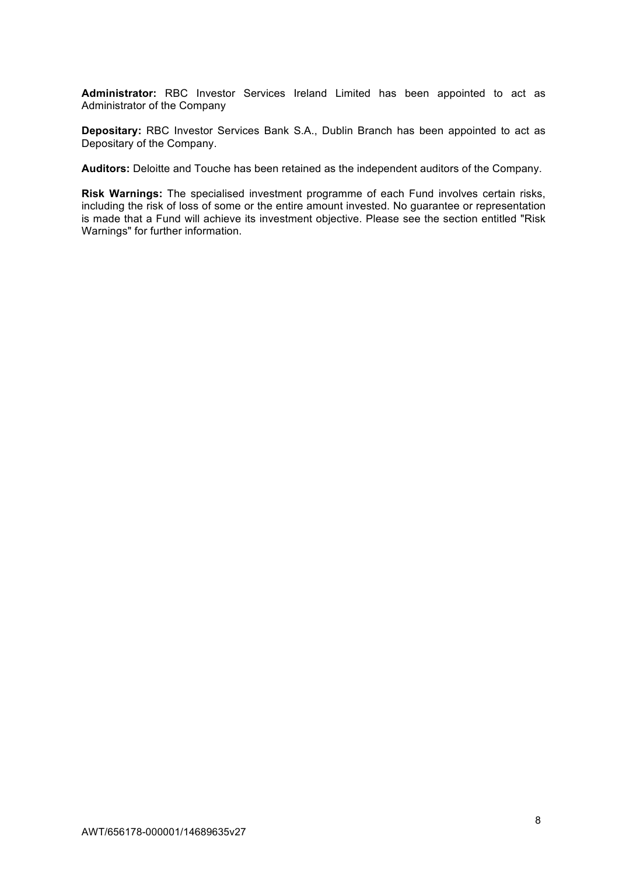**Administrator:** RBC Investor Services Ireland Limited has been appointed to act as Administrator of the Company

**Depositary:** RBC Investor Services Bank S.A., Dublin Branch has been appointed to act as Depositary of the Company.

**Auditors:** Deloitte and Touche has been retained as the independent auditors of the Company.

**Risk Warnings:** The specialised investment programme of each Fund involves certain risks, including the risk of loss of some or the entire amount invested. No guarantee or representation is made that a Fund will achieve its investment objective. Please see the section entitled "Risk Warnings" for further information.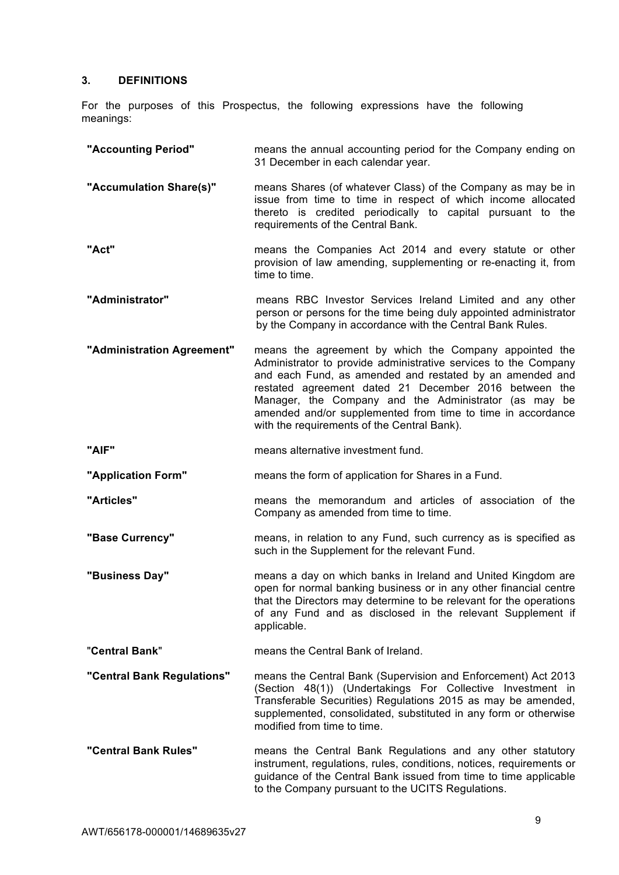# **3. DEFINITIONS**

For the purposes of this Prospectus, the following expressions have the following meanings:

| "Accounting Period"        | means the annual accounting period for the Company ending on<br>31 December in each calendar year.                                                                                                                                                                                                                                                                                                                    |
|----------------------------|-----------------------------------------------------------------------------------------------------------------------------------------------------------------------------------------------------------------------------------------------------------------------------------------------------------------------------------------------------------------------------------------------------------------------|
| "Accumulation Share(s)"    | means Shares (of whatever Class) of the Company as may be in<br>issue from time to time in respect of which income allocated<br>thereto is credited periodically to capital pursuant to the<br>requirements of the Central Bank.                                                                                                                                                                                      |
| "Act"                      | means the Companies Act 2014 and every statute or other<br>provision of law amending, supplementing or re-enacting it, from<br>time to time.                                                                                                                                                                                                                                                                          |
| "Administrator"            | means RBC Investor Services Ireland Limited and any other<br>person or persons for the time being duly appointed administrator<br>by the Company in accordance with the Central Bank Rules.                                                                                                                                                                                                                           |
| "Administration Agreement" | means the agreement by which the Company appointed the<br>Administrator to provide administrative services to the Company<br>and each Fund, as amended and restated by an amended and<br>restated agreement dated 21 December 2016 between the<br>Manager, the Company and the Administrator (as may be<br>amended and/or supplemented from time to time in accordance<br>with the requirements of the Central Bank). |
| "AIF"                      | means alternative investment fund.                                                                                                                                                                                                                                                                                                                                                                                    |
| "Application Form"         | means the form of application for Shares in a Fund.                                                                                                                                                                                                                                                                                                                                                                   |
| "Articles"                 | means the memorandum and articles of association of the<br>Company as amended from time to time.                                                                                                                                                                                                                                                                                                                      |
| "Base Currency"            | means, in relation to any Fund, such currency as is specified as<br>such in the Supplement for the relevant Fund.                                                                                                                                                                                                                                                                                                     |
| "Business Day"             | means a day on which banks in Ireland and United Kingdom are<br>open for normal banking business or in any other financial centre<br>that the Directors may determine to be relevant for the operations<br>of any Fund and as disclosed in the relevant Supplement if<br>applicable.                                                                                                                                  |
| "Central Bank"             | means the Central Bank of Ireland.                                                                                                                                                                                                                                                                                                                                                                                    |
| "Central Bank Regulations" | means the Central Bank (Supervision and Enforcement) Act 2013<br>(Section 48(1)) (Undertakings For Collective Investment in<br>Transferable Securities) Regulations 2015 as may be amended,<br>supplemented, consolidated, substituted in any form or otherwise<br>modified from time to time.                                                                                                                        |
| "Central Bank Rules"       | means the Central Bank Regulations and any other statutory<br>instrument, regulations, rules, conditions, notices, requirements or<br>guidance of the Central Bank issued from time to time applicable<br>to the Company pursuant to the UCITS Regulations.                                                                                                                                                           |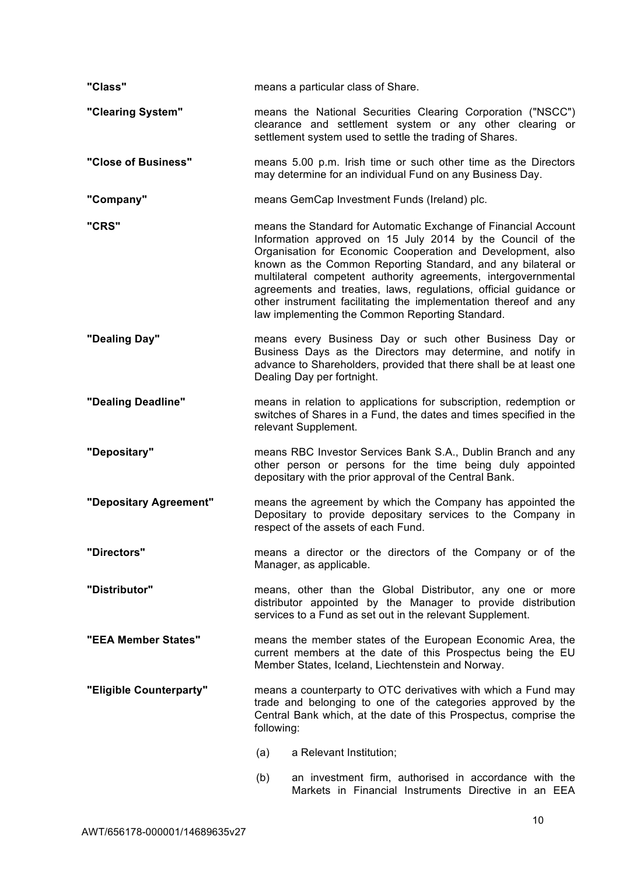| "Class"                 | means a particular class of Share.                                                                                                                                                                                                                                                                                                                                                                                                                                                                                       |
|-------------------------|--------------------------------------------------------------------------------------------------------------------------------------------------------------------------------------------------------------------------------------------------------------------------------------------------------------------------------------------------------------------------------------------------------------------------------------------------------------------------------------------------------------------------|
| "Clearing System"       | means the National Securities Clearing Corporation ("NSCC")<br>clearance and settlement system or any other clearing or<br>settlement system used to settle the trading of Shares.                                                                                                                                                                                                                                                                                                                                       |
| "Close of Business"     | means 5.00 p.m. Irish time or such other time as the Directors<br>may determine for an individual Fund on any Business Day.                                                                                                                                                                                                                                                                                                                                                                                              |
| "Company"               | means GemCap Investment Funds (Ireland) plc.                                                                                                                                                                                                                                                                                                                                                                                                                                                                             |
| "CRS"                   | means the Standard for Automatic Exchange of Financial Account<br>Information approved on 15 July 2014 by the Council of the<br>Organisation for Economic Cooperation and Development, also<br>known as the Common Reporting Standard, and any bilateral or<br>multilateral competent authority agreements, intergovernmental<br>agreements and treaties, laws, regulations, official guidance or<br>other instrument facilitating the implementation thereof and any<br>law implementing the Common Reporting Standard. |
| "Dealing Day"           | means every Business Day or such other Business Day or<br>Business Days as the Directors may determine, and notify in<br>advance to Shareholders, provided that there shall be at least one<br>Dealing Day per fortnight.                                                                                                                                                                                                                                                                                                |
| "Dealing Deadline"      | means in relation to applications for subscription, redemption or<br>switches of Shares in a Fund, the dates and times specified in the<br>relevant Supplement.                                                                                                                                                                                                                                                                                                                                                          |
| "Depositary"            | means RBC Investor Services Bank S.A., Dublin Branch and any<br>other person or persons for the time being duly appointed<br>depositary with the prior approval of the Central Bank.                                                                                                                                                                                                                                                                                                                                     |
| "Depositary Agreement"  | means the agreement by which the Company has appointed the<br>Depositary to provide depositary services to the Company in<br>respect of the assets of each Fund.                                                                                                                                                                                                                                                                                                                                                         |
| "Directors"             | means a director or the directors of the Company or of the<br>Manager, as applicable.                                                                                                                                                                                                                                                                                                                                                                                                                                    |
| "Distributor"           | means, other than the Global Distributor, any one or more<br>distributor appointed by the Manager to provide distribution<br>services to a Fund as set out in the relevant Supplement.                                                                                                                                                                                                                                                                                                                                   |
| "EEA Member States"     | means the member states of the European Economic Area, the<br>current members at the date of this Prospectus being the EU<br>Member States, Iceland, Liechtenstein and Norway.                                                                                                                                                                                                                                                                                                                                           |
| "Eligible Counterparty" | means a counterparty to OTC derivatives with which a Fund may<br>trade and belonging to one of the categories approved by the<br>Central Bank which, at the date of this Prospectus, comprise the<br>following:                                                                                                                                                                                                                                                                                                          |
|                         | a Relevant Institution;<br>(a)                                                                                                                                                                                                                                                                                                                                                                                                                                                                                           |
|                         | an investment firm, authorised in accordance with the<br>(b)<br>Markets in Financial Instruments Directive in an EEA                                                                                                                                                                                                                                                                                                                                                                                                     |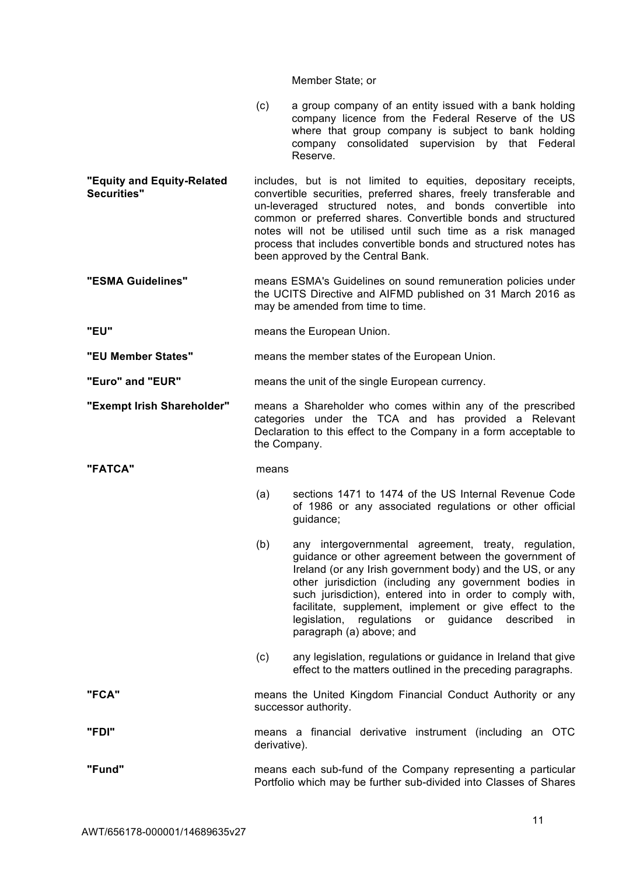#### Member State; or

- (c) a group company of an entity issued with a bank holding company licence from the Federal Reserve of the US where that group company is subject to bank holding company consolidated supervision by that Federal Reserve.
- **"Equity and Equity-Related Securities"** includes, but is not limited to equities, depositary receipts, convertible securities, preferred shares, freely transferable and un-leveraged structured notes, and bonds convertible into common or preferred shares. Convertible bonds and structured notes will not be utilised until such time as a risk managed process that includes convertible bonds and structured notes has been approved by the Central Bank.
- **"ESMA Guidelines"** means ESMA's Guidelines on sound remuneration policies under the UCITS Directive and AIFMD published on 31 March 2016 as may be amended from time to time.
- **"EU"** means the European Union.
- **"EU Member States"** means the member states of the European Union.
- **"Euro" and "EUR"** means the unit of the single European currency.
- **"Exempt Irish Shareholder"** means a Shareholder who comes within any of the prescribed categories under the TCA and has provided a Relevant Declaration to this effect to the Company in a form acceptable to the Company.

**"FATCA"** means

- 
- (a) sections 1471 to 1474 of the US Internal Revenue Code of 1986 or any associated regulations or other official guidance;
- (b) any intergovernmental agreement, treaty, regulation, guidance or other agreement between the government of Ireland (or any Irish government body) and the US, or any other jurisdiction (including any government bodies in such jurisdiction), entered into in order to comply with, facilitate, supplement, implement or give effect to the legislation, regulations or guidance described in paragraph (a) above; and
- (c) any legislation, regulations or guidance in Ireland that give effect to the matters outlined in the preceding paragraphs.
- **"FCA"** means the United Kingdom Financial Conduct Authority or any successor authority.
- **"FDI"** means a financial derivative instrument (including an OTC derivative).
- **"Fund"** means each sub-fund of the Company representing a particular Portfolio which may be further sub-divided into Classes of Shares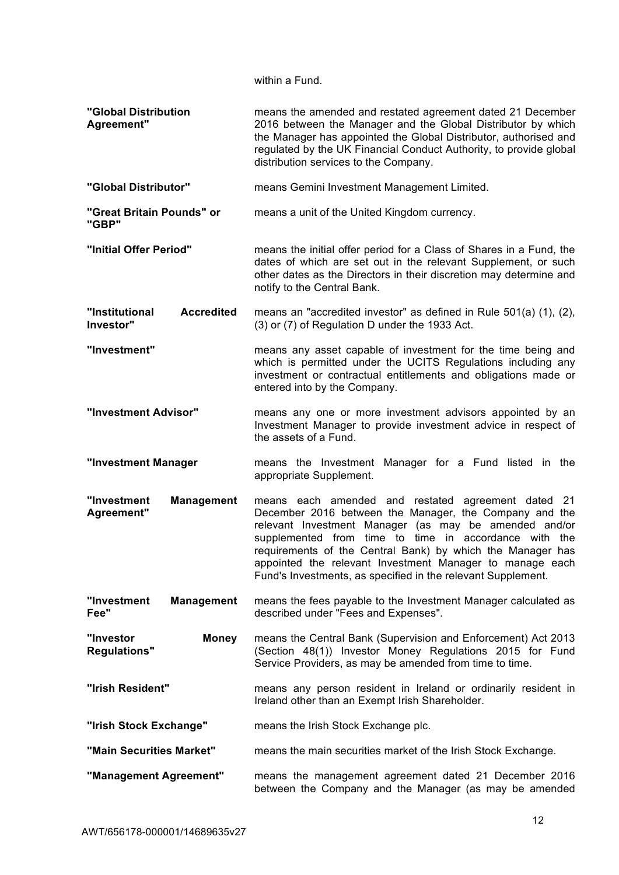within a Fund.

| "Global Distribution<br>Agreement"               | means the amended and restated agreement dated 21 December<br>2016 between the Manager and the Global Distributor by which<br>the Manager has appointed the Global Distributor, authorised and<br>regulated by the UK Financial Conduct Authority, to provide global<br>distribution services to the Company.                                                                                                            |
|--------------------------------------------------|--------------------------------------------------------------------------------------------------------------------------------------------------------------------------------------------------------------------------------------------------------------------------------------------------------------------------------------------------------------------------------------------------------------------------|
| "Global Distributor"                             | means Gemini Investment Management Limited.                                                                                                                                                                                                                                                                                                                                                                              |
| "Great Britain Pounds" or<br>"GBP"               | means a unit of the United Kingdom currency.                                                                                                                                                                                                                                                                                                                                                                             |
| "Initial Offer Period"                           | means the initial offer period for a Class of Shares in a Fund, the<br>dates of which are set out in the relevant Supplement, or such<br>other dates as the Directors in their discretion may determine and<br>notify to the Central Bank.                                                                                                                                                                               |
| "Institutional<br><b>Accredited</b><br>Investor" | means an "accredited investor" as defined in Rule 501(a) (1), (2),<br>(3) or (7) of Regulation D under the 1933 Act.                                                                                                                                                                                                                                                                                                     |
| "Investment"                                     | means any asset capable of investment for the time being and<br>which is permitted under the UCITS Regulations including any<br>investment or contractual entitlements and obligations made or<br>entered into by the Company.                                                                                                                                                                                           |
| "Investment Advisor"                             | means any one or more investment advisors appointed by an<br>Investment Manager to provide investment advice in respect of<br>the assets of a Fund.                                                                                                                                                                                                                                                                      |
| "Investment Manager                              | means the Investment Manager for a Fund listed in the<br>appropriate Supplement.                                                                                                                                                                                                                                                                                                                                         |
| <b>Management</b><br>"Investment<br>Agreement"   | means each amended and restated agreement dated 21<br>December 2016 between the Manager, the Company and the<br>relevant Investment Manager (as may be amended and/or<br>supplemented from time to time in accordance with the<br>requirements of the Central Bank) by which the Manager has<br>appointed the relevant Investment Manager to manage each<br>Fund's Investments, as specified in the relevant Supplement. |
| "Investment<br><b>Management</b><br>Fee"         | means the fees payable to the Investment Manager calculated as<br>described under "Fees and Expenses".                                                                                                                                                                                                                                                                                                                   |
| "Investor<br><b>Money</b><br><b>Regulations"</b> | means the Central Bank (Supervision and Enforcement) Act 2013<br>(Section 48(1)) Investor Money Regulations 2015 for Fund<br>Service Providers, as may be amended from time to time.                                                                                                                                                                                                                                     |
| "Irish Resident"                                 | means any person resident in Ireland or ordinarily resident in<br>Ireland other than an Exempt Irish Shareholder.                                                                                                                                                                                                                                                                                                        |
| "Irish Stock Exchange"                           | means the Irish Stock Exchange plc.                                                                                                                                                                                                                                                                                                                                                                                      |
| "Main Securities Market"                         | means the main securities market of the Irish Stock Exchange.                                                                                                                                                                                                                                                                                                                                                            |
| "Management Agreement"                           | means the management agreement dated 21 December 2016<br>between the Company and the Manager (as may be amended                                                                                                                                                                                                                                                                                                          |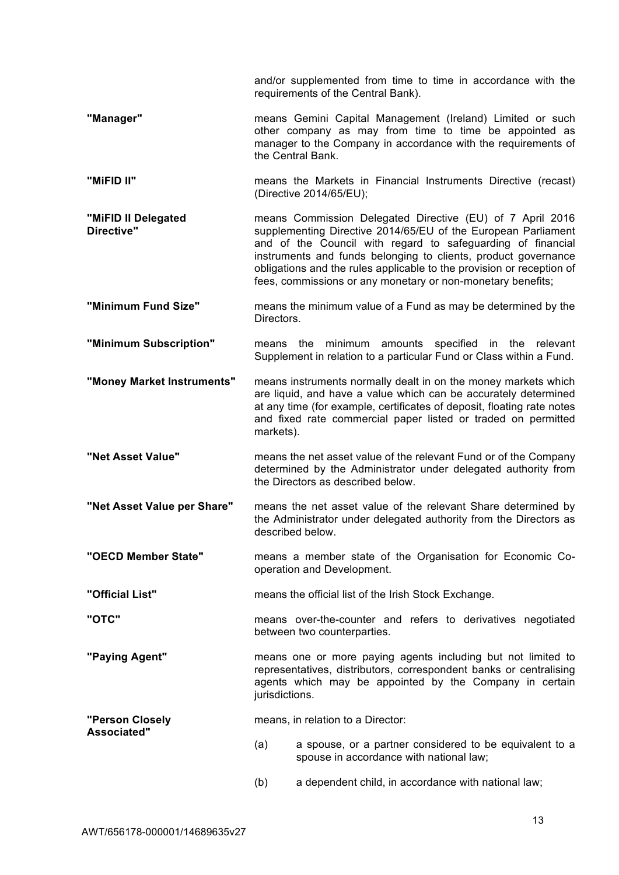and/or supplemented from time to time in accordance with the requirements of the Central Bank).

- **"Manager"** means Gemini Capital Management (Ireland) Limited or such other company as may from time to time be appointed as manager to the Company in accordance with the requirements of the Central Bank.
- **"MIFID II"** means the Markets in Financial Instruments Directive (recast) (Directive 2014/65/EU);
- **"MiFID II Delegated Directive"** means Commission Delegated Directive (EU) of 7 April 2016 supplementing Directive 2014/65/EU of the European Parliament and of the Council with regard to safeguarding of financial instruments and funds belonging to clients, product governance obligations and the rules applicable to the provision or reception of fees, commissions or any monetary or non-monetary benefits;
- **"Minimum Fund Size"** means the minimum value of a Fund as may be determined by the Directors.
- **"Minimum Subscription"** means the minimum amounts specified in the relevant Supplement in relation to a particular Fund or Class within a Fund.
- **"Money Market Instruments"** means instruments normally dealt in on the money markets which are liquid, and have a value which can be accurately determined at any time (for example, certificates of deposit, floating rate notes and fixed rate commercial paper listed or traded on permitted markets).
- **"Net Asset Value"** means the net asset value of the relevant Fund or of the Company determined by the Administrator under delegated authority from the Directors as described below.
- **"Net Asset Value per Share"** means the net asset value of the relevant Share determined by the Administrator under delegated authority from the Directors as described below.
- **"OECD Member State"** means a member state of the Organisation for Economic Cooperation and Development.
- **"Official List"** means the official list of the Irish Stock Exchange.
- **"OTC"** means over-the-counter and refers to derivatives negotiated between two counterparties.
- **"Paying Agent"** means one or more paying agents including but not limited to representatives, distributors, correspondent banks or centralising agents which may be appointed by the Company in certain jurisdictions.

**"Person Closely Associated"** means, in relation to a Director:

- (a) a spouse, or a partner considered to be equivalent to a spouse in accordance with national law;
- (b) a dependent child, in accordance with national law;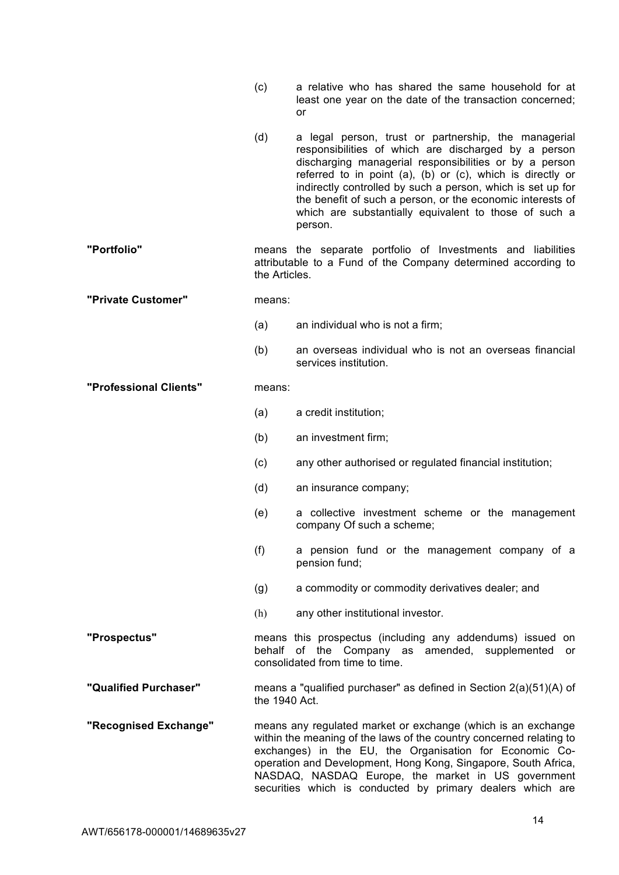- (c) a relative who has shared the same household for at least one year on the date of the transaction concerned; or
- (d) a legal person, trust or partnership, the managerial responsibilities of which are discharged by a person discharging managerial responsibilities or by a person referred to in point (a), (b) or (c), which is directly or indirectly controlled by such a person, which is set up for the benefit of such a person, or the economic interests of which are substantially equivalent to those of such a person.
- **"Portfolio"** means the separate portfolio of Investments and liabilities attributable to a Fund of the Company determined according to the Articles.
- **"Private Customer"** means:
	- (a) an individual who is not a firm;
	- (b) an overseas individual who is not an overseas financial services institution.

#### **"Professional Clients"** means:

- (a) a credit institution;
- (b) an investment firm;
- (c) any other authorised or regulated financial institution;
- (d) an insurance company;
- (e) a collective investment scheme or the management company Of such a scheme;
- (f) a pension fund or the management company of a pension fund;
- (g) a commodity or commodity derivatives dealer; and
- (h) any other institutional investor.

**"Prospectus"** means this prospectus (including any addendums) issued on behalf of the Company as amended, supplemented or consolidated from time to time.

- **"Qualified Purchaser"** means a "qualified purchaser" as defined in Section 2(a)(51)(A) of the 1940 Act.
- **"Recognised Exchange"** means any regulated market or exchange (which is an exchange within the meaning of the laws of the country concerned relating to exchanges) in the EU, the Organisation for Economic Cooperation and Development, Hong Kong, Singapore, South Africa, NASDAQ, NASDAQ Europe, the market in US government securities which is conducted by primary dealers which are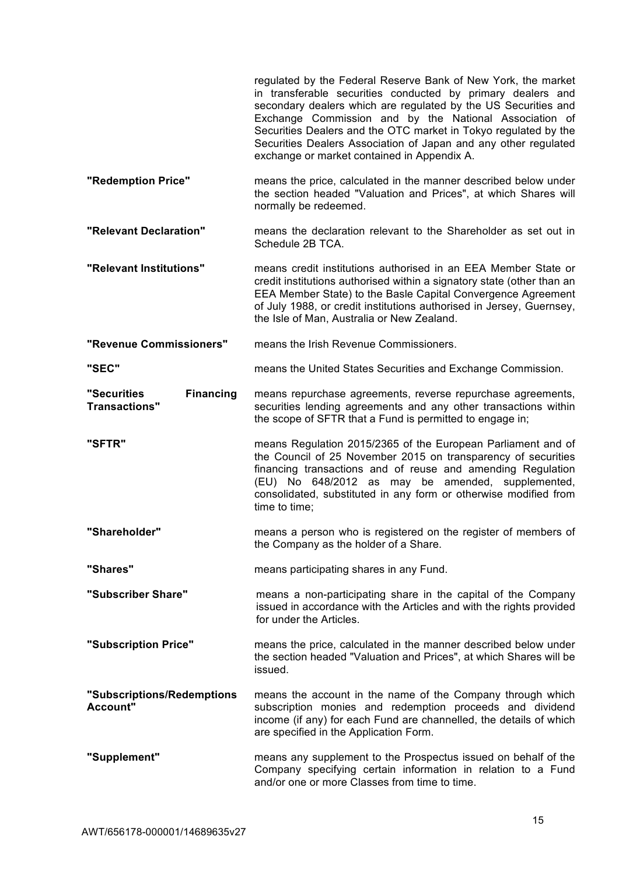|                                                         | regulated by the Federal Reserve Bank of New York, the market<br>in transferable securities conducted by primary dealers and<br>secondary dealers which are regulated by the US Securities and<br>Exchange Commission and by the National Association of<br>Securities Dealers and the OTC market in Tokyo regulated by the<br>Securities Dealers Association of Japan and any other regulated<br>exchange or market contained in Appendix A. |
|---------------------------------------------------------|-----------------------------------------------------------------------------------------------------------------------------------------------------------------------------------------------------------------------------------------------------------------------------------------------------------------------------------------------------------------------------------------------------------------------------------------------|
| "Redemption Price"                                      | means the price, calculated in the manner described below under<br>the section headed "Valuation and Prices", at which Shares will<br>normally be redeemed.                                                                                                                                                                                                                                                                                   |
| "Relevant Declaration"                                  | means the declaration relevant to the Shareholder as set out in<br>Schedule 2B TCA.                                                                                                                                                                                                                                                                                                                                                           |
| "Relevant Institutions"                                 | means credit institutions authorised in an EEA Member State or<br>credit institutions authorised within a signatory state (other than an<br>EEA Member State) to the Basle Capital Convergence Agreement<br>of July 1988, or credit institutions authorised in Jersey, Guernsey,<br>the Isle of Man, Australia or New Zealand.                                                                                                                |
| "Revenue Commissioners"                                 | means the Irish Revenue Commissioners.                                                                                                                                                                                                                                                                                                                                                                                                        |
| "SEC"                                                   | means the United States Securities and Exchange Commission.                                                                                                                                                                                                                                                                                                                                                                                   |
| "Securities<br><b>Financing</b><br><b>Transactions"</b> | means repurchase agreements, reverse repurchase agreements,<br>securities lending agreements and any other transactions within<br>the scope of SFTR that a Fund is permitted to engage in;                                                                                                                                                                                                                                                    |
| "SFTR"                                                  | means Regulation 2015/2365 of the European Parliament and of<br>the Council of 25 November 2015 on transparency of securities<br>financing transactions and of reuse and amending Regulation<br>(EU) No 648/2012 as may be amended, supplemented,<br>consolidated, substituted in any form or otherwise modified from<br>time to time;                                                                                                        |
| "Shareholder"                                           | means a person who is registered on the register of members of<br>the Company as the holder of a Share.                                                                                                                                                                                                                                                                                                                                       |
| "Shares"                                                | means participating shares in any Fund.                                                                                                                                                                                                                                                                                                                                                                                                       |
| "Subscriber Share"                                      | means a non-participating share in the capital of the Company<br>issued in accordance with the Articles and with the rights provided<br>for under the Articles.                                                                                                                                                                                                                                                                               |
| "Subscription Price"                                    | means the price, calculated in the manner described below under<br>the section headed "Valuation and Prices", at which Shares will be<br>issued.                                                                                                                                                                                                                                                                                              |
| "Subscriptions/Redemptions<br>Account"                  | means the account in the name of the Company through which<br>subscription monies and redemption proceeds and dividend<br>income (if any) for each Fund are channelled, the details of which<br>are specified in the Application Form.                                                                                                                                                                                                        |
| "Supplement"                                            | means any supplement to the Prospectus issued on behalf of the<br>Company specifying certain information in relation to a Fund<br>and/or one or more Classes from time to time.                                                                                                                                                                                                                                                               |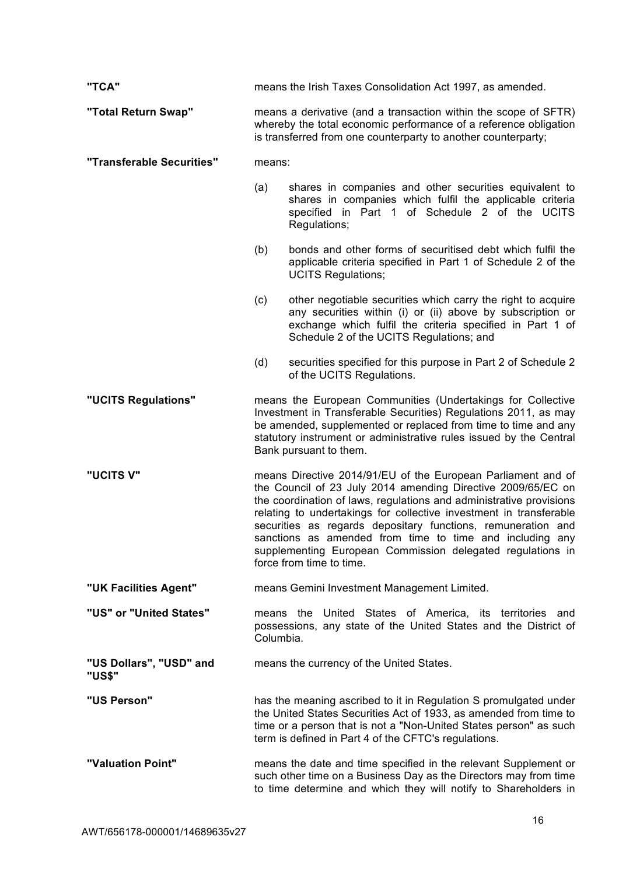| "TCA"                             | means the Irish Taxes Consolidation Act 1997, as amended.                                                                                                                                                                                                                                                                                                                                                                                                                                       |  |
|-----------------------------------|-------------------------------------------------------------------------------------------------------------------------------------------------------------------------------------------------------------------------------------------------------------------------------------------------------------------------------------------------------------------------------------------------------------------------------------------------------------------------------------------------|--|
| "Total Return Swap"               | means a derivative (and a transaction within the scope of SFTR)<br>whereby the total economic performance of a reference obligation<br>is transferred from one counterparty to another counterparty;                                                                                                                                                                                                                                                                                            |  |
| "Transferable Securities"         | means:                                                                                                                                                                                                                                                                                                                                                                                                                                                                                          |  |
|                                   | shares in companies and other securities equivalent to<br>(a)<br>shares in companies which fulfil the applicable criteria<br>specified in Part 1 of Schedule 2 of the UCITS<br>Regulations;                                                                                                                                                                                                                                                                                                     |  |
|                                   | bonds and other forms of securitised debt which fulfil the<br>(b)<br>applicable criteria specified in Part 1 of Schedule 2 of the<br><b>UCITS Regulations;</b>                                                                                                                                                                                                                                                                                                                                  |  |
|                                   | (c)<br>other negotiable securities which carry the right to acquire<br>any securities within (i) or (ii) above by subscription or<br>exchange which fulfil the criteria specified in Part 1 of<br>Schedule 2 of the UCITS Regulations; and                                                                                                                                                                                                                                                      |  |
|                                   | securities specified for this purpose in Part 2 of Schedule 2<br>(d)<br>of the UCITS Regulations.                                                                                                                                                                                                                                                                                                                                                                                               |  |
| "UCITS Regulations"               | means the European Communities (Undertakings for Collective<br>Investment in Transferable Securities) Regulations 2011, as may<br>be amended, supplemented or replaced from time to time and any<br>statutory instrument or administrative rules issued by the Central<br>Bank pursuant to them.                                                                                                                                                                                                |  |
| "UCITS V"                         | means Directive 2014/91/EU of the European Parliament and of<br>the Council of 23 July 2014 amending Directive 2009/65/EC on<br>the coordination of laws, regulations and administrative provisions<br>relating to undertakings for collective investment in transferable<br>securities as regards depositary functions, remuneration and<br>sanctions as amended from time to time and including any<br>supplementing European Commission delegated regulations in<br>force from time to time. |  |
| "UK Facilities Agent"             | means Gemini Investment Management Limited.                                                                                                                                                                                                                                                                                                                                                                                                                                                     |  |
| "US" or "United States"           | means the United States of America, its territories and<br>possessions, any state of the United States and the District of<br>Columbia.                                                                                                                                                                                                                                                                                                                                                         |  |
| "US Dollars", "USD" and<br>"US\$" | means the currency of the United States.                                                                                                                                                                                                                                                                                                                                                                                                                                                        |  |
| "US Person"                       | has the meaning ascribed to it in Regulation S promulgated under<br>the United States Securities Act of 1933, as amended from time to<br>time or a person that is not a "Non-United States person" as such<br>term is defined in Part 4 of the CFTC's regulations.                                                                                                                                                                                                                              |  |
| "Valuation Point"                 | means the date and time specified in the relevant Supplement or<br>such other time on a Business Day as the Directors may from time<br>to time determine and which they will notify to Shareholders in                                                                                                                                                                                                                                                                                          |  |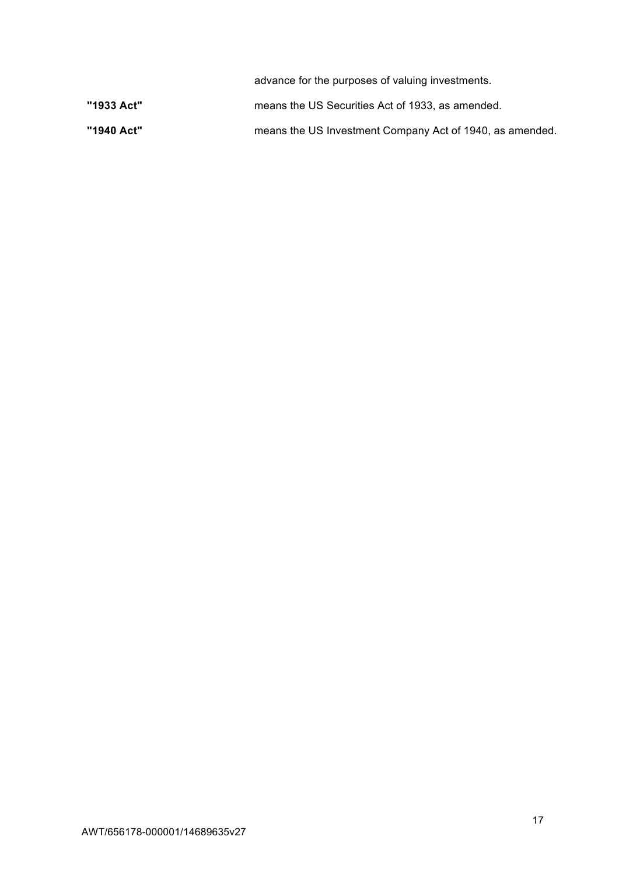|            | advance for the purposes of valuing investments.         |
|------------|----------------------------------------------------------|
| "1933 Act" | means the US Securities Act of 1933, as amended.         |
| "1940 Act" | means the US Investment Company Act of 1940, as amended. |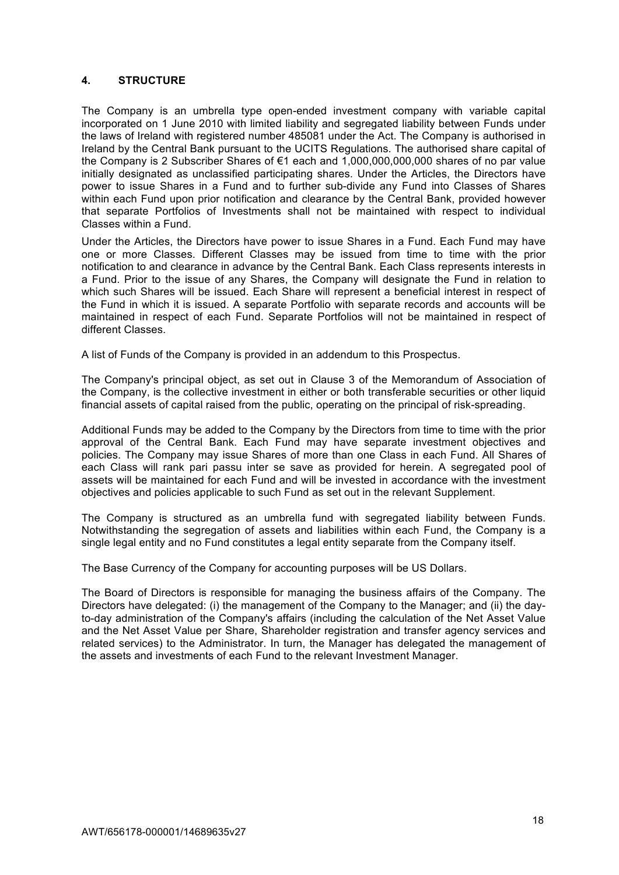# **4. STRUCTURE**

The Company is an umbrella type open-ended investment company with variable capital incorporated on 1 June 2010 with limited liability and segregated liability between Funds under the laws of Ireland with registered number 485081 under the Act. The Company is authorised in Ireland by the Central Bank pursuant to the UCITS Regulations. The authorised share capital of the Company is 2 Subscriber Shares of €1 each and 1,000,000,000,000 shares of no par value initially designated as unclassified participating shares. Under the Articles, the Directors have power to issue Shares in a Fund and to further sub-divide any Fund into Classes of Shares within each Fund upon prior notification and clearance by the Central Bank, provided however that separate Portfolios of Investments shall not be maintained with respect to individual Classes within a Fund.

Under the Articles, the Directors have power to issue Shares in a Fund. Each Fund may have one or more Classes. Different Classes may be issued from time to time with the prior notification to and clearance in advance by the Central Bank. Each Class represents interests in a Fund. Prior to the issue of any Shares, the Company will designate the Fund in relation to which such Shares will be issued. Each Share will represent a beneficial interest in respect of the Fund in which it is issued. A separate Portfolio with separate records and accounts will be maintained in respect of each Fund. Separate Portfolios will not be maintained in respect of different Classes.

A list of Funds of the Company is provided in an addendum to this Prospectus.

The Company's principal object, as set out in Clause 3 of the Memorandum of Association of the Company, is the collective investment in either or both transferable securities or other liquid financial assets of capital raised from the public, operating on the principal of risk-spreading.

Additional Funds may be added to the Company by the Directors from time to time with the prior approval of the Central Bank. Each Fund may have separate investment objectives and policies. The Company may issue Shares of more than one Class in each Fund. All Shares of each Class will rank pari passu inter se save as provided for herein. A segregated pool of assets will be maintained for each Fund and will be invested in accordance with the investment objectives and policies applicable to such Fund as set out in the relevant Supplement.

The Company is structured as an umbrella fund with segregated liability between Funds. Notwithstanding the segregation of assets and liabilities within each Fund, the Company is a single legal entity and no Fund constitutes a legal entity separate from the Company itself.

The Base Currency of the Company for accounting purposes will be US Dollars.

The Board of Directors is responsible for managing the business affairs of the Company. The Directors have delegated: (i) the management of the Company to the Manager; and (ii) the dayto-day administration of the Company's affairs (including the calculation of the Net Asset Value and the Net Asset Value per Share, Shareholder registration and transfer agency services and related services) to the Administrator. In turn, the Manager has delegated the management of the assets and investments of each Fund to the relevant Investment Manager.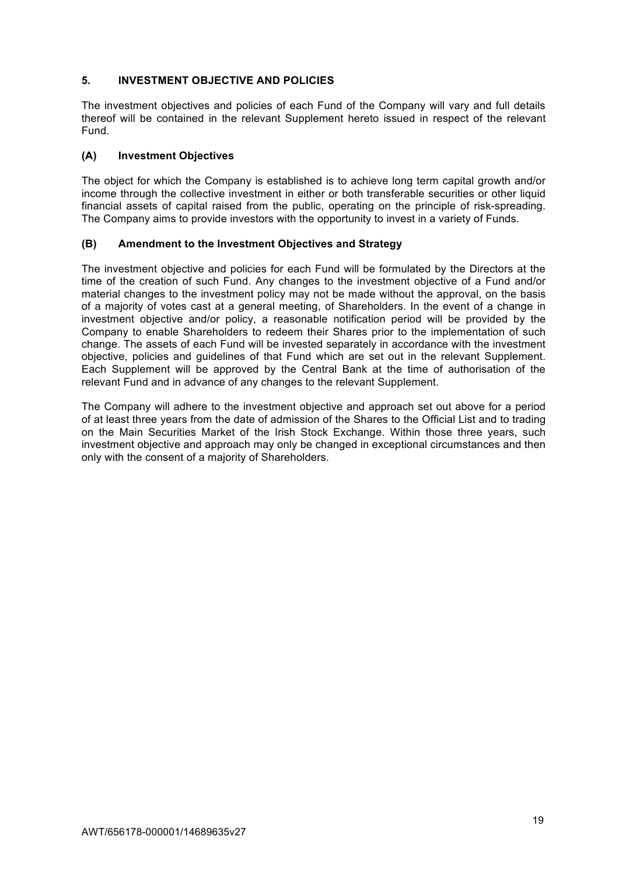# **5. INVESTMENT OBJECTIVE AND POLICIES**

The investment objectives and policies of each Fund of the Company will vary and full details thereof will be contained in the relevant Supplement hereto issued in respect of the relevant Fund.

# **(A) Investment Objectives**

The object for which the Company is established is to achieve long term capital growth and/or income through the collective investment in either or both transferable securities or other liquid financial assets of capital raised from the public, operating on the principle of risk-spreading. The Company aims to provide investors with the opportunity to invest in a variety of Funds.

# **(B) Amendment to the Investment Objectives and Strategy**

The investment objective and policies for each Fund will be formulated by the Directors at the time of the creation of such Fund. Any changes to the investment objective of a Fund and/or material changes to the investment policy may not be made without the approval, on the basis of a majority of votes cast at a general meeting, of Shareholders. In the event of a change in investment objective and/or policy, a reasonable notification period will be provided by the Company to enable Shareholders to redeem their Shares prior to the implementation of such change. The assets of each Fund will be invested separately in accordance with the investment objective, policies and guidelines of that Fund which are set out in the relevant Supplement. Each Supplement will be approved by the Central Bank at the time of authorisation of the relevant Fund and in advance of any changes to the relevant Supplement.

The Company will adhere to the investment objective and approach set out above for a period of at least three years from the date of admission of the Shares to the Official List and to trading on the Main Securities Market of the Irish Stock Exchange. Within those three years, such investment objective and approach may only be changed in exceptional circumstances and then only with the consent of a majority of Shareholders.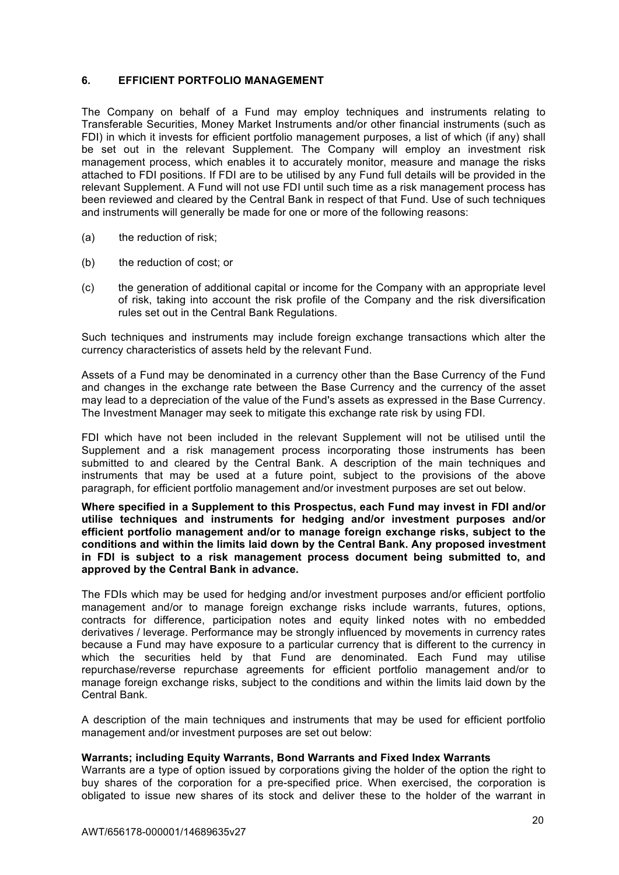# **6. EFFICIENT PORTFOLIO MANAGEMENT**

The Company on behalf of a Fund may employ techniques and instruments relating to Transferable Securities, Money Market Instruments and/or other financial instruments (such as FDI) in which it invests for efficient portfolio management purposes, a list of which (if any) shall be set out in the relevant Supplement. The Company will employ an investment risk management process, which enables it to accurately monitor, measure and manage the risks attached to FDI positions. If FDI are to be utilised by any Fund full details will be provided in the relevant Supplement. A Fund will not use FDI until such time as a risk management process has been reviewed and cleared by the Central Bank in respect of that Fund. Use of such techniques and instruments will generally be made for one or more of the following reasons:

- (a) the reduction of risk;
- (b) the reduction of cost; or
- (c) the generation of additional capital or income for the Company with an appropriate level of risk, taking into account the risk profile of the Company and the risk diversification rules set out in the Central Bank Regulations.

Such techniques and instruments may include foreign exchange transactions which alter the currency characteristics of assets held by the relevant Fund.

Assets of a Fund may be denominated in a currency other than the Base Currency of the Fund and changes in the exchange rate between the Base Currency and the currency of the asset may lead to a depreciation of the value of the Fund's assets as expressed in the Base Currency. The Investment Manager may seek to mitigate this exchange rate risk by using FDI.

FDI which have not been included in the relevant Supplement will not be utilised until the Supplement and a risk management process incorporating those instruments has been submitted to and cleared by the Central Bank. A description of the main techniques and instruments that may be used at a future point, subject to the provisions of the above paragraph, for efficient portfolio management and/or investment purposes are set out below.

**Where specified in a Supplement to this Prospectus, each Fund may invest in FDI and/or utilise techniques and instruments for hedging and/or investment purposes and/or efficient portfolio management and/or to manage foreign exchange risks, subject to the conditions and within the limits laid down by the Central Bank. Any proposed investment in FDI is subject to a risk management process document being submitted to, and approved by the Central Bank in advance.**

The FDIs which may be used for hedging and/or investment purposes and/or efficient portfolio management and/or to manage foreign exchange risks include warrants, futures, options, contracts for difference, participation notes and equity linked notes with no embedded derivatives / leverage. Performance may be strongly influenced by movements in currency rates because a Fund may have exposure to a particular currency that is different to the currency in which the securities held by that Fund are denominated. Each Fund may utilise repurchase/reverse repurchase agreements for efficient portfolio management and/or to manage foreign exchange risks, subject to the conditions and within the limits laid down by the Central Bank.

A description of the main techniques and instruments that may be used for efficient portfolio management and/or investment purposes are set out below:

#### **Warrants; including Equity Warrants, Bond Warrants and Fixed Index Warrants**

Warrants are a type of option issued by corporations giving the holder of the option the right to buy shares of the corporation for a pre-specified price. When exercised, the corporation is obligated to issue new shares of its stock and deliver these to the holder of the warrant in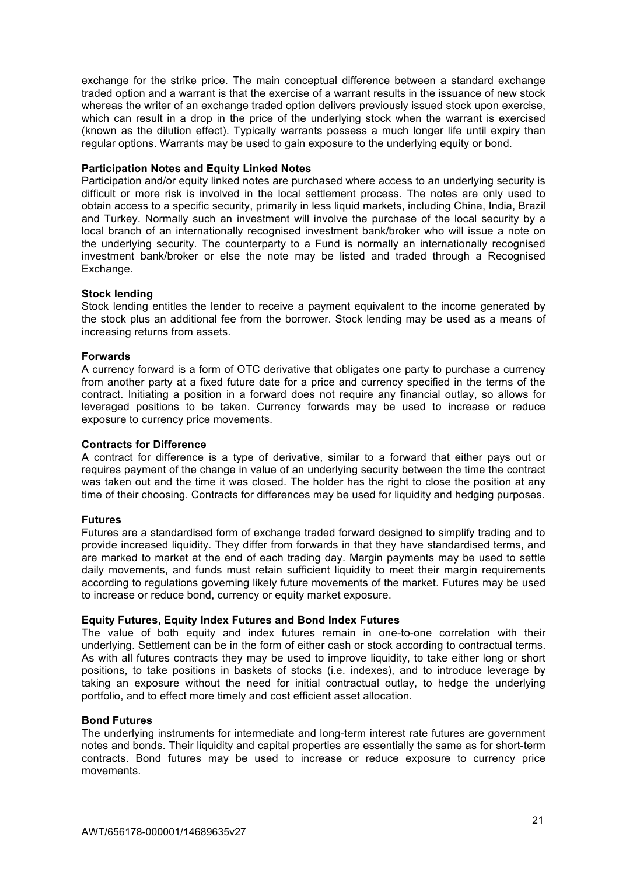exchange for the strike price. The main conceptual difference between a standard exchange traded option and a warrant is that the exercise of a warrant results in the issuance of new stock whereas the writer of an exchange traded option delivers previously issued stock upon exercise, which can result in a drop in the price of the underlying stock when the warrant is exercised (known as the dilution effect). Typically warrants possess a much longer life until expiry than regular options. Warrants may be used to gain exposure to the underlying equity or bond.

#### **Participation Notes and Equity Linked Notes**

Participation and/or equity linked notes are purchased where access to an underlying security is difficult or more risk is involved in the local settlement process. The notes are only used to obtain access to a specific security, primarily in less liquid markets, including China, India, Brazil and Turkey. Normally such an investment will involve the purchase of the local security by a local branch of an internationally recognised investment bank/broker who will issue a note on the underlying security. The counterparty to a Fund is normally an internationally recognised investment bank/broker or else the note may be listed and traded through a Recognised Exchange.

### **Stock lending**

Stock lending entitles the lender to receive a payment equivalent to the income generated by the stock plus an additional fee from the borrower. Stock lending may be used as a means of increasing returns from assets.

### **Forwards**

A currency forward is a form of OTC derivative that obligates one party to purchase a currency from another party at a fixed future date for a price and currency specified in the terms of the contract. Initiating a position in a forward does not require any financial outlay, so allows for leveraged positions to be taken. Currency forwards may be used to increase or reduce exposure to currency price movements.

## **Contracts for Difference**

A contract for difference is a type of derivative, similar to a forward that either pays out or requires payment of the change in value of an underlying security between the time the contract was taken out and the time it was closed. The holder has the right to close the position at any time of their choosing. Contracts for differences may be used for liquidity and hedging purposes.

### **Futures**

Futures are a standardised form of exchange traded forward designed to simplify trading and to provide increased liquidity. They differ from forwards in that they have standardised terms, and are marked to market at the end of each trading day. Margin payments may be used to settle daily movements, and funds must retain sufficient liquidity to meet their margin requirements according to regulations governing likely future movements of the market. Futures may be used to increase or reduce bond, currency or equity market exposure.

## **Equity Futures, Equity Index Futures and Bond Index Futures**

The value of both equity and index futures remain in one-to-one correlation with their underlying. Settlement can be in the form of either cash or stock according to contractual terms. As with all futures contracts they may be used to improve liquidity, to take either long or short positions, to take positions in baskets of stocks (i.e. indexes), and to introduce leverage by taking an exposure without the need for initial contractual outlay, to hedge the underlying portfolio, and to effect more timely and cost efficient asset allocation.

#### **Bond Futures**

The underlying instruments for intermediate and long-term interest rate futures are government notes and bonds. Their liquidity and capital properties are essentially the same as for short-term contracts. Bond futures may be used to increase or reduce exposure to currency price movements.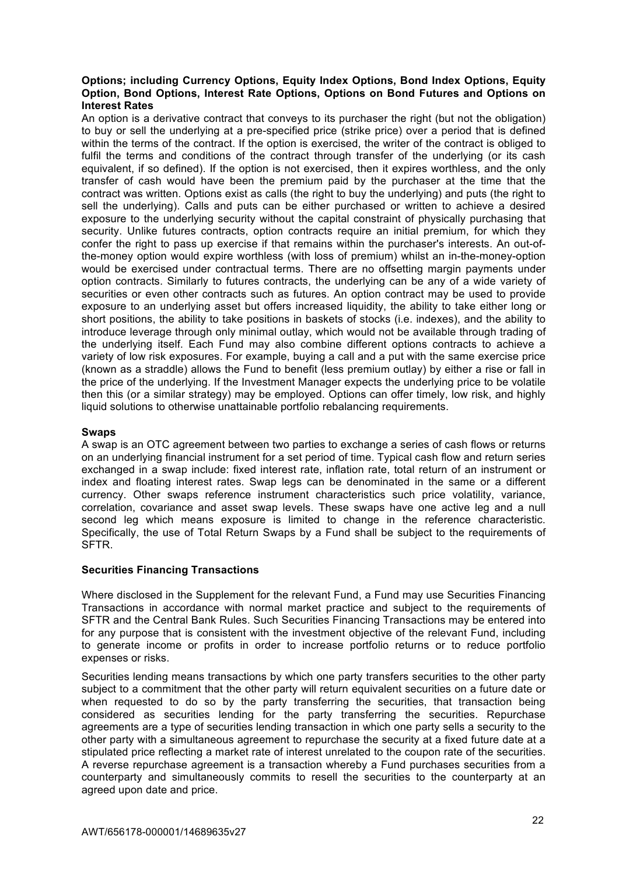# **Options; including Currency Options, Equity Index Options, Bond Index Options, Equity Option, Bond Options, Interest Rate Options, Options on Bond Futures and Options on Interest Rates**

An option is a derivative contract that conveys to its purchaser the right (but not the obligation) to buy or sell the underlying at a pre-specified price (strike price) over a period that is defined within the terms of the contract. If the option is exercised, the writer of the contract is obliged to fulfil the terms and conditions of the contract through transfer of the underlying (or its cash equivalent, if so defined). If the option is not exercised, then it expires worthless, and the only transfer of cash would have been the premium paid by the purchaser at the time that the contract was written. Options exist as calls (the right to buy the underlying) and puts (the right to sell the underlying). Calls and puts can be either purchased or written to achieve a desired exposure to the underlying security without the capital constraint of physically purchasing that security. Unlike futures contracts, option contracts require an initial premium, for which they confer the right to pass up exercise if that remains within the purchaser's interests. An out-ofthe-money option would expire worthless (with loss of premium) whilst an in-the-money-option would be exercised under contractual terms. There are no offsetting margin payments under option contracts. Similarly to futures contracts, the underlying can be any of a wide variety of securities or even other contracts such as futures. An option contract may be used to provide exposure to an underlying asset but offers increased liquidity, the ability to take either long or short positions, the ability to take positions in baskets of stocks (i.e. indexes), and the ability to introduce leverage through only minimal outlay, which would not be available through trading of the underlying itself. Each Fund may also combine different options contracts to achieve a variety of low risk exposures. For example, buying a call and a put with the same exercise price (known as a straddle) allows the Fund to benefit (less premium outlay) by either a rise or fall in the price of the underlying. If the Investment Manager expects the underlying price to be volatile then this (or a similar strategy) may be employed. Options can offer timely, low risk, and highly liquid solutions to otherwise unattainable portfolio rebalancing requirements.

# **Swaps**

A swap is an OTC agreement between two parties to exchange a series of cash flows or returns on an underlying financial instrument for a set period of time. Typical cash flow and return series exchanged in a swap include: fixed interest rate, inflation rate, total return of an instrument or index and floating interest rates. Swap legs can be denominated in the same or a different currency. Other swaps reference instrument characteristics such price volatility, variance, correlation, covariance and asset swap levels. These swaps have one active leg and a null second leg which means exposure is limited to change in the reference characteristic. Specifically, the use of Total Return Swaps by a Fund shall be subject to the requirements of SFTR.

## **Securities Financing Transactions**

Where disclosed in the Supplement for the relevant Fund, a Fund may use Securities Financing Transactions in accordance with normal market practice and subject to the requirements of SFTR and the Central Bank Rules. Such Securities Financing Transactions may be entered into for any purpose that is consistent with the investment objective of the relevant Fund, including to generate income or profits in order to increase portfolio returns or to reduce portfolio expenses or risks.

Securities lending means transactions by which one party transfers securities to the other party subject to a commitment that the other party will return equivalent securities on a future date or when requested to do so by the party transferring the securities, that transaction being considered as securities lending for the party transferring the securities. Repurchase agreements are a type of securities lending transaction in which one party sells a security to the other party with a simultaneous agreement to repurchase the security at a fixed future date at a stipulated price reflecting a market rate of interest unrelated to the coupon rate of the securities. A reverse repurchase agreement is a transaction whereby a Fund purchases securities from a counterparty and simultaneously commits to resell the securities to the counterparty at an agreed upon date and price.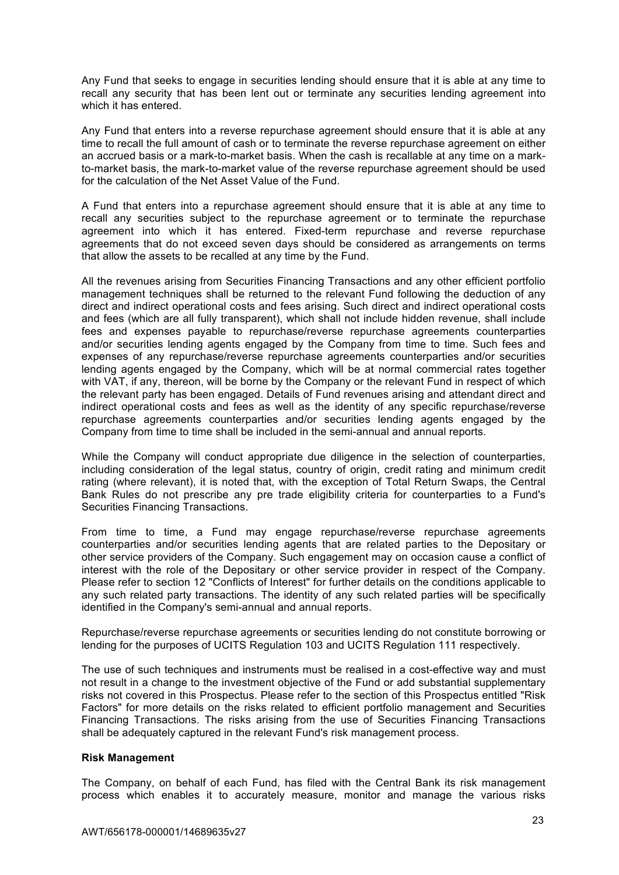Any Fund that seeks to engage in securities lending should ensure that it is able at any time to recall any security that has been lent out or terminate any securities lending agreement into which it has entered.

Any Fund that enters into a reverse repurchase agreement should ensure that it is able at any time to recall the full amount of cash or to terminate the reverse repurchase agreement on either an accrued basis or a mark-to-market basis. When the cash is recallable at any time on a markto-market basis, the mark-to-market value of the reverse repurchase agreement should be used for the calculation of the Net Asset Value of the Fund.

A Fund that enters into a repurchase agreement should ensure that it is able at any time to recall any securities subject to the repurchase agreement or to terminate the repurchase agreement into which it has entered. Fixed-term repurchase and reverse repurchase agreements that do not exceed seven days should be considered as arrangements on terms that allow the assets to be recalled at any time by the Fund.

All the revenues arising from Securities Financing Transactions and any other efficient portfolio management techniques shall be returned to the relevant Fund following the deduction of any direct and indirect operational costs and fees arising. Such direct and indirect operational costs and fees (which are all fully transparent), which shall not include hidden revenue, shall include fees and expenses payable to repurchase/reverse repurchase agreements counterparties and/or securities lending agents engaged by the Company from time to time. Such fees and expenses of any repurchase/reverse repurchase agreements counterparties and/or securities lending agents engaged by the Company, which will be at normal commercial rates together with VAT, if any, thereon, will be borne by the Company or the relevant Fund in respect of which the relevant party has been engaged. Details of Fund revenues arising and attendant direct and indirect operational costs and fees as well as the identity of any specific repurchase/reverse repurchase agreements counterparties and/or securities lending agents engaged by the Company from time to time shall be included in the semi-annual and annual reports.

While the Company will conduct appropriate due diligence in the selection of counterparties, including consideration of the legal status, country of origin, credit rating and minimum credit rating (where relevant), it is noted that, with the exception of Total Return Swaps, the Central Bank Rules do not prescribe any pre trade eligibility criteria for counterparties to a Fund's Securities Financing Transactions.

From time to time, a Fund may engage repurchase/reverse repurchase agreements counterparties and/or securities lending agents that are related parties to the Depositary or other service providers of the Company. Such engagement may on occasion cause a conflict of interest with the role of the Depositary or other service provider in respect of the Company. Please refer to section 12 "Conflicts of Interest" for further details on the conditions applicable to any such related party transactions. The identity of any such related parties will be specifically identified in the Company's semi-annual and annual reports.

Repurchase/reverse repurchase agreements or securities lending do not constitute borrowing or lending for the purposes of UCITS Regulation 103 and UCITS Regulation 111 respectively.

The use of such techniques and instruments must be realised in a cost-effective way and must not result in a change to the investment objective of the Fund or add substantial supplementary risks not covered in this Prospectus. Please refer to the section of this Prospectus entitled "Risk Factors" for more details on the risks related to efficient portfolio management and Securities Financing Transactions. The risks arising from the use of Securities Financing Transactions shall be adequately captured in the relevant Fund's risk management process.

#### **Risk Management**

The Company, on behalf of each Fund, has filed with the Central Bank its risk management process which enables it to accurately measure, monitor and manage the various risks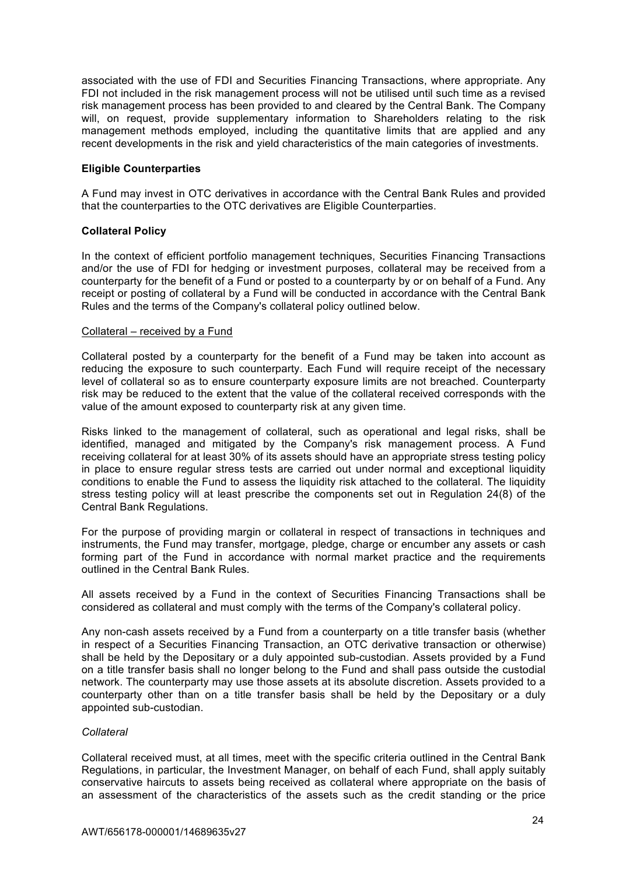associated with the use of FDI and Securities Financing Transactions, where appropriate. Any FDI not included in the risk management process will not be utilised until such time as a revised risk management process has been provided to and cleared by the Central Bank. The Company will, on request, provide supplementary information to Shareholders relating to the risk management methods employed, including the quantitative limits that are applied and any recent developments in the risk and yield characteristics of the main categories of investments.

### **Eligible Counterparties**

A Fund may invest in OTC derivatives in accordance with the Central Bank Rules and provided that the counterparties to the OTC derivatives are Eligible Counterparties.

## **Collateral Policy**

In the context of efficient portfolio management techniques, Securities Financing Transactions and/or the use of FDI for hedging or investment purposes, collateral may be received from a counterparty for the benefit of a Fund or posted to a counterparty by or on behalf of a Fund. Any receipt or posting of collateral by a Fund will be conducted in accordance with the Central Bank Rules and the terms of the Company's collateral policy outlined below.

#### Collateral – received by a Fund

Collateral posted by a counterparty for the benefit of a Fund may be taken into account as reducing the exposure to such counterparty. Each Fund will require receipt of the necessary level of collateral so as to ensure counterparty exposure limits are not breached. Counterparty risk may be reduced to the extent that the value of the collateral received corresponds with the value of the amount exposed to counterparty risk at any given time.

Risks linked to the management of collateral, such as operational and legal risks, shall be identified, managed and mitigated by the Company's risk management process. A Fund receiving collateral for at least 30% of its assets should have an appropriate stress testing policy in place to ensure regular stress tests are carried out under normal and exceptional liquidity conditions to enable the Fund to assess the liquidity risk attached to the collateral. The liquidity stress testing policy will at least prescribe the components set out in Regulation 24(8) of the Central Bank Regulations.

For the purpose of providing margin or collateral in respect of transactions in techniques and instruments, the Fund may transfer, mortgage, pledge, charge or encumber any assets or cash forming part of the Fund in accordance with normal market practice and the requirements outlined in the Central Bank Rules.

All assets received by a Fund in the context of Securities Financing Transactions shall be considered as collateral and must comply with the terms of the Company's collateral policy.

Any non-cash assets received by a Fund from a counterparty on a title transfer basis (whether in respect of a Securities Financing Transaction, an OTC derivative transaction or otherwise) shall be held by the Depositary or a duly appointed sub-custodian. Assets provided by a Fund on a title transfer basis shall no longer belong to the Fund and shall pass outside the custodial network. The counterparty may use those assets at its absolute discretion. Assets provided to a counterparty other than on a title transfer basis shall be held by the Depositary or a duly appointed sub-custodian.

#### *Collateral*

Collateral received must, at all times, meet with the specific criteria outlined in the Central Bank Regulations, in particular, the Investment Manager, on behalf of each Fund, shall apply suitably conservative haircuts to assets being received as collateral where appropriate on the basis of an assessment of the characteristics of the assets such as the credit standing or the price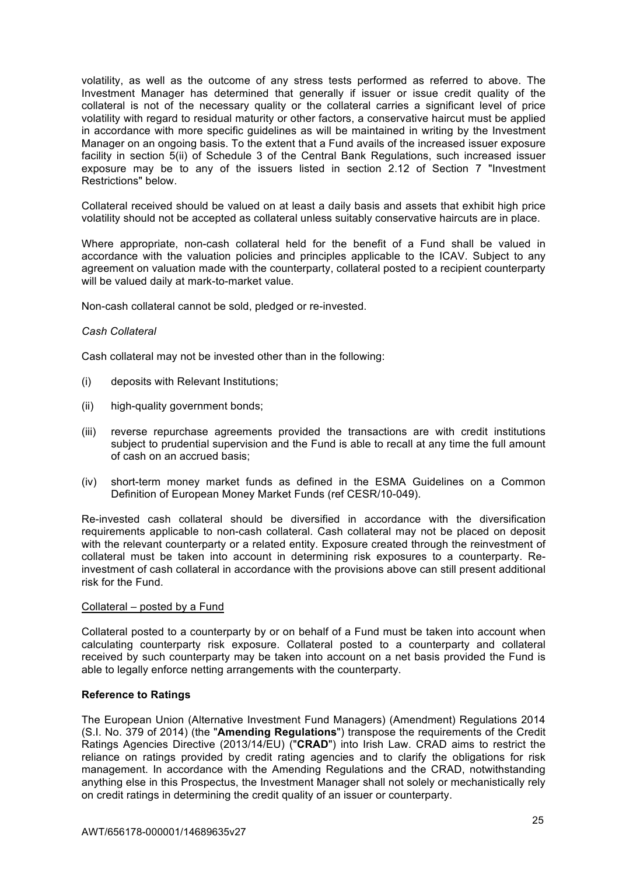volatility, as well as the outcome of any stress tests performed as referred to above. The Investment Manager has determined that generally if issuer or issue credit quality of the collateral is not of the necessary quality or the collateral carries a significant level of price volatility with regard to residual maturity or other factors, a conservative haircut must be applied in accordance with more specific guidelines as will be maintained in writing by the Investment Manager on an ongoing basis. To the extent that a Fund avails of the increased issuer exposure facility in section 5(ii) of Schedule 3 of the Central Bank Regulations, such increased issuer exposure may be to any of the issuers listed in section 2.12 of Section 7 "Investment Restrictions" below.

Collateral received should be valued on at least a daily basis and assets that exhibit high price volatility should not be accepted as collateral unless suitably conservative haircuts are in place.

Where appropriate, non-cash collateral held for the benefit of a Fund shall be valued in accordance with the valuation policies and principles applicable to the ICAV. Subject to any agreement on valuation made with the counterparty, collateral posted to a recipient counterparty will be valued daily at mark-to-market value.

Non-cash collateral cannot be sold, pledged or re-invested.

### *Cash Collateral*

Cash collateral may not be invested other than in the following:

- (i) deposits with Relevant Institutions;
- (ii) high-quality government bonds:
- (iii) reverse repurchase agreements provided the transactions are with credit institutions subject to prudential supervision and the Fund is able to recall at any time the full amount of cash on an accrued basis;
- (iv) short-term money market funds as defined in the ESMA Guidelines on a Common Definition of European Money Market Funds (ref CESR/10-049).

Re-invested cash collateral should be diversified in accordance with the diversification requirements applicable to non-cash collateral. Cash collateral may not be placed on deposit with the relevant counterparty or a related entity. Exposure created through the reinvestment of collateral must be taken into account in determining risk exposures to a counterparty. Reinvestment of cash collateral in accordance with the provisions above can still present additional risk for the Fund.

### Collateral – posted by a Fund

Collateral posted to a counterparty by or on behalf of a Fund must be taken into account when calculating counterparty risk exposure. Collateral posted to a counterparty and collateral received by such counterparty may be taken into account on a net basis provided the Fund is able to legally enforce netting arrangements with the counterparty.

## **Reference to Ratings**

The European Union (Alternative Investment Fund Managers) (Amendment) Regulations 2014 (S.I. No. 379 of 2014) (the "**Amending Regulations**") transpose the requirements of the Credit Ratings Agencies Directive (2013/14/EU) ("**CRAD**") into Irish Law. CRAD aims to restrict the reliance on ratings provided by credit rating agencies and to clarify the obligations for risk management. In accordance with the Amending Regulations and the CRAD, notwithstanding anything else in this Prospectus, the Investment Manager shall not solely or mechanistically rely on credit ratings in determining the credit quality of an issuer or counterparty.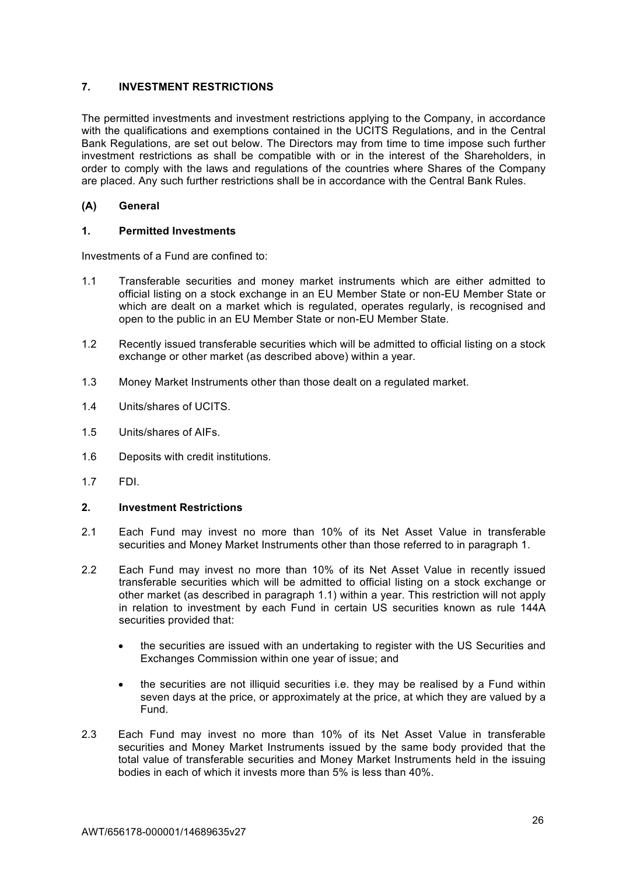# **7. INVESTMENT RESTRICTIONS**

The permitted investments and investment restrictions applying to the Company, in accordance with the qualifications and exemptions contained in the UCITS Regulations, and in the Central Bank Regulations, are set out below. The Directors may from time to time impose such further investment restrictions as shall be compatible with or in the interest of the Shareholders, in order to comply with the laws and regulations of the countries where Shares of the Company are placed. Any such further restrictions shall be in accordance with the Central Bank Rules.

# **(A) General**

# **1. Permitted Investments**

Investments of a Fund are confined to:

- 1.1 Transferable securities and money market instruments which are either admitted to official listing on a stock exchange in an EU Member State or non-EU Member State or which are dealt on a market which is regulated, operates regularly, is recognised and open to the public in an EU Member State or non-EU Member State.
- 1.2 Recently issued transferable securities which will be admitted to official listing on a stock exchange or other market (as described above) within a year.
- 1.3 Money Market Instruments other than those dealt on a regulated market.
- 1.4 Units/shares of UCITS.
- 1.5 Units/shares of AIFs.
- 1.6 Deposits with credit institutions.
- 1.7 FDI.

## **2. Investment Restrictions**

- 2.1 Each Fund may invest no more than 10% of its Net Asset Value in transferable securities and Money Market Instruments other than those referred to in paragraph 1.
- 2.2 Each Fund may invest no more than 10% of its Net Asset Value in recently issued transferable securities which will be admitted to official listing on a stock exchange or other market (as described in paragraph 1.1) within a year. This restriction will not apply in relation to investment by each Fund in certain US securities known as rule 144A securities provided that:
	- the securities are issued with an undertaking to register with the US Securities and Exchanges Commission within one year of issue; and
	- the securities are not illiquid securities i.e. they may be realised by a Fund within seven days at the price, or approximately at the price, at which they are valued by a Fund.
- 2.3 Each Fund may invest no more than 10% of its Net Asset Value in transferable securities and Money Market Instruments issued by the same body provided that the total value of transferable securities and Money Market Instruments held in the issuing bodies in each of which it invests more than 5% is less than 40%.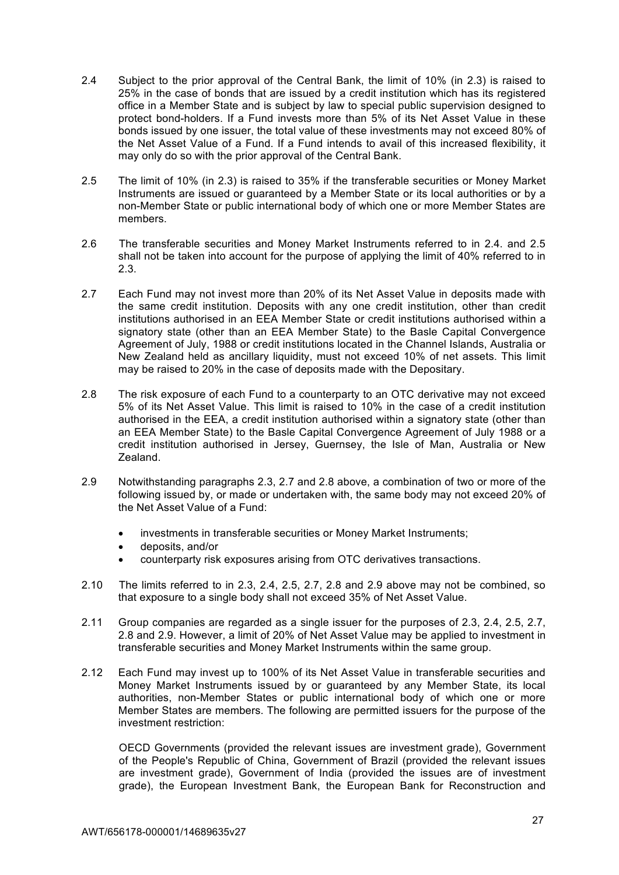- 2.4 Subject to the prior approval of the Central Bank, the limit of 10% (in 2.3) is raised to 25% in the case of bonds that are issued by a credit institution which has its registered office in a Member State and is subject by law to special public supervision designed to protect bond-holders. If a Fund invests more than 5% of its Net Asset Value in these bonds issued by one issuer, the total value of these investments may not exceed 80% of the Net Asset Value of a Fund. If a Fund intends to avail of this increased flexibility, it may only do so with the prior approval of the Central Bank.
- 2.5 The limit of 10% (in 2.3) is raised to 35% if the transferable securities or Money Market Instruments are issued or guaranteed by a Member State or its local authorities or by a non-Member State or public international body of which one or more Member States are members.
- 2.6 The transferable securities and Money Market Instruments referred to in 2.4. and 2.5 shall not be taken into account for the purpose of applying the limit of 40% referred to in 2.3.
- 2.7 Each Fund may not invest more than 20% of its Net Asset Value in deposits made with the same credit institution. Deposits with any one credit institution, other than credit institutions authorised in an EEA Member State or credit institutions authorised within a signatory state (other than an EEA Member State) to the Basle Capital Convergence Agreement of July, 1988 or credit institutions located in the Channel Islands, Australia or New Zealand held as ancillary liquidity, must not exceed 10% of net assets. This limit may be raised to 20% in the case of deposits made with the Depositary.
- 2.8 The risk exposure of each Fund to a counterparty to an OTC derivative may not exceed 5% of its Net Asset Value. This limit is raised to 10% in the case of a credit institution authorised in the EEA, a credit institution authorised within a signatory state (other than an EEA Member State) to the Basle Capital Convergence Agreement of July 1988 or a credit institution authorised in Jersey, Guernsey, the Isle of Man, Australia or New Zealand.
- 2.9 Notwithstanding paragraphs 2.3, 2.7 and 2.8 above, a combination of two or more of the following issued by, or made or undertaken with, the same body may not exceed 20% of the Net Asset Value of a Fund:
	- investments in transferable securities or Money Market Instruments;
	- deposits, and/or
	- counterparty risk exposures arising from OTC derivatives transactions.
- 2.10 The limits referred to in 2.3, 2.4, 2.5, 2.7, 2.8 and 2.9 above may not be combined, so that exposure to a single body shall not exceed 35% of Net Asset Value.
- 2.11 Group companies are regarded as a single issuer for the purposes of 2.3, 2.4, 2.5, 2.7, 2.8 and 2.9. However, a limit of 20% of Net Asset Value may be applied to investment in transferable securities and Money Market Instruments within the same group.
- 2.12 Each Fund may invest up to 100% of its Net Asset Value in transferable securities and Money Market Instruments issued by or guaranteed by any Member State, its local authorities, non-Member States or public international body of which one or more Member States are members. The following are permitted issuers for the purpose of the investment restriction:

OECD Governments (provided the relevant issues are investment grade), Government of the People's Republic of China, Government of Brazil (provided the relevant issues are investment grade), Government of India (provided the issues are of investment grade), the European Investment Bank, the European Bank for Reconstruction and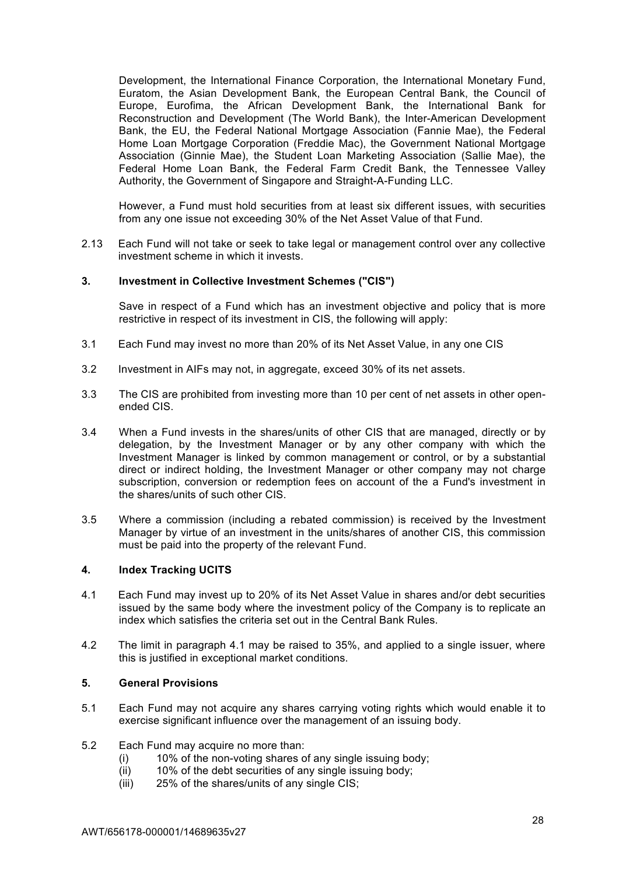Development, the International Finance Corporation, the International Monetary Fund, Euratom, the Asian Development Bank, the European Central Bank, the Council of Europe, Eurofima, the African Development Bank, the International Bank for Reconstruction and Development (The World Bank), the Inter-American Development Bank, the EU, the Federal National Mortgage Association (Fannie Mae), the Federal Home Loan Mortgage Corporation (Freddie Mac), the Government National Mortgage Association (Ginnie Mae), the Student Loan Marketing Association (Sallie Mae), the Federal Home Loan Bank, the Federal Farm Credit Bank, the Tennessee Valley Authority, the Government of Singapore and Straight-A-Funding LLC.

However, a Fund must hold securities from at least six different issues, with securities from any one issue not exceeding 30% of the Net Asset Value of that Fund.

2.13 Each Fund will not take or seek to take legal or management control over any collective investment scheme in which it invests.

### **3. Investment in Collective Investment Schemes ("CIS")**

Save in respect of a Fund which has an investment objective and policy that is more restrictive in respect of its investment in CIS, the following will apply:

- 3.1 Each Fund may invest no more than 20% of its Net Asset Value, in any one CIS
- 3.2 Investment in AIFs may not, in aggregate, exceed 30% of its net assets.
- 3.3 The CIS are prohibited from investing more than 10 per cent of net assets in other openended CIS.
- 3.4 When a Fund invests in the shares/units of other CIS that are managed, directly or by delegation, by the Investment Manager or by any other company with which the Investment Manager is linked by common management or control, or by a substantial direct or indirect holding, the Investment Manager or other company may not charge subscription, conversion or redemption fees on account of the a Fund's investment in the shares/units of such other CIS.
- 3.5 Where a commission (including a rebated commission) is received by the Investment Manager by virtue of an investment in the units/shares of another CIS, this commission must be paid into the property of the relevant Fund.

#### **4. Index Tracking UCITS**

- 4.1 Each Fund may invest up to 20% of its Net Asset Value in shares and/or debt securities issued by the same body where the investment policy of the Company is to replicate an index which satisfies the criteria set out in the Central Bank Rules.
- 4.2 The limit in paragraph 4.1 may be raised to 35%, and applied to a single issuer, where this is justified in exceptional market conditions.

#### **5. General Provisions**

- 5.1 Each Fund may not acquire any shares carrying voting rights which would enable it to exercise significant influence over the management of an issuing body.
- 5.2 Each Fund may acquire no more than:
	- (i) 10% of the non-voting shares of any single issuing body;
	- (ii) 10% of the debt securities of any single issuing body;
	- (iii) 25% of the shares/units of any single CIS;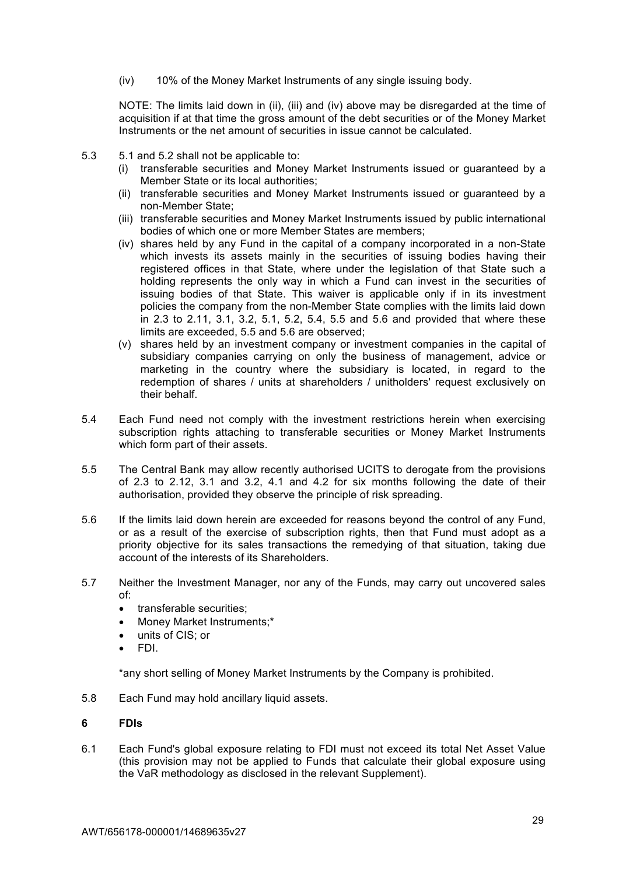(iv) 10% of the Money Market Instruments of any single issuing body.

NOTE: The limits laid down in (ii), (iii) and (iv) above may be disregarded at the time of acquisition if at that time the gross amount of the debt securities or of the Money Market Instruments or the net amount of securities in issue cannot be calculated.

- 5.3 5.1 and 5.2 shall not be applicable to:
	- (i) transferable securities and Money Market Instruments issued or guaranteed by a Member State or its local authorities;
	- (ii) transferable securities and Money Market Instruments issued or guaranteed by a non-Member State;
	- (iii) transferable securities and Money Market Instruments issued by public international bodies of which one or more Member States are members;
	- (iv) shares held by any Fund in the capital of a company incorporated in a non-State which invests its assets mainly in the securities of issuing bodies having their registered offices in that State, where under the legislation of that State such a holding represents the only way in which a Fund can invest in the securities of issuing bodies of that State. This waiver is applicable only if in its investment policies the company from the non-Member State complies with the limits laid down in 2.3 to 2.11, 3.1, 3.2, 5.1, 5.2, 5.4, 5.5 and 5.6 and provided that where these limits are exceeded, 5.5 and 5.6 are observed;
	- (v) shares held by an investment company or investment companies in the capital of subsidiary companies carrying on only the business of management, advice or marketing in the country where the subsidiary is located, in regard to the redemption of shares / units at shareholders / unitholders' request exclusively on their behalf.
- 5.4 Each Fund need not comply with the investment restrictions herein when exercising subscription rights attaching to transferable securities or Money Market Instruments which form part of their assets.
- 5.5 The Central Bank may allow recently authorised UCITS to derogate from the provisions of 2.3 to 2.12, 3.1 and 3.2, 4.1 and 4.2 for six months following the date of their authorisation, provided they observe the principle of risk spreading.
- 5.6 If the limits laid down herein are exceeded for reasons beyond the control of any Fund, or as a result of the exercise of subscription rights, then that Fund must adopt as a priority objective for its sales transactions the remedying of that situation, taking due account of the interests of its Shareholders.
- 5.7 Neither the Investment Manager, nor any of the Funds, may carry out uncovered sales of:
	- transferable securities;
	- Money Market Instruments;\*
	- units of CIS; or
	- FDI.

\*any short selling of Money Market Instruments by the Company is prohibited.

5.8 Each Fund may hold ancillary liquid assets.

### **6 FDIs**

6.1 Each Fund's global exposure relating to FDI must not exceed its total Net Asset Value (this provision may not be applied to Funds that calculate their global exposure using the VaR methodology as disclosed in the relevant Supplement).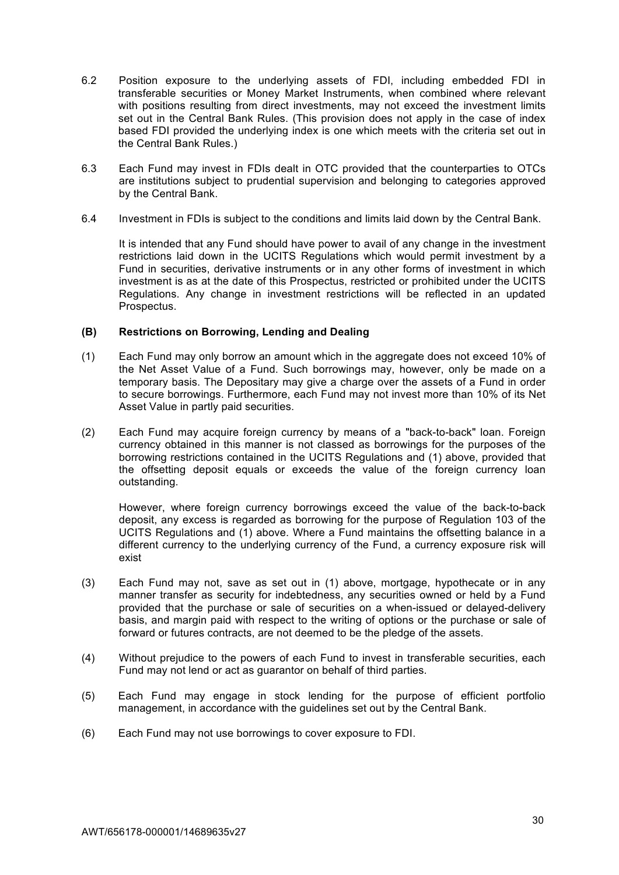- 6.2 Position exposure to the underlying assets of FDI, including embedded FDI in transferable securities or Money Market Instruments, when combined where relevant with positions resulting from direct investments, may not exceed the investment limits set out in the Central Bank Rules. (This provision does not apply in the case of index based FDI provided the underlying index is one which meets with the criteria set out in the Central Bank Rules.)
- 6.3 Each Fund may invest in FDIs dealt in OTC provided that the counterparties to OTCs are institutions subject to prudential supervision and belonging to categories approved by the Central Bank.
- 6.4 Investment in FDIs is subject to the conditions and limits laid down by the Central Bank.

It is intended that any Fund should have power to avail of any change in the investment restrictions laid down in the UCITS Regulations which would permit investment by a Fund in securities, derivative instruments or in any other forms of investment in which investment is as at the date of this Prospectus, restricted or prohibited under the UCITS Regulations. Any change in investment restrictions will be reflected in an updated Prospectus.

### **(B) Restrictions on Borrowing, Lending and Dealing**

- (1) Each Fund may only borrow an amount which in the aggregate does not exceed 10% of the Net Asset Value of a Fund. Such borrowings may, however, only be made on a temporary basis. The Depositary may give a charge over the assets of a Fund in order to secure borrowings. Furthermore, each Fund may not invest more than 10% of its Net Asset Value in partly paid securities.
- (2) Each Fund may acquire foreign currency by means of a "back-to-back" loan. Foreign currency obtained in this manner is not classed as borrowings for the purposes of the borrowing restrictions contained in the UCITS Regulations and (1) above, provided that the offsetting deposit equals or exceeds the value of the foreign currency loan outstanding.

However, where foreign currency borrowings exceed the value of the back-to-back deposit, any excess is regarded as borrowing for the purpose of Regulation 103 of the UCITS Regulations and (1) above. Where a Fund maintains the offsetting balance in a different currency to the underlying currency of the Fund, a currency exposure risk will exist

- (3) Each Fund may not, save as set out in (1) above, mortgage, hypothecate or in any manner transfer as security for indebtedness, any securities owned or held by a Fund provided that the purchase or sale of securities on a when-issued or delayed-delivery basis, and margin paid with respect to the writing of options or the purchase or sale of forward or futures contracts, are not deemed to be the pledge of the assets.
- (4) Without prejudice to the powers of each Fund to invest in transferable securities, each Fund may not lend or act as guarantor on behalf of third parties.
- (5) Each Fund may engage in stock lending for the purpose of efficient portfolio management, in accordance with the guidelines set out by the Central Bank.
- (6) Each Fund may not use borrowings to cover exposure to FDI.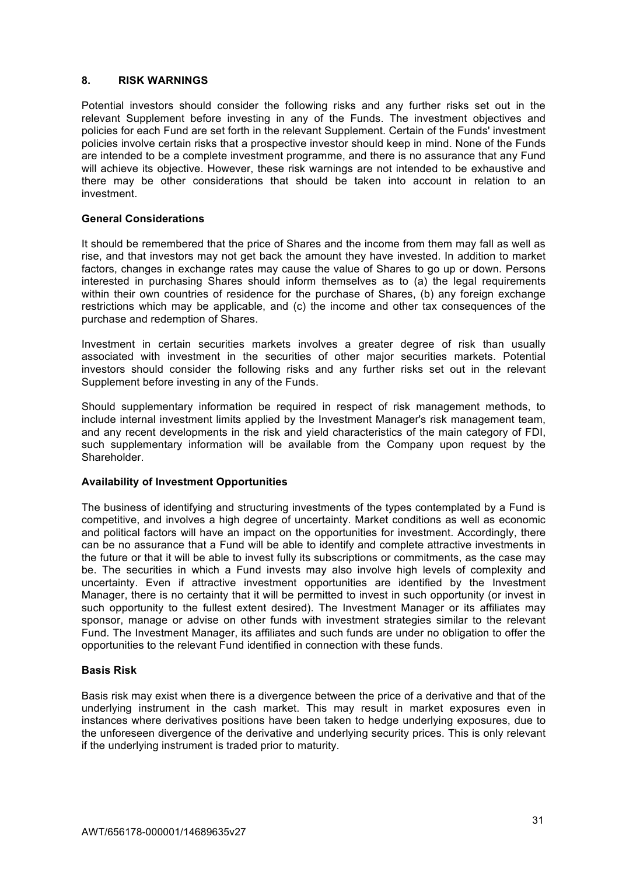# **8. RISK WARNINGS**

Potential investors should consider the following risks and any further risks set out in the relevant Supplement before investing in any of the Funds. The investment objectives and policies for each Fund are set forth in the relevant Supplement. Certain of the Funds' investment policies involve certain risks that a prospective investor should keep in mind. None of the Funds are intended to be a complete investment programme, and there is no assurance that any Fund will achieve its objective. However, these risk warnings are not intended to be exhaustive and there may be other considerations that should be taken into account in relation to an investment.

## **General Considerations**

It should be remembered that the price of Shares and the income from them may fall as well as rise, and that investors may not get back the amount they have invested. In addition to market factors, changes in exchange rates may cause the value of Shares to go up or down. Persons interested in purchasing Shares should inform themselves as to (a) the legal requirements within their own countries of residence for the purchase of Shares, (b) any foreign exchange restrictions which may be applicable, and (c) the income and other tax consequences of the purchase and redemption of Shares.

Investment in certain securities markets involves a greater degree of risk than usually associated with investment in the securities of other major securities markets. Potential investors should consider the following risks and any further risks set out in the relevant Supplement before investing in any of the Funds.

Should supplementary information be required in respect of risk management methods, to include internal investment limits applied by the Investment Manager's risk management team, and any recent developments in the risk and yield characteristics of the main category of FDI, such supplementary information will be available from the Company upon request by the Shareholder.

## **Availability of Investment Opportunities**

The business of identifying and structuring investments of the types contemplated by a Fund is competitive, and involves a high degree of uncertainty. Market conditions as well as economic and political factors will have an impact on the opportunities for investment. Accordingly, there can be no assurance that a Fund will be able to identify and complete attractive investments in the future or that it will be able to invest fully its subscriptions or commitments, as the case may be. The securities in which a Fund invests may also involve high levels of complexity and uncertainty. Even if attractive investment opportunities are identified by the Investment Manager, there is no certainty that it will be permitted to invest in such opportunity (or invest in such opportunity to the fullest extent desired). The Investment Manager or its affiliates may sponsor, manage or advise on other funds with investment strategies similar to the relevant Fund. The Investment Manager, its affiliates and such funds are under no obligation to offer the opportunities to the relevant Fund identified in connection with these funds.

## **Basis Risk**

Basis risk may exist when there is a divergence between the price of a derivative and that of the underlying instrument in the cash market. This may result in market exposures even in instances where derivatives positions have been taken to hedge underlying exposures, due to the unforeseen divergence of the derivative and underlying security prices. This is only relevant if the underlying instrument is traded prior to maturity.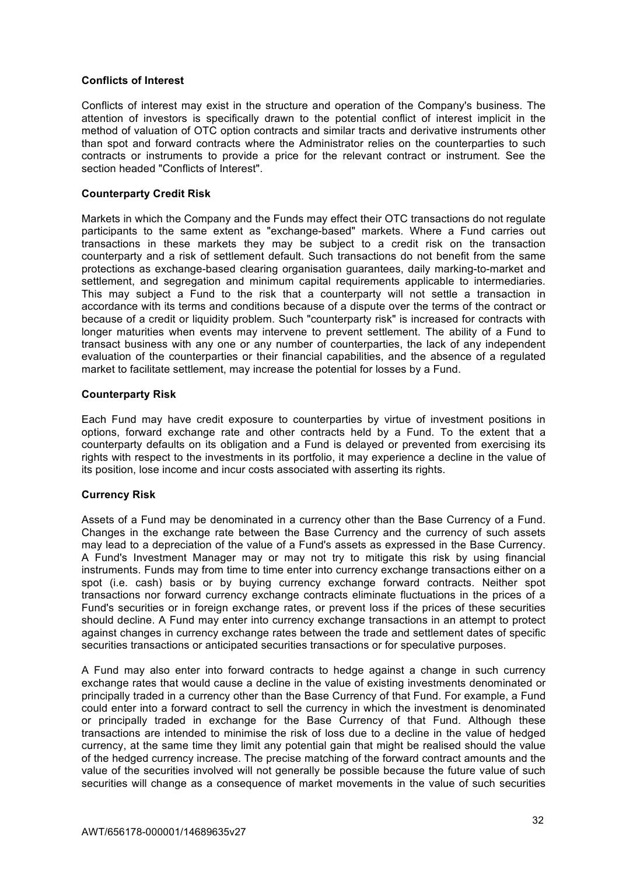## **Conflicts of Interest**

Conflicts of interest may exist in the structure and operation of the Company's business. The attention of investors is specifically drawn to the potential conflict of interest implicit in the method of valuation of OTC option contracts and similar tracts and derivative instruments other than spot and forward contracts where the Administrator relies on the counterparties to such contracts or instruments to provide a price for the relevant contract or instrument. See the section headed "Conflicts of Interest".

### **Counterparty Credit Risk**

Markets in which the Company and the Funds may effect their OTC transactions do not regulate participants to the same extent as "exchange-based" markets. Where a Fund carries out transactions in these markets they may be subject to a credit risk on the transaction counterparty and a risk of settlement default. Such transactions do not benefit from the same protections as exchange-based clearing organisation guarantees, daily marking-to-market and settlement, and segregation and minimum capital requirements applicable to intermediaries. This may subject a Fund to the risk that a counterparty will not settle a transaction in accordance with its terms and conditions because of a dispute over the terms of the contract or because of a credit or liquidity problem. Such "counterparty risk" is increased for contracts with longer maturities when events may intervene to prevent settlement. The ability of a Fund to transact business with any one or any number of counterparties, the lack of any independent evaluation of the counterparties or their financial capabilities, and the absence of a regulated market to facilitate settlement, may increase the potential for losses by a Fund.

### **Counterparty Risk**

Each Fund may have credit exposure to counterparties by virtue of investment positions in options, forward exchange rate and other contracts held by a Fund. To the extent that a counterparty defaults on its obligation and a Fund is delayed or prevented from exercising its rights with respect to the investments in its portfolio, it may experience a decline in the value of its position, lose income and incur costs associated with asserting its rights.

## **Currency Risk**

Assets of a Fund may be denominated in a currency other than the Base Currency of a Fund. Changes in the exchange rate between the Base Currency and the currency of such assets may lead to a depreciation of the value of a Fund's assets as expressed in the Base Currency. A Fund's Investment Manager may or may not try to mitigate this risk by using financial instruments. Funds may from time to time enter into currency exchange transactions either on a spot (i.e. cash) basis or by buying currency exchange forward contracts. Neither spot transactions nor forward currency exchange contracts eliminate fluctuations in the prices of a Fund's securities or in foreign exchange rates, or prevent loss if the prices of these securities should decline. A Fund may enter into currency exchange transactions in an attempt to protect against changes in currency exchange rates between the trade and settlement dates of specific securities transactions or anticipated securities transactions or for speculative purposes.

A Fund may also enter into forward contracts to hedge against a change in such currency exchange rates that would cause a decline in the value of existing investments denominated or principally traded in a currency other than the Base Currency of that Fund. For example, a Fund could enter into a forward contract to sell the currency in which the investment is denominated or principally traded in exchange for the Base Currency of that Fund. Although these transactions are intended to minimise the risk of loss due to a decline in the value of hedged currency, at the same time they limit any potential gain that might be realised should the value of the hedged currency increase. The precise matching of the forward contract amounts and the value of the securities involved will not generally be possible because the future value of such securities will change as a consequence of market movements in the value of such securities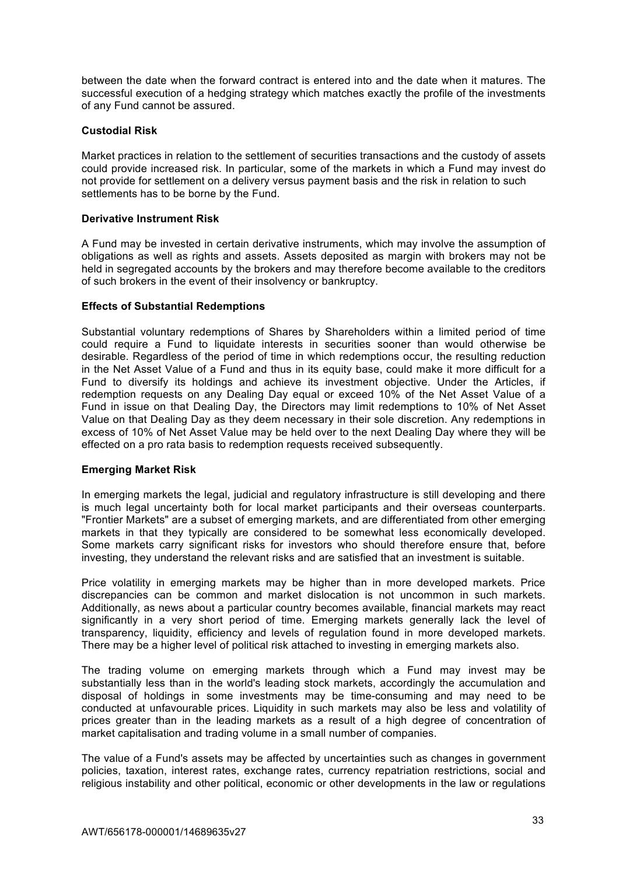between the date when the forward contract is entered into and the date when it matures. The successful execution of a hedging strategy which matches exactly the profile of the investments of any Fund cannot be assured.

# **Custodial Risk**

Market practices in relation to the settlement of securities transactions and the custody of assets could provide increased risk. In particular, some of the markets in which a Fund may invest do not provide for settlement on a delivery versus payment basis and the risk in relation to such settlements has to be borne by the Fund.

# **Derivative Instrument Risk**

A Fund may be invested in certain derivative instruments, which may involve the assumption of obligations as well as rights and assets. Assets deposited as margin with brokers may not be held in segregated accounts by the brokers and may therefore become available to the creditors of such brokers in the event of their insolvency or bankruptcy.

# **Effects of Substantial Redemptions**

Substantial voluntary redemptions of Shares by Shareholders within a limited period of time could require a Fund to liquidate interests in securities sooner than would otherwise be desirable. Regardless of the period of time in which redemptions occur, the resulting reduction in the Net Asset Value of a Fund and thus in its equity base, could make it more difficult for a Fund to diversify its holdings and achieve its investment objective. Under the Articles, if redemption requests on any Dealing Day equal or exceed 10% of the Net Asset Value of a Fund in issue on that Dealing Day, the Directors may limit redemptions to 10% of Net Asset Value on that Dealing Day as they deem necessary in their sole discretion. Any redemptions in excess of 10% of Net Asset Value may be held over to the next Dealing Day where they will be effected on a pro rata basis to redemption requests received subsequently.

## **Emerging Market Risk**

In emerging markets the legal, judicial and regulatory infrastructure is still developing and there is much legal uncertainty both for local market participants and their overseas counterparts. "Frontier Markets" are a subset of emerging markets, and are differentiated from other emerging markets in that they typically are considered to be somewhat less economically developed. Some markets carry significant risks for investors who should therefore ensure that, before investing, they understand the relevant risks and are satisfied that an investment is suitable.

Price volatility in emerging markets may be higher than in more developed markets. Price discrepancies can be common and market dislocation is not uncommon in such markets. Additionally, as news about a particular country becomes available, financial markets may react significantly in a very short period of time. Emerging markets generally lack the level of transparency, liquidity, efficiency and levels of regulation found in more developed markets. There may be a higher level of political risk attached to investing in emerging markets also.

The trading volume on emerging markets through which a Fund may invest may be substantially less than in the world's leading stock markets, accordingly the accumulation and disposal of holdings in some investments may be time-consuming and may need to be conducted at unfavourable prices. Liquidity in such markets may also be less and volatility of prices greater than in the leading markets as a result of a high degree of concentration of market capitalisation and trading volume in a small number of companies.

The value of a Fund's assets may be affected by uncertainties such as changes in government policies, taxation, interest rates, exchange rates, currency repatriation restrictions, social and religious instability and other political, economic or other developments in the law or regulations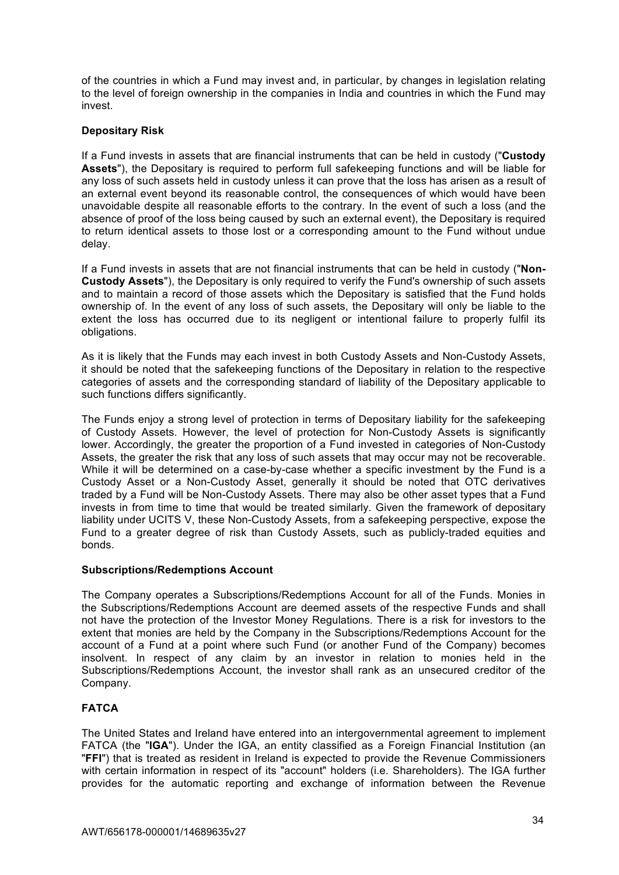of the countries in which a Fund may invest and, in particular, by changes in legislation relating to the level of foreign ownership in the companies in India and countries in which the Fund may invest.

# **Depositary Risk**

If a Fund invests in assets that are financial instruments that can be held in custody ("**Custody Assets**"), the Depositary is required to perform full safekeeping functions and will be liable for any loss of such assets held in custody unless it can prove that the loss has arisen as a result of an external event beyond its reasonable control, the consequences of which would have been unavoidable despite all reasonable efforts to the contrary. In the event of such a loss (and the absence of proof of the loss being caused by such an external event), the Depositary is required to return identical assets to those lost or a corresponding amount to the Fund without undue delay.

If a Fund invests in assets that are not financial instruments that can be held in custody ("**Non-Custody Assets**"), the Depositary is only required to verify the Fund's ownership of such assets and to maintain a record of those assets which the Depositary is satisfied that the Fund holds ownership of. In the event of any loss of such assets, the Depositary will only be liable to the extent the loss has occurred due to its negligent or intentional failure to properly fulfil its obligations.

As it is likely that the Funds may each invest in both Custody Assets and Non-Custody Assets, it should be noted that the safekeeping functions of the Depositary in relation to the respective categories of assets and the corresponding standard of liability of the Depositary applicable to such functions differs significantly.

The Funds enjoy a strong level of protection in terms of Depositary liability for the safekeeping of Custody Assets. However, the level of protection for Non-Custody Assets is significantly lower. Accordingly, the greater the proportion of a Fund invested in categories of Non-Custody Assets, the greater the risk that any loss of such assets that may occur may not be recoverable. While it will be determined on a case-by-case whether a specific investment by the Fund is a Custody Asset or a Non-Custody Asset, generally it should be noted that OTC derivatives traded by a Fund will be Non-Custody Assets. There may also be other asset types that a Fund invests in from time to time that would be treated similarly. Given the framework of depositary liability under UCITS V, these Non-Custody Assets, from a safekeeping perspective, expose the Fund to a greater degree of risk than Custody Assets, such as publicly-traded equities and bonds.

# **Subscriptions/Redemptions Account**

The Company operates a Subscriptions/Redemptions Account for all of the Funds. Monies in the Subscriptions/Redemptions Account are deemed assets of the respective Funds and shall not have the protection of the Investor Money Regulations. There is a risk for investors to the extent that monies are held by the Company in the Subscriptions/Redemptions Account for the account of a Fund at a point where such Fund (or another Fund of the Company) becomes insolvent. In respect of any claim by an investor in relation to monies held in the Subscriptions/Redemptions Account, the investor shall rank as an unsecured creditor of the Company.

# **FATCA**

The United States and Ireland have entered into an intergovernmental agreement to implement FATCA (the "**IGA**"). Under the IGA, an entity classified as a Foreign Financial Institution (an "**FFI**") that is treated as resident in Ireland is expected to provide the Revenue Commissioners with certain information in respect of its "account" holders (i.e. Shareholders). The IGA further provides for the automatic reporting and exchange of information between the Revenue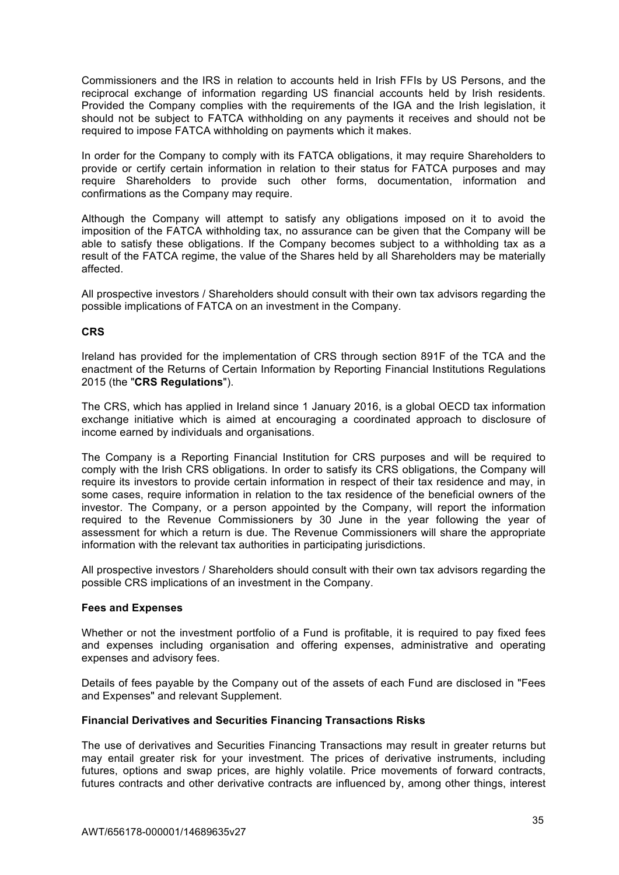Commissioners and the IRS in relation to accounts held in Irish FFIs by US Persons, and the reciprocal exchange of information regarding US financial accounts held by Irish residents. Provided the Company complies with the requirements of the IGA and the Irish legislation, it should not be subject to FATCA withholding on any payments it receives and should not be required to impose FATCA withholding on payments which it makes.

In order for the Company to comply with its FATCA obligations, it may require Shareholders to provide or certify certain information in relation to their status for FATCA purposes and may require Shareholders to provide such other forms, documentation, information and confirmations as the Company may require.

Although the Company will attempt to satisfy any obligations imposed on it to avoid the imposition of the FATCA withholding tax, no assurance can be given that the Company will be able to satisfy these obligations. If the Company becomes subject to a withholding tax as a result of the FATCA regime, the value of the Shares held by all Shareholders may be materially affected.

All prospective investors / Shareholders should consult with their own tax advisors regarding the possible implications of FATCA on an investment in the Company.

## **CRS**

Ireland has provided for the implementation of CRS through section 891F of the TCA and the enactment of the Returns of Certain Information by Reporting Financial Institutions Regulations 2015 (the "**CRS Regulations**").

The CRS, which has applied in Ireland since 1 January 2016, is a global OECD tax information exchange initiative which is aimed at encouraging a coordinated approach to disclosure of income earned by individuals and organisations.

The Company is a Reporting Financial Institution for CRS purposes and will be required to comply with the Irish CRS obligations. In order to satisfy its CRS obligations, the Company will require its investors to provide certain information in respect of their tax residence and may, in some cases, require information in relation to the tax residence of the beneficial owners of the investor. The Company, or a person appointed by the Company, will report the information required to the Revenue Commissioners by 30 June in the year following the year of assessment for which a return is due. The Revenue Commissioners will share the appropriate information with the relevant tax authorities in participating jurisdictions.

All prospective investors / Shareholders should consult with their own tax advisors regarding the possible CRS implications of an investment in the Company.

### **Fees and Expenses**

Whether or not the investment portfolio of a Fund is profitable, it is required to pay fixed fees and expenses including organisation and offering expenses, administrative and operating expenses and advisory fees.

Details of fees payable by the Company out of the assets of each Fund are disclosed in "Fees and Expenses" and relevant Supplement.

### **Financial Derivatives and Securities Financing Transactions Risks**

The use of derivatives and Securities Financing Transactions may result in greater returns but may entail greater risk for your investment. The prices of derivative instruments, including futures, options and swap prices, are highly volatile. Price movements of forward contracts, futures contracts and other derivative contracts are influenced by, among other things, interest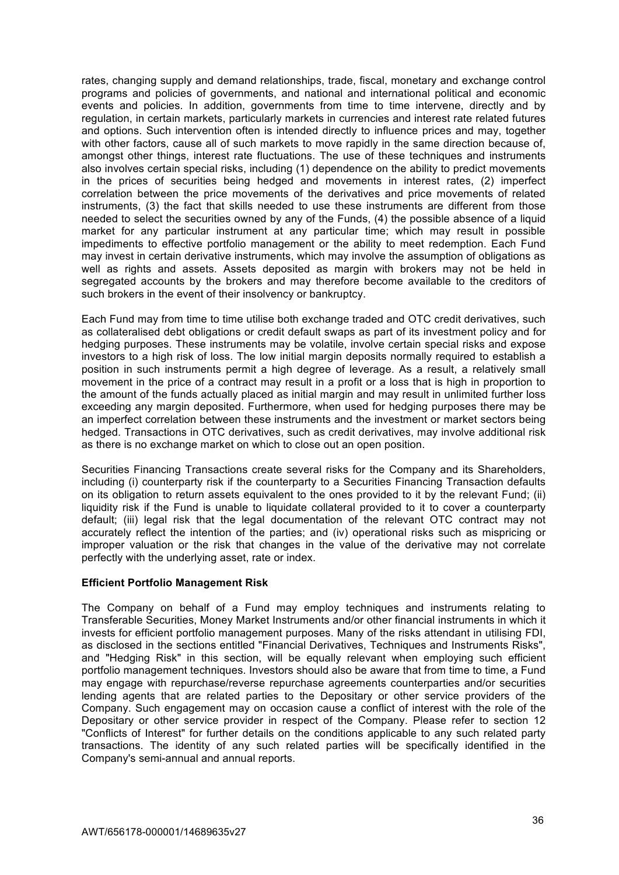rates, changing supply and demand relationships, trade, fiscal, monetary and exchange control programs and policies of governments, and national and international political and economic events and policies. In addition, governments from time to time intervene, directly and by regulation, in certain markets, particularly markets in currencies and interest rate related futures and options. Such intervention often is intended directly to influence prices and may, together with other factors, cause all of such markets to move rapidly in the same direction because of, amongst other things, interest rate fluctuations. The use of these techniques and instruments also involves certain special risks, including (1) dependence on the ability to predict movements in the prices of securities being hedged and movements in interest rates, (2) imperfect correlation between the price movements of the derivatives and price movements of related instruments, (3) the fact that skills needed to use these instruments are different from those needed to select the securities owned by any of the Funds, (4) the possible absence of a liquid market for any particular instrument at any particular time; which may result in possible impediments to effective portfolio management or the ability to meet redemption. Each Fund may invest in certain derivative instruments, which may involve the assumption of obligations as well as rights and assets. Assets deposited as margin with brokers may not be held in segregated accounts by the brokers and may therefore become available to the creditors of such brokers in the event of their insolvency or bankruptcy.

Each Fund may from time to time utilise both exchange traded and OTC credit derivatives, such as collateralised debt obligations or credit default swaps as part of its investment policy and for hedging purposes. These instruments may be volatile, involve certain special risks and expose investors to a high risk of loss. The low initial margin deposits normally required to establish a position in such instruments permit a high degree of leverage. As a result, a relatively small movement in the price of a contract may result in a profit or a loss that is high in proportion to the amount of the funds actually placed as initial margin and may result in unlimited further loss exceeding any margin deposited. Furthermore, when used for hedging purposes there may be an imperfect correlation between these instruments and the investment or market sectors being hedged. Transactions in OTC derivatives, such as credit derivatives, may involve additional risk as there is no exchange market on which to close out an open position.

Securities Financing Transactions create several risks for the Company and its Shareholders, including (i) counterparty risk if the counterparty to a Securities Financing Transaction defaults on its obligation to return assets equivalent to the ones provided to it by the relevant Fund; (ii) liquidity risk if the Fund is unable to liquidate collateral provided to it to cover a counterparty default; (iii) legal risk that the legal documentation of the relevant OTC contract may not accurately reflect the intention of the parties; and (iv) operational risks such as mispricing or improper valuation or the risk that changes in the value of the derivative may not correlate perfectly with the underlying asset, rate or index.

## **Efficient Portfolio Management Risk**

The Company on behalf of a Fund may employ techniques and instruments relating to Transferable Securities, Money Market Instruments and/or other financial instruments in which it invests for efficient portfolio management purposes. Many of the risks attendant in utilising FDI, as disclosed in the sections entitled "Financial Derivatives, Techniques and Instruments Risks", and "Hedging Risk" in this section, will be equally relevant when employing such efficient portfolio management techniques. Investors should also be aware that from time to time, a Fund may engage with repurchase/reverse repurchase agreements counterparties and/or securities lending agents that are related parties to the Depositary or other service providers of the Company. Such engagement may on occasion cause a conflict of interest with the role of the Depositary or other service provider in respect of the Company. Please refer to section 12 "Conflicts of Interest" for further details on the conditions applicable to any such related party transactions. The identity of any such related parties will be specifically identified in the Company's semi-annual and annual reports.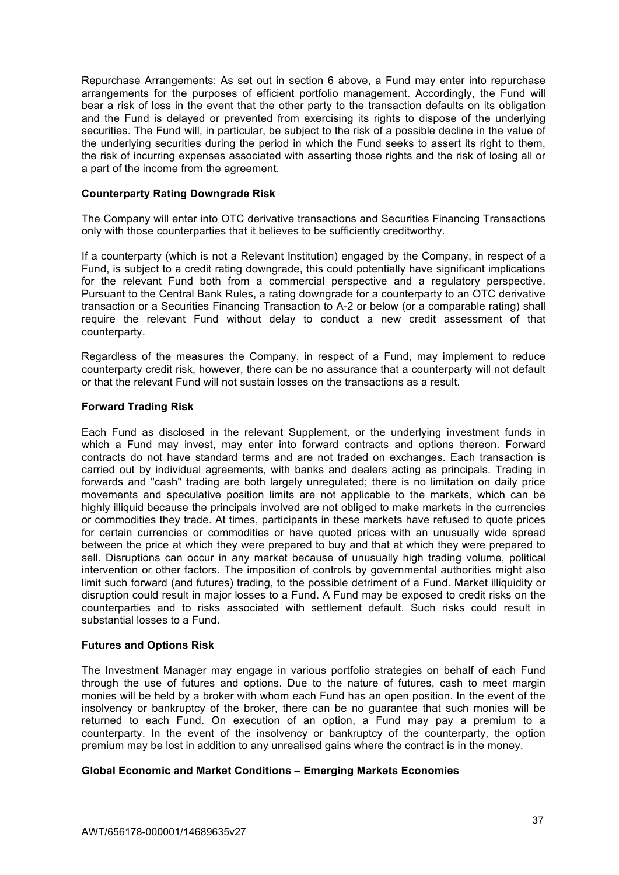Repurchase Arrangements: As set out in section 6 above, a Fund may enter into repurchase arrangements for the purposes of efficient portfolio management. Accordingly, the Fund will bear a risk of loss in the event that the other party to the transaction defaults on its obligation and the Fund is delayed or prevented from exercising its rights to dispose of the underlying securities. The Fund will, in particular, be subject to the risk of a possible decline in the value of the underlying securities during the period in which the Fund seeks to assert its right to them, the risk of incurring expenses associated with asserting those rights and the risk of losing all or a part of the income from the agreement.

### **Counterparty Rating Downgrade Risk**

The Company will enter into OTC derivative transactions and Securities Financing Transactions only with those counterparties that it believes to be sufficiently creditworthy.

If a counterparty (which is not a Relevant Institution) engaged by the Company, in respect of a Fund, is subject to a credit rating downgrade, this could potentially have significant implications for the relevant Fund both from a commercial perspective and a regulatory perspective. Pursuant to the Central Bank Rules, a rating downgrade for a counterparty to an OTC derivative transaction or a Securities Financing Transaction to A-2 or below (or a comparable rating) shall require the relevant Fund without delay to conduct a new credit assessment of that counterparty.

Regardless of the measures the Company, in respect of a Fund, may implement to reduce counterparty credit risk, however, there can be no assurance that a counterparty will not default or that the relevant Fund will not sustain losses on the transactions as a result.

### **Forward Trading Risk**

Each Fund as disclosed in the relevant Supplement, or the underlying investment funds in which a Fund may invest, may enter into forward contracts and options thereon. Forward contracts do not have standard terms and are not traded on exchanges. Each transaction is carried out by individual agreements, with banks and dealers acting as principals. Trading in forwards and "cash" trading are both largely unregulated; there is no limitation on daily price movements and speculative position limits are not applicable to the markets, which can be highly illiquid because the principals involved are not obliged to make markets in the currencies or commodities they trade. At times, participants in these markets have refused to quote prices for certain currencies or commodities or have quoted prices with an unusually wide spread between the price at which they were prepared to buy and that at which they were prepared to sell. Disruptions can occur in any market because of unusually high trading volume, political intervention or other factors. The imposition of controls by governmental authorities might also limit such forward (and futures) trading, to the possible detriment of a Fund. Market illiquidity or disruption could result in major losses to a Fund. A Fund may be exposed to credit risks on the counterparties and to risks associated with settlement default. Such risks could result in substantial losses to a Fund.

### **Futures and Options Risk**

The Investment Manager may engage in various portfolio strategies on behalf of each Fund through the use of futures and options. Due to the nature of futures, cash to meet margin monies will be held by a broker with whom each Fund has an open position. In the event of the insolvency or bankruptcy of the broker, there can be no guarantee that such monies will be returned to each Fund. On execution of an option, a Fund may pay a premium to a counterparty. In the event of the insolvency or bankruptcy of the counterparty, the option premium may be lost in addition to any unrealised gains where the contract is in the money.

### **Global Economic and Market Conditions – Emerging Markets Economies**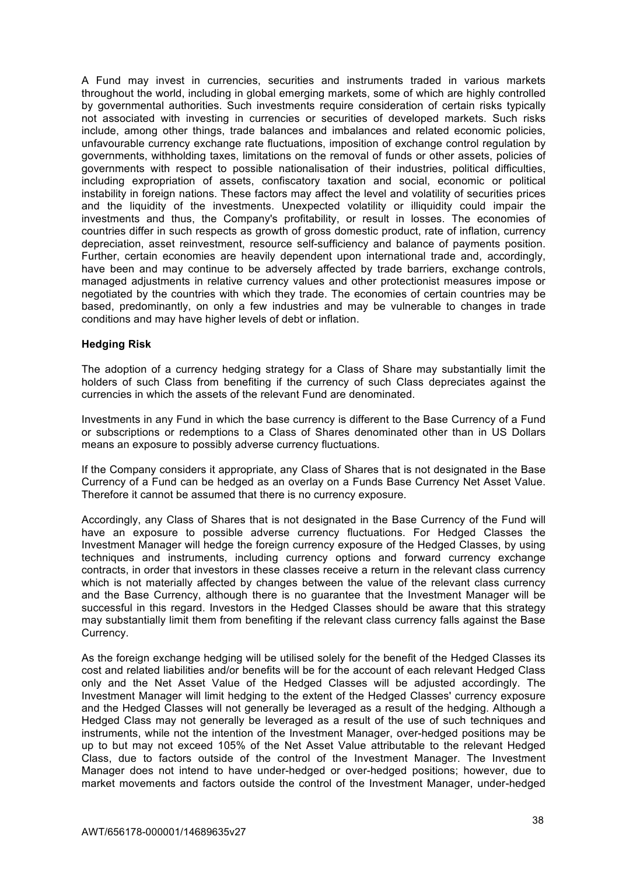A Fund may invest in currencies, securities and instruments traded in various markets throughout the world, including in global emerging markets, some of which are highly controlled by governmental authorities. Such investments require consideration of certain risks typically not associated with investing in currencies or securities of developed markets. Such risks include, among other things, trade balances and imbalances and related economic policies, unfavourable currency exchange rate fluctuations, imposition of exchange control regulation by governments, withholding taxes, limitations on the removal of funds or other assets, policies of governments with respect to possible nationalisation of their industries, political difficulties, including expropriation of assets, confiscatory taxation and social, economic or political instability in foreign nations. These factors may affect the level and volatility of securities prices and the liquidity of the investments. Unexpected volatility or illiquidity could impair the investments and thus, the Company's profitability, or result in losses. The economies of countries differ in such respects as growth of gross domestic product, rate of inflation, currency depreciation, asset reinvestment, resource self-sufficiency and balance of payments position. Further, certain economies are heavily dependent upon international trade and, accordingly, have been and may continue to be adversely affected by trade barriers, exchange controls, managed adjustments in relative currency values and other protectionist measures impose or negotiated by the countries with which they trade. The economies of certain countries may be based, predominantly, on only a few industries and may be vulnerable to changes in trade conditions and may have higher levels of debt or inflation.

#### **Hedging Risk**

The adoption of a currency hedging strategy for a Class of Share may substantially limit the holders of such Class from benefiting if the currency of such Class depreciates against the currencies in which the assets of the relevant Fund are denominated.

Investments in any Fund in which the base currency is different to the Base Currency of a Fund or subscriptions or redemptions to a Class of Shares denominated other than in US Dollars means an exposure to possibly adverse currency fluctuations.

If the Company considers it appropriate, any Class of Shares that is not designated in the Base Currency of a Fund can be hedged as an overlay on a Funds Base Currency Net Asset Value. Therefore it cannot be assumed that there is no currency exposure.

Accordingly, any Class of Shares that is not designated in the Base Currency of the Fund will have an exposure to possible adverse currency fluctuations. For Hedged Classes the Investment Manager will hedge the foreign currency exposure of the Hedged Classes, by using techniques and instruments, including currency options and forward currency exchange contracts, in order that investors in these classes receive a return in the relevant class currency which is not materially affected by changes between the value of the relevant class currency and the Base Currency, although there is no guarantee that the Investment Manager will be successful in this regard. Investors in the Hedged Classes should be aware that this strategy may substantially limit them from benefiting if the relevant class currency falls against the Base Currency.

As the foreign exchange hedging will be utilised solely for the benefit of the Hedged Classes its cost and related liabilities and/or benefits will be for the account of each relevant Hedged Class only and the Net Asset Value of the Hedged Classes will be adjusted accordingly. The Investment Manager will limit hedging to the extent of the Hedged Classes' currency exposure and the Hedged Classes will not generally be leveraged as a result of the hedging. Although a Hedged Class may not generally be leveraged as a result of the use of such techniques and instruments, while not the intention of the Investment Manager, over-hedged positions may be up to but may not exceed 105% of the Net Asset Value attributable to the relevant Hedged Class, due to factors outside of the control of the Investment Manager. The Investment Manager does not intend to have under-hedged or over-hedged positions; however, due to market movements and factors outside the control of the Investment Manager, under-hedged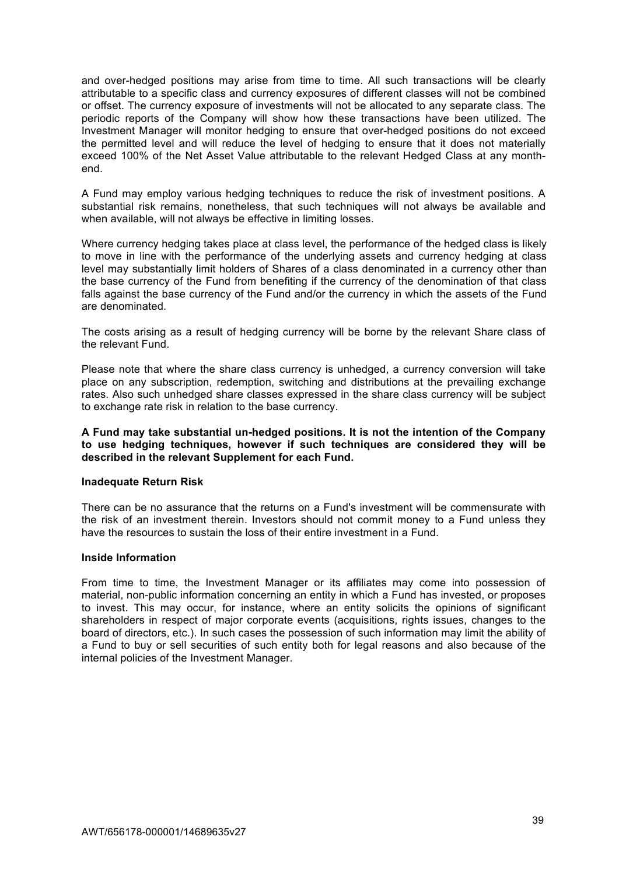and over-hedged positions may arise from time to time. All such transactions will be clearly attributable to a specific class and currency exposures of different classes will not be combined or offset. The currency exposure of investments will not be allocated to any separate class. The periodic reports of the Company will show how these transactions have been utilized. The Investment Manager will monitor hedging to ensure that over-hedged positions do not exceed the permitted level and will reduce the level of hedging to ensure that it does not materially exceed 100% of the Net Asset Value attributable to the relevant Hedged Class at any monthend.

A Fund may employ various hedging techniques to reduce the risk of investment positions. A substantial risk remains, nonetheless, that such techniques will not always be available and when available, will not always be effective in limiting losses.

Where currency hedging takes place at class level, the performance of the hedged class is likely to move in line with the performance of the underlying assets and currency hedging at class level may substantially limit holders of Shares of a class denominated in a currency other than the base currency of the Fund from benefiting if the currency of the denomination of that class falls against the base currency of the Fund and/or the currency in which the assets of the Fund are denominated.

The costs arising as a result of hedging currency will be borne by the relevant Share class of the relevant Fund.

Please note that where the share class currency is unhedged, a currency conversion will take place on any subscription, redemption, switching and distributions at the prevailing exchange rates. Also such unhedged share classes expressed in the share class currency will be subject to exchange rate risk in relation to the base currency.

**A Fund may take substantial un-hedged positions. It is not the intention of the Company to use hedging techniques, however if such techniques are considered they will be described in the relevant Supplement for each Fund.**

### **Inadequate Return Risk**

There can be no assurance that the returns on a Fund's investment will be commensurate with the risk of an investment therein. Investors should not commit money to a Fund unless they have the resources to sustain the loss of their entire investment in a Fund.

#### **Inside Information**

From time to time, the Investment Manager or its affiliates may come into possession of material, non-public information concerning an entity in which a Fund has invested, or proposes to invest. This may occur, for instance, where an entity solicits the opinions of significant shareholders in respect of major corporate events (acquisitions, rights issues, changes to the board of directors, etc.). In such cases the possession of such information may limit the ability of a Fund to buy or sell securities of such entity both for legal reasons and also because of the internal policies of the Investment Manager.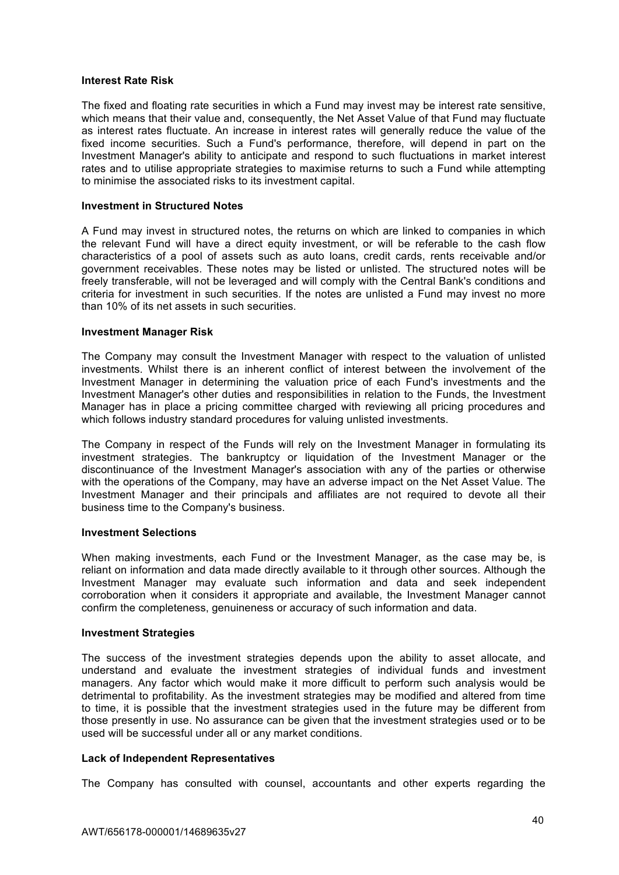#### **Interest Rate Risk**

The fixed and floating rate securities in which a Fund may invest may be interest rate sensitive, which means that their value and, consequently, the Net Asset Value of that Fund may fluctuate as interest rates fluctuate. An increase in interest rates will generally reduce the value of the fixed income securities. Such a Fund's performance, therefore, will depend in part on the Investment Manager's ability to anticipate and respond to such fluctuations in market interest rates and to utilise appropriate strategies to maximise returns to such a Fund while attempting to minimise the associated risks to its investment capital.

#### **Investment in Structured Notes**

A Fund may invest in structured notes, the returns on which are linked to companies in which the relevant Fund will have a direct equity investment, or will be referable to the cash flow characteristics of a pool of assets such as auto loans, credit cards, rents receivable and/or government receivables. These notes may be listed or unlisted. The structured notes will be freely transferable, will not be leveraged and will comply with the Central Bank's conditions and criteria for investment in such securities. If the notes are unlisted a Fund may invest no more than 10% of its net assets in such securities.

#### **Investment Manager Risk**

The Company may consult the Investment Manager with respect to the valuation of unlisted investments. Whilst there is an inherent conflict of interest between the involvement of the Investment Manager in determining the valuation price of each Fund's investments and the Investment Manager's other duties and responsibilities in relation to the Funds, the Investment Manager has in place a pricing committee charged with reviewing all pricing procedures and which follows industry standard procedures for valuing unlisted investments.

The Company in respect of the Funds will rely on the Investment Manager in formulating its investment strategies. The bankruptcy or liquidation of the Investment Manager or the discontinuance of the Investment Manager's association with any of the parties or otherwise with the operations of the Company, may have an adverse impact on the Net Asset Value. The Investment Manager and their principals and affiliates are not required to devote all their business time to the Company's business.

#### **Investment Selections**

When making investments, each Fund or the Investment Manager, as the case may be, is reliant on information and data made directly available to it through other sources. Although the Investment Manager may evaluate such information and data and seek independent corroboration when it considers it appropriate and available, the Investment Manager cannot confirm the completeness, genuineness or accuracy of such information and data.

#### **Investment Strategies**

The success of the investment strategies depends upon the ability to asset allocate, and understand and evaluate the investment strategies of individual funds and investment managers. Any factor which would make it more difficult to perform such analysis would be detrimental to profitability. As the investment strategies may be modified and altered from time to time, it is possible that the investment strategies used in the future may be different from those presently in use. No assurance can be given that the investment strategies used or to be used will be successful under all or any market conditions.

### **Lack of Independent Representatives**

The Company has consulted with counsel, accountants and other experts regarding the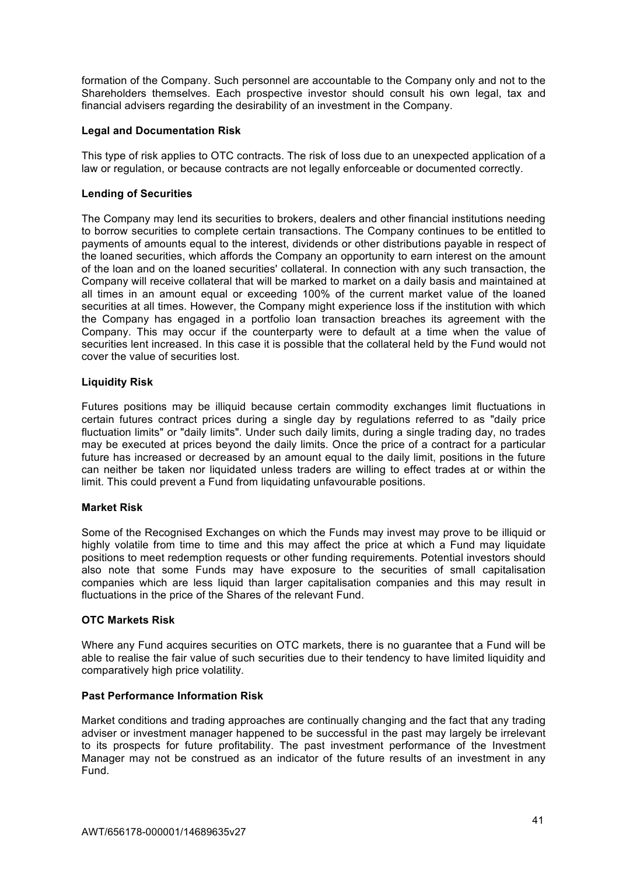formation of the Company. Such personnel are accountable to the Company only and not to the Shareholders themselves. Each prospective investor should consult his own legal, tax and financial advisers regarding the desirability of an investment in the Company.

## **Legal and Documentation Risk**

This type of risk applies to OTC contracts. The risk of loss due to an unexpected application of a law or regulation, or because contracts are not legally enforceable or documented correctly.

# **Lending of Securities**

The Company may lend its securities to brokers, dealers and other financial institutions needing to borrow securities to complete certain transactions. The Company continues to be entitled to payments of amounts equal to the interest, dividends or other distributions payable in respect of the loaned securities, which affords the Company an opportunity to earn interest on the amount of the loan and on the loaned securities' collateral. In connection with any such transaction, the Company will receive collateral that will be marked to market on a daily basis and maintained at all times in an amount equal or exceeding 100% of the current market value of the loaned securities at all times. However, the Company might experience loss if the institution with which the Company has engaged in a portfolio loan transaction breaches its agreement with the Company. This may occur if the counterparty were to default at a time when the value of securities lent increased. In this case it is possible that the collateral held by the Fund would not cover the value of securities lost.

# **Liquidity Risk**

Futures positions may be illiquid because certain commodity exchanges limit fluctuations in certain futures contract prices during a single day by regulations referred to as "daily price fluctuation limits" or "daily limits". Under such daily limits, during a single trading day, no trades may be executed at prices beyond the daily limits. Once the price of a contract for a particular future has increased or decreased by an amount equal to the daily limit, positions in the future can neither be taken nor liquidated unless traders are willing to effect trades at or within the limit. This could prevent a Fund from liquidating unfavourable positions.

### **Market Risk**

Some of the Recognised Exchanges on which the Funds may invest may prove to be illiquid or highly volatile from time to time and this may affect the price at which a Fund may liquidate positions to meet redemption requests or other funding requirements. Potential investors should also note that some Funds may have exposure to the securities of small capitalisation companies which are less liquid than larger capitalisation companies and this may result in fluctuations in the price of the Shares of the relevant Fund.

### **OTC Markets Risk**

Where any Fund acquires securities on OTC markets, there is no guarantee that a Fund will be able to realise the fair value of such securities due to their tendency to have limited liquidity and comparatively high price volatility.

### **Past Performance Information Risk**

Market conditions and trading approaches are continually changing and the fact that any trading adviser or investment manager happened to be successful in the past may largely be irrelevant to its prospects for future profitability. The past investment performance of the Investment Manager may not be construed as an indicator of the future results of an investment in any Fund.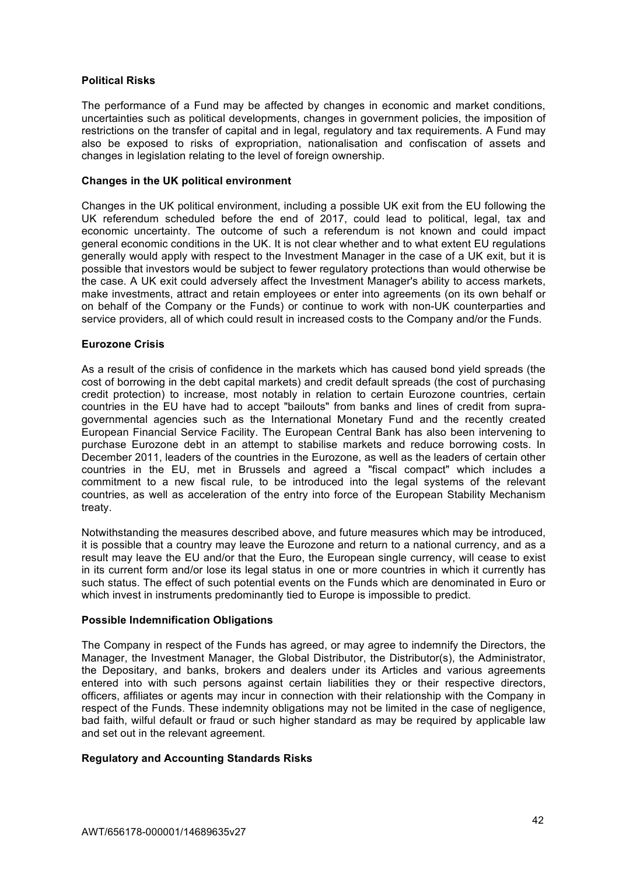## **Political Risks**

The performance of a Fund may be affected by changes in economic and market conditions, uncertainties such as political developments, changes in government policies, the imposition of restrictions on the transfer of capital and in legal, regulatory and tax requirements. A Fund may also be exposed to risks of expropriation, nationalisation and confiscation of assets and changes in legislation relating to the level of foreign ownership.

### **Changes in the UK political environment**

Changes in the UK political environment, including a possible UK exit from the EU following the UK referendum scheduled before the end of 2017, could lead to political, legal, tax and economic uncertainty. The outcome of such a referendum is not known and could impact general economic conditions in the UK. It is not clear whether and to what extent EU regulations generally would apply with respect to the Investment Manager in the case of a UK exit, but it is possible that investors would be subject to fewer regulatory protections than would otherwise be the case. A UK exit could adversely affect the Investment Manager's ability to access markets, make investments, attract and retain employees or enter into agreements (on its own behalf or on behalf of the Company or the Funds) or continue to work with non-UK counterparties and service providers, all of which could result in increased costs to the Company and/or the Funds.

# **Eurozone Crisis**

As a result of the crisis of confidence in the markets which has caused bond yield spreads (the cost of borrowing in the debt capital markets) and credit default spreads (the cost of purchasing credit protection) to increase, most notably in relation to certain Eurozone countries, certain countries in the EU have had to accept "bailouts" from banks and lines of credit from supragovernmental agencies such as the International Monetary Fund and the recently created European Financial Service Facility. The European Central Bank has also been intervening to purchase Eurozone debt in an attempt to stabilise markets and reduce borrowing costs. In December 2011, leaders of the countries in the Eurozone, as well as the leaders of certain other countries in the EU, met in Brussels and agreed a "fiscal compact" which includes a commitment to a new fiscal rule, to be introduced into the legal systems of the relevant countries, as well as acceleration of the entry into force of the European Stability Mechanism treaty.

Notwithstanding the measures described above, and future measures which may be introduced, it is possible that a country may leave the Eurozone and return to a national currency, and as a result may leave the EU and/or that the Euro, the European single currency, will cease to exist in its current form and/or lose its legal status in one or more countries in which it currently has such status. The effect of such potential events on the Funds which are denominated in Euro or which invest in instruments predominantly tied to Europe is impossible to predict.

### **Possible Indemnification Obligations**

The Company in respect of the Funds has agreed, or may agree to indemnify the Directors, the Manager, the Investment Manager, the Global Distributor, the Distributor(s), the Administrator, the Depositary, and banks, brokers and dealers under its Articles and various agreements entered into with such persons against certain liabilities they or their respective directors, officers, affiliates or agents may incur in connection with their relationship with the Company in respect of the Funds. These indemnity obligations may not be limited in the case of negligence, bad faith, wilful default or fraud or such higher standard as may be required by applicable law and set out in the relevant agreement.

### **Regulatory and Accounting Standards Risks**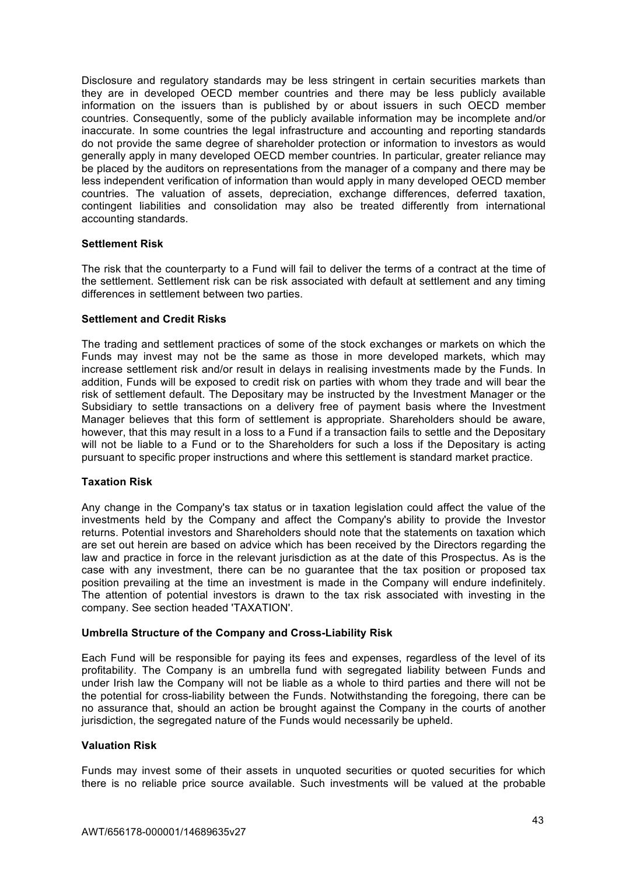Disclosure and regulatory standards may be less stringent in certain securities markets than they are in developed OECD member countries and there may be less publicly available information on the issuers than is published by or about issuers in such OECD member countries. Consequently, some of the publicly available information may be incomplete and/or inaccurate. In some countries the legal infrastructure and accounting and reporting standards do not provide the same degree of shareholder protection or information to investors as would generally apply in many developed OECD member countries. In particular, greater reliance may be placed by the auditors on representations from the manager of a company and there may be less independent verification of information than would apply in many developed OECD member countries. The valuation of assets, depreciation, exchange differences, deferred taxation, contingent liabilities and consolidation may also be treated differently from international accounting standards.

#### **Settlement Risk**

The risk that the counterparty to a Fund will fail to deliver the terms of a contract at the time of the settlement. Settlement risk can be risk associated with default at settlement and any timing differences in settlement between two parties.

## **Settlement and Credit Risks**

The trading and settlement practices of some of the stock exchanges or markets on which the Funds may invest may not be the same as those in more developed markets, which may increase settlement risk and/or result in delays in realising investments made by the Funds. In addition, Funds will be exposed to credit risk on parties with whom they trade and will bear the risk of settlement default. The Depositary may be instructed by the Investment Manager or the Subsidiary to settle transactions on a delivery free of payment basis where the Investment Manager believes that this form of settlement is appropriate. Shareholders should be aware, however, that this may result in a loss to a Fund if a transaction fails to settle and the Depositary will not be liable to a Fund or to the Shareholders for such a loss if the Depositary is acting pursuant to specific proper instructions and where this settlement is standard market practice.

### **Taxation Risk**

Any change in the Company's tax status or in taxation legislation could affect the value of the investments held by the Company and affect the Company's ability to provide the Investor returns. Potential investors and Shareholders should note that the statements on taxation which are set out herein are based on advice which has been received by the Directors regarding the law and practice in force in the relevant jurisdiction as at the date of this Prospectus. As is the case with any investment, there can be no guarantee that the tax position or proposed tax position prevailing at the time an investment is made in the Company will endure indefinitely. The attention of potential investors is drawn to the tax risk associated with investing in the company. See section headed 'TAXATION'.

### **Umbrella Structure of the Company and Cross-Liability Risk**

Each Fund will be responsible for paying its fees and expenses, regardless of the level of its profitability. The Company is an umbrella fund with segregated liability between Funds and under Irish law the Company will not be liable as a whole to third parties and there will not be the potential for cross-liability between the Funds. Notwithstanding the foregoing, there can be no assurance that, should an action be brought against the Company in the courts of another jurisdiction, the segregated nature of the Funds would necessarily be upheld.

# **Valuation Risk**

Funds may invest some of their assets in unquoted securities or quoted securities for which there is no reliable price source available. Such investments will be valued at the probable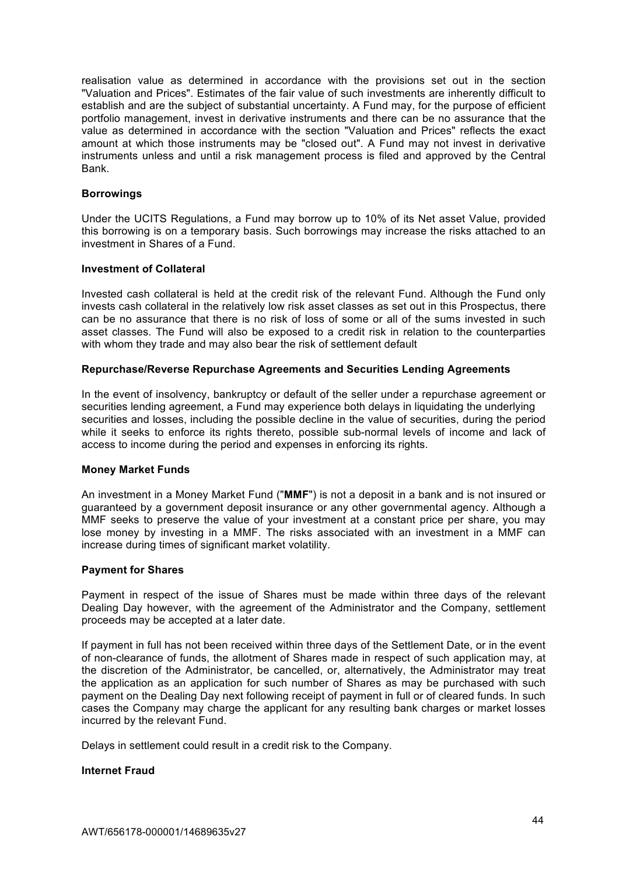realisation value as determined in accordance with the provisions set out in the section "Valuation and Prices". Estimates of the fair value of such investments are inherently difficult to establish and are the subject of substantial uncertainty. A Fund may, for the purpose of efficient portfolio management, invest in derivative instruments and there can be no assurance that the value as determined in accordance with the section "Valuation and Prices" reflects the exact amount at which those instruments may be "closed out". A Fund may not invest in derivative instruments unless and until a risk management process is filed and approved by the Central Bank.

#### **Borrowings**

Under the UCITS Regulations, a Fund may borrow up to 10% of its Net asset Value, provided this borrowing is on a temporary basis. Such borrowings may increase the risks attached to an investment in Shares of a Fund.

#### **Investment of Collateral**

Invested cash collateral is held at the credit risk of the relevant Fund. Although the Fund only invests cash collateral in the relatively low risk asset classes as set out in this Prospectus, there can be no assurance that there is no risk of loss of some or all of the sums invested in such asset classes. The Fund will also be exposed to a credit risk in relation to the counterparties with whom they trade and may also bear the risk of settlement default

#### **Repurchase/Reverse Repurchase Agreements and Securities Lending Agreements**

In the event of insolvency, bankruptcy or default of the seller under a repurchase agreement or securities lending agreement, a Fund may experience both delays in liquidating the underlying securities and losses, including the possible decline in the value of securities, during the period while it seeks to enforce its rights thereto, possible sub-normal levels of income and lack of access to income during the period and expenses in enforcing its rights.

### **Money Market Funds**

An investment in a Money Market Fund ("**MMF**") is not a deposit in a bank and is not insured or guaranteed by a government deposit insurance or any other governmental agency. Although a MMF seeks to preserve the value of your investment at a constant price per share, you may lose money by investing in a MMF. The risks associated with an investment in a MMF can increase during times of significant market volatility.

#### **Payment for Shares**

Payment in respect of the issue of Shares must be made within three days of the relevant Dealing Day however, with the agreement of the Administrator and the Company, settlement proceeds may be accepted at a later date.

If payment in full has not been received within three days of the Settlement Date, or in the event of non-clearance of funds, the allotment of Shares made in respect of such application may, at the discretion of the Administrator, be cancelled, or, alternatively, the Administrator may treat the application as an application for such number of Shares as may be purchased with such payment on the Dealing Day next following receipt of payment in full or of cleared funds. In such cases the Company may charge the applicant for any resulting bank charges or market losses incurred by the relevant Fund.

Delays in settlement could result in a credit risk to the Company.

#### **Internet Fraud**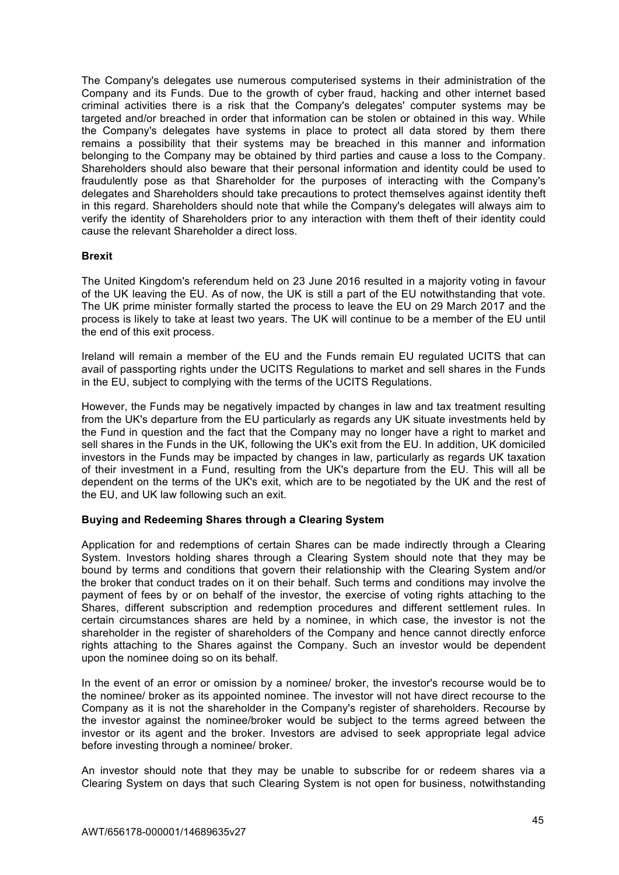The Company's delegates use numerous computerised systems in their administration of the Company and its Funds. Due to the growth of cyber fraud, hacking and other internet based criminal activities there is a risk that the Company's delegates' computer systems may be targeted and/or breached in order that information can be stolen or obtained in this way. While the Company's delegates have systems in place to protect all data stored by them there remains a possibility that their systems may be breached in this manner and information belonging to the Company may be obtained by third parties and cause a loss to the Company. Shareholders should also beware that their personal information and identity could be used to fraudulently pose as that Shareholder for the purposes of interacting with the Company's delegates and Shareholders should take precautions to protect themselves against identity theft in this regard. Shareholders should note that while the Company's delegates will always aim to verify the identity of Shareholders prior to any interaction with them theft of their identity could cause the relevant Shareholder a direct loss.

### **Brexit**

The United Kingdom's referendum held on 23 June 2016 resulted in a majority voting in favour of the UK leaving the EU. As of now, the UK is still a part of the EU notwithstanding that vote. The UK prime minister formally started the process to leave the EU on 29 March 2017 and the process is likely to take at least two years. The UK will continue to be a member of the EU until the end of this exit process.

Ireland will remain a member of the EU and the Funds remain EU regulated UCITS that can avail of passporting rights under the UCITS Regulations to market and sell shares in the Funds in the EU, subject to complying with the terms of the UCITS Regulations.

However, the Funds may be negatively impacted by changes in law and tax treatment resulting from the UK's departure from the EU particularly as regards any UK situate investments held by the Fund in question and the fact that the Company may no longer have a right to market and sell shares in the Funds in the UK, following the UK's exit from the EU. In addition, UK domiciled investors in the Funds may be impacted by changes in law, particularly as regards UK taxation of their investment in a Fund, resulting from the UK's departure from the EU. This will all be dependent on the terms of the UK's exit, which are to be negotiated by the UK and the rest of the EU, and UK law following such an exit.

### **Buying and Redeeming Shares through a Clearing System**

Application for and redemptions of certain Shares can be made indirectly through a Clearing System. Investors holding shares through a Clearing System should note that they may be bound by terms and conditions that govern their relationship with the Clearing System and/or the broker that conduct trades on it on their behalf. Such terms and conditions may involve the payment of fees by or on behalf of the investor, the exercise of voting rights attaching to the Shares, different subscription and redemption procedures and different settlement rules. In certain circumstances shares are held by a nominee, in which case, the investor is not the shareholder in the register of shareholders of the Company and hence cannot directly enforce rights attaching to the Shares against the Company. Such an investor would be dependent upon the nominee doing so on its behalf.

In the event of an error or omission by a nominee/ broker, the investor's recourse would be to the nominee/ broker as its appointed nominee. The investor will not have direct recourse to the Company as it is not the shareholder in the Company's register of shareholders. Recourse by the investor against the nominee/broker would be subject to the terms agreed between the investor or its agent and the broker. Investors are advised to seek appropriate legal advice before investing through a nominee/ broker.

An investor should note that they may be unable to subscribe for or redeem shares via a Clearing System on days that such Clearing System is not open for business, notwithstanding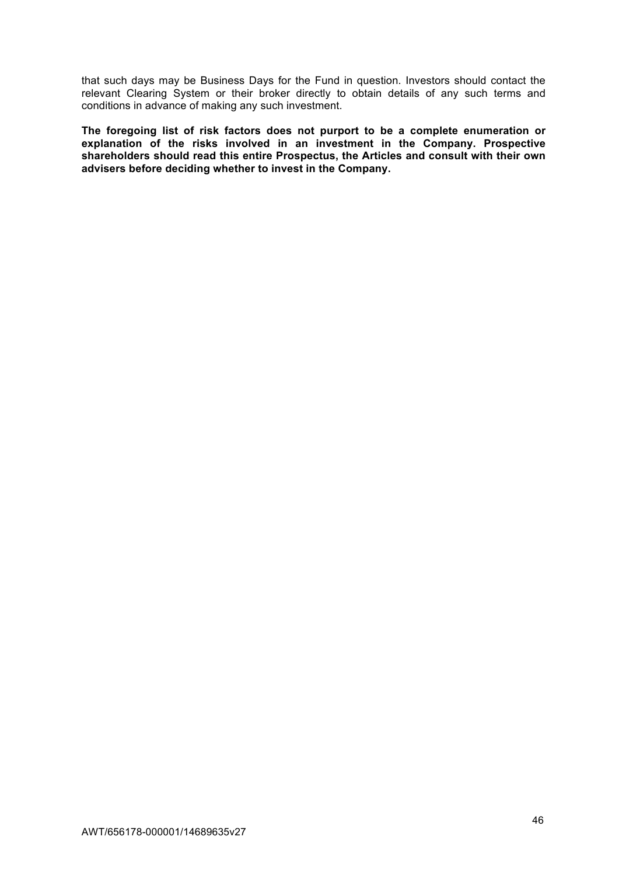that such days may be Business Days for the Fund in question. Investors should contact the relevant Clearing System or their broker directly to obtain details of any such terms and conditions in advance of making any such investment.

**The foregoing list of risk factors does not purport to be a complete enumeration or explanation of the risks involved in an investment in the Company. Prospective shareholders should read this entire Prospectus, the Articles and consult with their own advisers before deciding whether to invest in the Company.**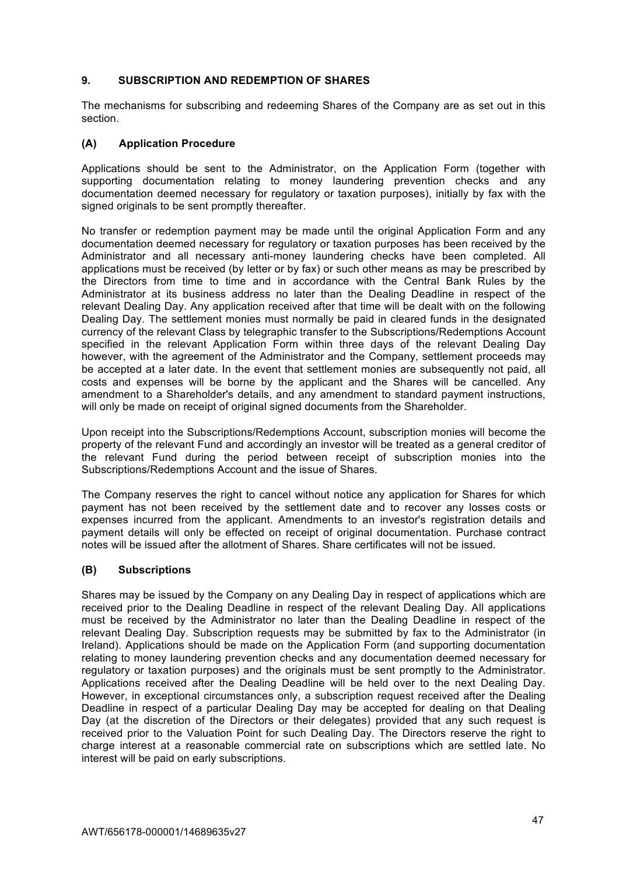# **9. SUBSCRIPTION AND REDEMPTION OF SHARES**

The mechanisms for subscribing and redeeming Shares of the Company are as set out in this section.

## **(A) Application Procedure**

Applications should be sent to the Administrator, on the Application Form (together with supporting documentation relating to money laundering prevention checks and any documentation deemed necessary for regulatory or taxation purposes), initially by fax with the signed originals to be sent promptly thereafter.

No transfer or redemption payment may be made until the original Application Form and any documentation deemed necessary for regulatory or taxation purposes has been received by the Administrator and all necessary anti-money laundering checks have been completed. All applications must be received (by letter or by fax) or such other means as may be prescribed by the Directors from time to time and in accordance with the Central Bank Rules by the Administrator at its business address no later than the Dealing Deadline in respect of the relevant Dealing Day. Any application received after that time will be dealt with on the following Dealing Day. The settlement monies must normally be paid in cleared funds in the designated currency of the relevant Class by telegraphic transfer to the Subscriptions/Redemptions Account specified in the relevant Application Form within three days of the relevant Dealing Day however, with the agreement of the Administrator and the Company, settlement proceeds may be accepted at a later date. In the event that settlement monies are subsequently not paid, all costs and expenses will be borne by the applicant and the Shares will be cancelled. Any amendment to a Shareholder's details, and any amendment to standard payment instructions, will only be made on receipt of original signed documents from the Shareholder.

Upon receipt into the Subscriptions/Redemptions Account, subscription monies will become the property of the relevant Fund and accordingly an investor will be treated as a general creditor of the relevant Fund during the period between receipt of subscription monies into the Subscriptions/Redemptions Account and the issue of Shares.

The Company reserves the right to cancel without notice any application for Shares for which payment has not been received by the settlement date and to recover any losses costs or expenses incurred from the applicant. Amendments to an investor's registration details and payment details will only be effected on receipt of original documentation. Purchase contract notes will be issued after the allotment of Shares. Share certificates will not be issued.

### **(B) Subscriptions**

Shares may be issued by the Company on any Dealing Day in respect of applications which are received prior to the Dealing Deadline in respect of the relevant Dealing Day. All applications must be received by the Administrator no later than the Dealing Deadline in respect of the relevant Dealing Day. Subscription requests may be submitted by fax to the Administrator (in Ireland). Applications should be made on the Application Form (and supporting documentation relating to money laundering prevention checks and any documentation deemed necessary for regulatory or taxation purposes) and the originals must be sent promptly to the Administrator. Applications received after the Dealing Deadline will be held over to the next Dealing Day. However, in exceptional circumstances only, a subscription request received after the Dealing Deadline in respect of a particular Dealing Day may be accepted for dealing on that Dealing Day (at the discretion of the Directors or their delegates) provided that any such request is received prior to the Valuation Point for such Dealing Day. The Directors reserve the right to charge interest at a reasonable commercial rate on subscriptions which are settled late. No interest will be paid on early subscriptions.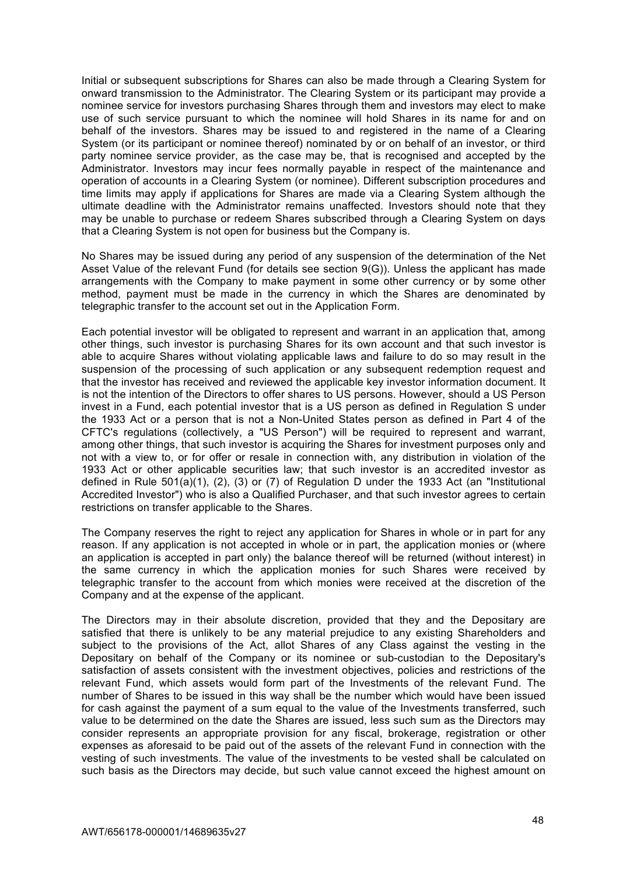Initial or subsequent subscriptions for Shares can also be made through a Clearing System for onward transmission to the Administrator. The Clearing System or its participant may provide a nominee service for investors purchasing Shares through them and investors may elect to make use of such service pursuant to which the nominee will hold Shares in its name for and on behalf of the investors. Shares may be issued to and registered in the name of a Clearing System (or its participant or nominee thereof) nominated by or on behalf of an investor, or third party nominee service provider, as the case may be, that is recognised and accepted by the Administrator. Investors may incur fees normally payable in respect of the maintenance and operation of accounts in a Clearing System (or nominee). Different subscription procedures and time limits may apply if applications for Shares are made via a Clearing System although the ultimate deadline with the Administrator remains unaffected. Investors should note that they may be unable to purchase or redeem Shares subscribed through a Clearing System on days that a Clearing System is not open for business but the Company is.

No Shares may be issued during any period of any suspension of the determination of the Net Asset Value of the relevant Fund (for details see section 9(G)). Unless the applicant has made arrangements with the Company to make payment in some other currency or by some other method, payment must be made in the currency in which the Shares are denominated by telegraphic transfer to the account set out in the Application Form.

Each potential investor will be obligated to represent and warrant in an application that, among other things, such investor is purchasing Shares for its own account and that such investor is able to acquire Shares without violating applicable laws and failure to do so may result in the suspension of the processing of such application or any subsequent redemption request and that the investor has received and reviewed the applicable key investor information document. It is not the intention of the Directors to offer shares to US persons. However, should a US Person invest in a Fund, each potential investor that is a US person as defined in Regulation S under the 1933 Act or a person that is not a Non-United States person as defined in Part 4 of the CFTC's regulations (collectively, a "US Person") will be required to represent and warrant, among other things, that such investor is acquiring the Shares for investment purposes only and not with a view to, or for offer or resale in connection with, any distribution in violation of the 1933 Act or other applicable securities law; that such investor is an accredited investor as defined in Rule 501(a)(1), (2), (3) or (7) of Regulation D under the 1933 Act (an "Institutional Accredited Investor") who is also a Qualified Purchaser, and that such investor agrees to certain restrictions on transfer applicable to the Shares.

The Company reserves the right to reject any application for Shares in whole or in part for any reason. If any application is not accepted in whole or in part, the application monies or (where an application is accepted in part only) the balance thereof will be returned (without interest) in the same currency in which the application monies for such Shares were received by telegraphic transfer to the account from which monies were received at the discretion of the Company and at the expense of the applicant.

The Directors may in their absolute discretion, provided that they and the Depositary are satisfied that there is unlikely to be any material prejudice to any existing Shareholders and subject to the provisions of the Act, allot Shares of any Class against the vesting in the Depositary on behalf of the Company or its nominee or sub-custodian to the Depositary's satisfaction of assets consistent with the investment objectives, policies and restrictions of the relevant Fund, which assets would form part of the Investments of the relevant Fund. The number of Shares to be issued in this way shall be the number which would have been issued for cash against the payment of a sum equal to the value of the Investments transferred, such value to be determined on the date the Shares are issued, less such sum as the Directors may consider represents an appropriate provision for any fiscal, brokerage, registration or other expenses as aforesaid to be paid out of the assets of the relevant Fund in connection with the vesting of such investments. The value of the investments to be vested shall be calculated on such basis as the Directors may decide, but such value cannot exceed the highest amount on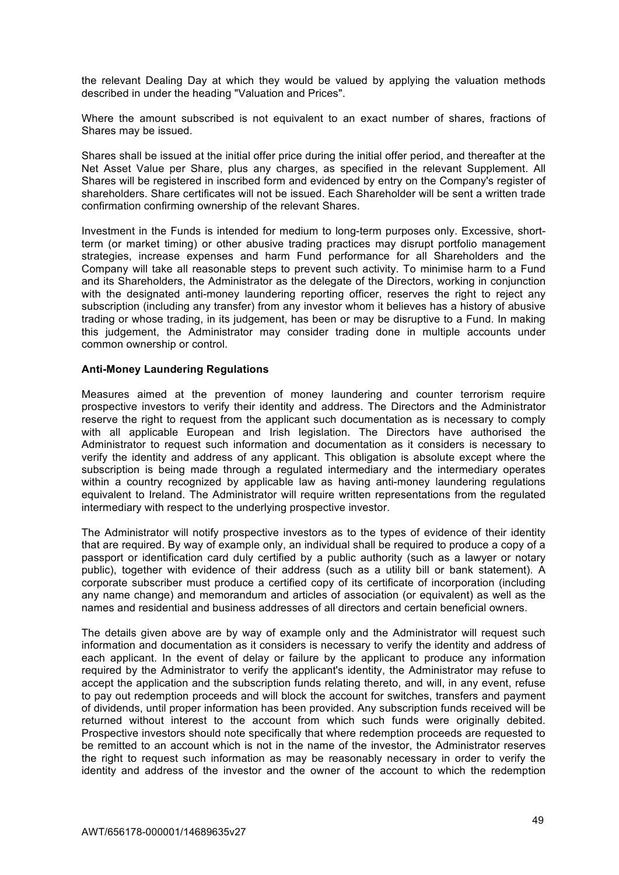the relevant Dealing Day at which they would be valued by applying the valuation methods described in under the heading "Valuation and Prices".

Where the amount subscribed is not equivalent to an exact number of shares, fractions of Shares may be issued.

Shares shall be issued at the initial offer price during the initial offer period, and thereafter at the Net Asset Value per Share, plus any charges, as specified in the relevant Supplement. All Shares will be registered in inscribed form and evidenced by entry on the Company's register of shareholders. Share certificates will not be issued. Each Shareholder will be sent a written trade confirmation confirming ownership of the relevant Shares.

Investment in the Funds is intended for medium to long-term purposes only. Excessive, shortterm (or market timing) or other abusive trading practices may disrupt portfolio management strategies, increase expenses and harm Fund performance for all Shareholders and the Company will take all reasonable steps to prevent such activity. To minimise harm to a Fund and its Shareholders, the Administrator as the delegate of the Directors, working in conjunction with the designated anti-money laundering reporting officer, reserves the right to reject any subscription (including any transfer) from any investor whom it believes has a history of abusive trading or whose trading, in its judgement, has been or may be disruptive to a Fund. In making this judgement, the Administrator may consider trading done in multiple accounts under common ownership or control.

#### **Anti-Money Laundering Regulations**

Measures aimed at the prevention of money laundering and counter terrorism require prospective investors to verify their identity and address. The Directors and the Administrator reserve the right to request from the applicant such documentation as is necessary to comply with all applicable European and Irish legislation. The Directors have authorised the Administrator to request such information and documentation as it considers is necessary to verify the identity and address of any applicant. This obligation is absolute except where the subscription is being made through a regulated intermediary and the intermediary operates within a country recognized by applicable law as having anti-money laundering regulations equivalent to Ireland. The Administrator will require written representations from the regulated intermediary with respect to the underlying prospective investor.

The Administrator will notify prospective investors as to the types of evidence of their identity that are required. By way of example only, an individual shall be required to produce a copy of a passport or identification card duly certified by a public authority (such as a lawyer or notary public), together with evidence of their address (such as a utility bill or bank statement). A corporate subscriber must produce a certified copy of its certificate of incorporation (including any name change) and memorandum and articles of association (or equivalent) as well as the names and residential and business addresses of all directors and certain beneficial owners.

The details given above are by way of example only and the Administrator will request such information and documentation as it considers is necessary to verify the identity and address of each applicant. In the event of delay or failure by the applicant to produce any information required by the Administrator to verify the applicant's identity, the Administrator may refuse to accept the application and the subscription funds relating thereto, and will, in any event, refuse to pay out redemption proceeds and will block the account for switches, transfers and payment of dividends, until proper information has been provided. Any subscription funds received will be returned without interest to the account from which such funds were originally debited. Prospective investors should note specifically that where redemption proceeds are requested to be remitted to an account which is not in the name of the investor, the Administrator reserves the right to request such information as may be reasonably necessary in order to verify the identity and address of the investor and the owner of the account to which the redemption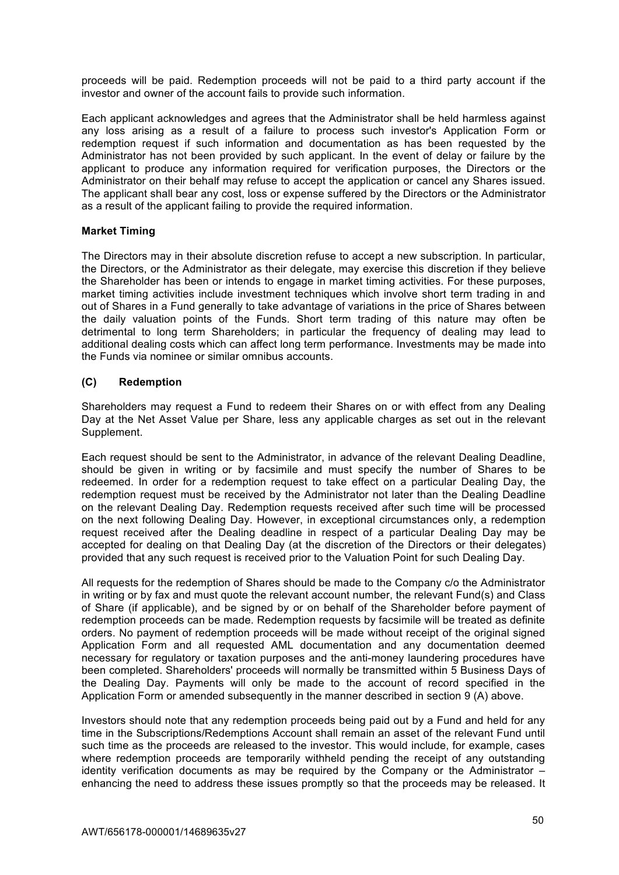proceeds will be paid. Redemption proceeds will not be paid to a third party account if the investor and owner of the account fails to provide such information.

Each applicant acknowledges and agrees that the Administrator shall be held harmless against any loss arising as a result of a failure to process such investor's Application Form or redemption request if such information and documentation as has been requested by the Administrator has not been provided by such applicant. In the event of delay or failure by the applicant to produce any information required for verification purposes, the Directors or the Administrator on their behalf may refuse to accept the application or cancel any Shares issued. The applicant shall bear any cost, loss or expense suffered by the Directors or the Administrator as a result of the applicant failing to provide the required information.

# **Market Timing**

The Directors may in their absolute discretion refuse to accept a new subscription. In particular, the Directors, or the Administrator as their delegate, may exercise this discretion if they believe the Shareholder has been or intends to engage in market timing activities. For these purposes, market timing activities include investment techniques which involve short term trading in and out of Shares in a Fund generally to take advantage of variations in the price of Shares between the daily valuation points of the Funds. Short term trading of this nature may often be detrimental to long term Shareholders; in particular the frequency of dealing may lead to additional dealing costs which can affect long term performance. Investments may be made into the Funds via nominee or similar omnibus accounts.

# **(C) Redemption**

Shareholders may request a Fund to redeem their Shares on or with effect from any Dealing Day at the Net Asset Value per Share, less any applicable charges as set out in the relevant Supplement.

Each request should be sent to the Administrator, in advance of the relevant Dealing Deadline, should be given in writing or by facsimile and must specify the number of Shares to be redeemed. In order for a redemption request to take effect on a particular Dealing Day, the redemption request must be received by the Administrator not later than the Dealing Deadline on the relevant Dealing Day. Redemption requests received after such time will be processed on the next following Dealing Day. However, in exceptional circumstances only, a redemption request received after the Dealing deadline in respect of a particular Dealing Day may be accepted for dealing on that Dealing Day (at the discretion of the Directors or their delegates) provided that any such request is received prior to the Valuation Point for such Dealing Day.

All requests for the redemption of Shares should be made to the Company c/o the Administrator in writing or by fax and must quote the relevant account number, the relevant Fund(s) and Class of Share (if applicable), and be signed by or on behalf of the Shareholder before payment of redemption proceeds can be made. Redemption requests by facsimile will be treated as definite orders. No payment of redemption proceeds will be made without receipt of the original signed Application Form and all requested AML documentation and any documentation deemed necessary for regulatory or taxation purposes and the anti-money laundering procedures have been completed. Shareholders' proceeds will normally be transmitted within 5 Business Days of the Dealing Day. Payments will only be made to the account of record specified in the Application Form or amended subsequently in the manner described in section 9 (A) above.

Investors should note that any redemption proceeds being paid out by a Fund and held for any time in the Subscriptions/Redemptions Account shall remain an asset of the relevant Fund until such time as the proceeds are released to the investor. This would include, for example, cases where redemption proceeds are temporarily withheld pending the receipt of any outstanding identity verification documents as may be required by the Company or the Administrator – enhancing the need to address these issues promptly so that the proceeds may be released. It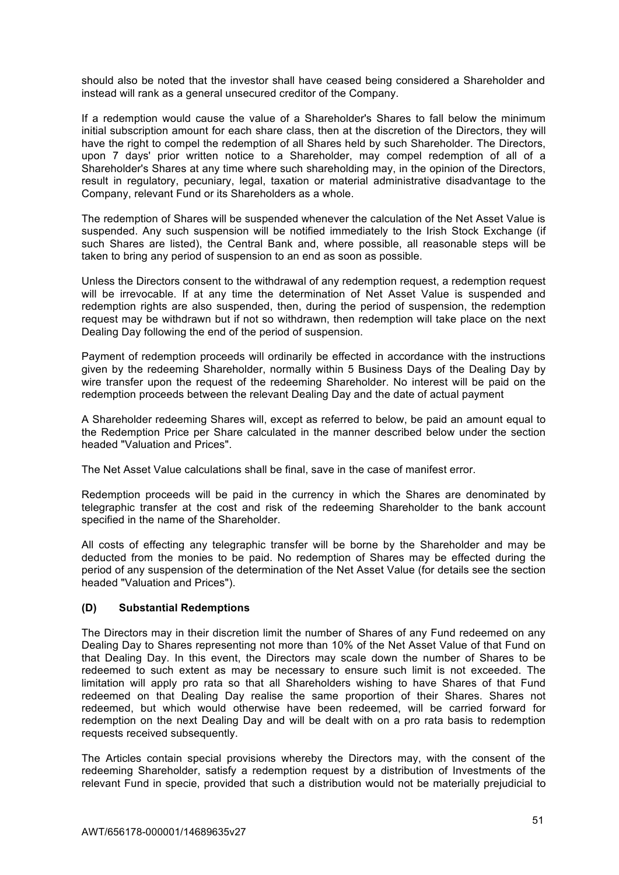should also be noted that the investor shall have ceased being considered a Shareholder and instead will rank as a general unsecured creditor of the Company.

If a redemption would cause the value of a Shareholder's Shares to fall below the minimum initial subscription amount for each share class, then at the discretion of the Directors, they will have the right to compel the redemption of all Shares held by such Shareholder. The Directors, upon 7 days' prior written notice to a Shareholder, may compel redemption of all of a Shareholder's Shares at any time where such shareholding may, in the opinion of the Directors, result in regulatory, pecuniary, legal, taxation or material administrative disadvantage to the Company, relevant Fund or its Shareholders as a whole.

The redemption of Shares will be suspended whenever the calculation of the Net Asset Value is suspended. Any such suspension will be notified immediately to the Irish Stock Exchange (if such Shares are listed), the Central Bank and, where possible, all reasonable steps will be taken to bring any period of suspension to an end as soon as possible.

Unless the Directors consent to the withdrawal of any redemption request, a redemption request will be irrevocable. If at any time the determination of Net Asset Value is suspended and redemption rights are also suspended, then, during the period of suspension, the redemption request may be withdrawn but if not so withdrawn, then redemption will take place on the next Dealing Day following the end of the period of suspension.

Payment of redemption proceeds will ordinarily be effected in accordance with the instructions given by the redeeming Shareholder, normally within 5 Business Days of the Dealing Day by wire transfer upon the request of the redeeming Shareholder. No interest will be paid on the redemption proceeds between the relevant Dealing Day and the date of actual payment

A Shareholder redeeming Shares will, except as referred to below, be paid an amount equal to the Redemption Price per Share calculated in the manner described below under the section headed "Valuation and Prices".

The Net Asset Value calculations shall be final, save in the case of manifest error.

Redemption proceeds will be paid in the currency in which the Shares are denominated by telegraphic transfer at the cost and risk of the redeeming Shareholder to the bank account specified in the name of the Shareholder.

All costs of effecting any telegraphic transfer will be borne by the Shareholder and may be deducted from the monies to be paid. No redemption of Shares may be effected during the period of any suspension of the determination of the Net Asset Value (for details see the section headed "Valuation and Prices").

### **(D) Substantial Redemptions**

The Directors may in their discretion limit the number of Shares of any Fund redeemed on any Dealing Day to Shares representing not more than 10% of the Net Asset Value of that Fund on that Dealing Day. In this event, the Directors may scale down the number of Shares to be redeemed to such extent as may be necessary to ensure such limit is not exceeded. The limitation will apply pro rata so that all Shareholders wishing to have Shares of that Fund redeemed on that Dealing Day realise the same proportion of their Shares. Shares not redeemed, but which would otherwise have been redeemed, will be carried forward for redemption on the next Dealing Day and will be dealt with on a pro rata basis to redemption requests received subsequently.

The Articles contain special provisions whereby the Directors may, with the consent of the redeeming Shareholder, satisfy a redemption request by a distribution of Investments of the relevant Fund in specie, provided that such a distribution would not be materially prejudicial to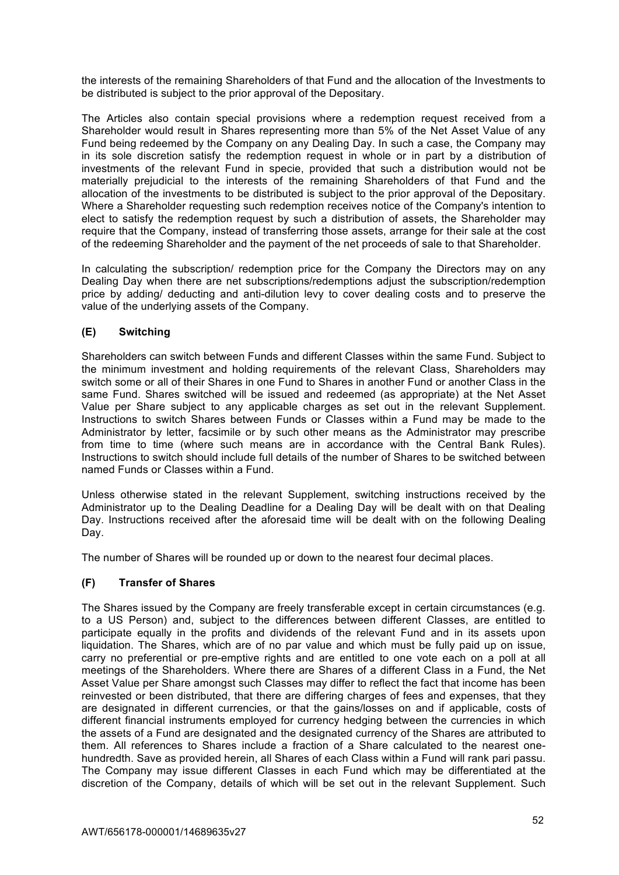the interests of the remaining Shareholders of that Fund and the allocation of the Investments to be distributed is subject to the prior approval of the Depositary.

The Articles also contain special provisions where a redemption request received from a Shareholder would result in Shares representing more than 5% of the Net Asset Value of any Fund being redeemed by the Company on any Dealing Day. In such a case, the Company may in its sole discretion satisfy the redemption request in whole or in part by a distribution of investments of the relevant Fund in specie, provided that such a distribution would not be materially prejudicial to the interests of the remaining Shareholders of that Fund and the allocation of the investments to be distributed is subject to the prior approval of the Depositary. Where a Shareholder requesting such redemption receives notice of the Company's intention to elect to satisfy the redemption request by such a distribution of assets, the Shareholder may require that the Company, instead of transferring those assets, arrange for their sale at the cost of the redeeming Shareholder and the payment of the net proceeds of sale to that Shareholder.

In calculating the subscription/ redemption price for the Company the Directors may on any Dealing Day when there are net subscriptions/redemptions adjust the subscription/redemption price by adding/ deducting and anti-dilution levy to cover dealing costs and to preserve the value of the underlying assets of the Company.

# **(E) Switching**

Shareholders can switch between Funds and different Classes within the same Fund. Subject to the minimum investment and holding requirements of the relevant Class, Shareholders may switch some or all of their Shares in one Fund to Shares in another Fund or another Class in the same Fund. Shares switched will be issued and redeemed (as appropriate) at the Net Asset Value per Share subject to any applicable charges as set out in the relevant Supplement. Instructions to switch Shares between Funds or Classes within a Fund may be made to the Administrator by letter, facsimile or by such other means as the Administrator may prescribe from time to time (where such means are in accordance with the Central Bank Rules). Instructions to switch should include full details of the number of Shares to be switched between named Funds or Classes within a Fund.

Unless otherwise stated in the relevant Supplement, switching instructions received by the Administrator up to the Dealing Deadline for a Dealing Day will be dealt with on that Dealing Day. Instructions received after the aforesaid time will be dealt with on the following Dealing Day.

The number of Shares will be rounded up or down to the nearest four decimal places.

### **(F) Transfer of Shares**

The Shares issued by the Company are freely transferable except in certain circumstances (e.g. to a US Person) and, subject to the differences between different Classes, are entitled to participate equally in the profits and dividends of the relevant Fund and in its assets upon liquidation. The Shares, which are of no par value and which must be fully paid up on issue, carry no preferential or pre-emptive rights and are entitled to one vote each on a poll at all meetings of the Shareholders. Where there are Shares of a different Class in a Fund, the Net Asset Value per Share amongst such Classes may differ to reflect the fact that income has been reinvested or been distributed, that there are differing charges of fees and expenses, that they are designated in different currencies, or that the gains/losses on and if applicable, costs of different financial instruments employed for currency hedging between the currencies in which the assets of a Fund are designated and the designated currency of the Shares are attributed to them. All references to Shares include a fraction of a Share calculated to the nearest onehundredth. Save as provided herein, all Shares of each Class within a Fund will rank pari passu. The Company may issue different Classes in each Fund which may be differentiated at the discretion of the Company, details of which will be set out in the relevant Supplement. Such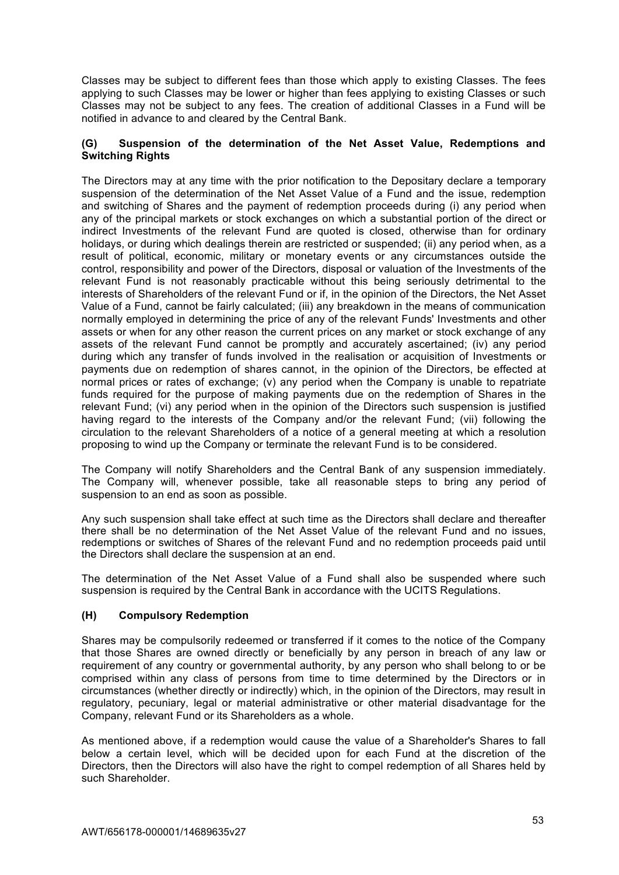Classes may be subject to different fees than those which apply to existing Classes. The fees applying to such Classes may be lower or higher than fees applying to existing Classes or such Classes may not be subject to any fees. The creation of additional Classes in a Fund will be notified in advance to and cleared by the Central Bank.

### **(G) Suspension of the determination of the Net Asset Value, Redemptions and Switching Rights**

The Directors may at any time with the prior notification to the Depositary declare a temporary suspension of the determination of the Net Asset Value of a Fund and the issue, redemption and switching of Shares and the payment of redemption proceeds during (i) any period when any of the principal markets or stock exchanges on which a substantial portion of the direct or indirect Investments of the relevant Fund are quoted is closed, otherwise than for ordinary holidays, or during which dealings therein are restricted or suspended; (ii) any period when, as a result of political, economic, military or monetary events or any circumstances outside the control, responsibility and power of the Directors, disposal or valuation of the Investments of the relevant Fund is not reasonably practicable without this being seriously detrimental to the interests of Shareholders of the relevant Fund or if, in the opinion of the Directors, the Net Asset Value of a Fund, cannot be fairly calculated; (iii) any breakdown in the means of communication normally employed in determining the price of any of the relevant Funds' Investments and other assets or when for any other reason the current prices on any market or stock exchange of any assets of the relevant Fund cannot be promptly and accurately ascertained; (iv) any period during which any transfer of funds involved in the realisation or acquisition of Investments or payments due on redemption of shares cannot, in the opinion of the Directors, be effected at normal prices or rates of exchange; (v) any period when the Company is unable to repatriate funds required for the purpose of making payments due on the redemption of Shares in the relevant Fund; (vi) any period when in the opinion of the Directors such suspension is justified having regard to the interests of the Company and/or the relevant Fund; (vii) following the circulation to the relevant Shareholders of a notice of a general meeting at which a resolution proposing to wind up the Company or terminate the relevant Fund is to be considered.

The Company will notify Shareholders and the Central Bank of any suspension immediately. The Company will, whenever possible, take all reasonable steps to bring any period of suspension to an end as soon as possible.

Any such suspension shall take effect at such time as the Directors shall declare and thereafter there shall be no determination of the Net Asset Value of the relevant Fund and no issues, redemptions or switches of Shares of the relevant Fund and no redemption proceeds paid until the Directors shall declare the suspension at an end.

The determination of the Net Asset Value of a Fund shall also be suspended where such suspension is required by the Central Bank in accordance with the UCITS Regulations.

### **(H) Compulsory Redemption**

Shares may be compulsorily redeemed or transferred if it comes to the notice of the Company that those Shares are owned directly or beneficially by any person in breach of any law or requirement of any country or governmental authority, by any person who shall belong to or be comprised within any class of persons from time to time determined by the Directors or in circumstances (whether directly or indirectly) which, in the opinion of the Directors, may result in regulatory, pecuniary, legal or material administrative or other material disadvantage for the Company, relevant Fund or its Shareholders as a whole.

As mentioned above, if a redemption would cause the value of a Shareholder's Shares to fall below a certain level, which will be decided upon for each Fund at the discretion of the Directors, then the Directors will also have the right to compel redemption of all Shares held by such Shareholder.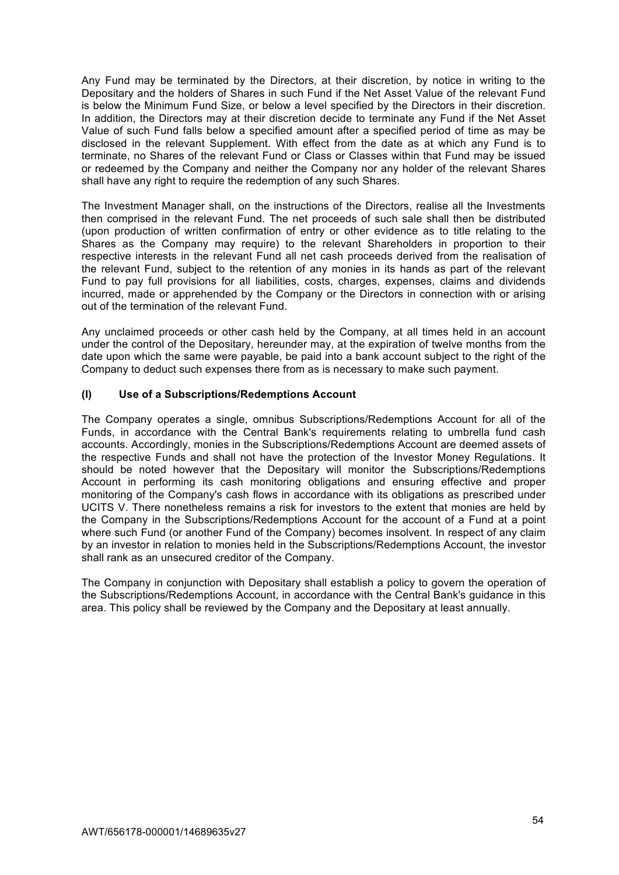Any Fund may be terminated by the Directors, at their discretion, by notice in writing to the Depositary and the holders of Shares in such Fund if the Net Asset Value of the relevant Fund is below the Minimum Fund Size, or below a level specified by the Directors in their discretion. In addition, the Directors may at their discretion decide to terminate any Fund if the Net Asset Value of such Fund falls below a specified amount after a specified period of time as may be disclosed in the relevant Supplement. With effect from the date as at which any Fund is to terminate, no Shares of the relevant Fund or Class or Classes within that Fund may be issued or redeemed by the Company and neither the Company nor any holder of the relevant Shares shall have any right to require the redemption of any such Shares.

The Investment Manager shall, on the instructions of the Directors, realise all the Investments then comprised in the relevant Fund. The net proceeds of such sale shall then be distributed (upon production of written confirmation of entry or other evidence as to title relating to the Shares as the Company may require) to the relevant Shareholders in proportion to their respective interests in the relevant Fund all net cash proceeds derived from the realisation of the relevant Fund, subject to the retention of any monies in its hands as part of the relevant Fund to pay full provisions for all liabilities, costs, charges, expenses, claims and dividends incurred, made or apprehended by the Company or the Directors in connection with or arising out of the termination of the relevant Fund.

Any unclaimed proceeds or other cash held by the Company, at all times held in an account under the control of the Depositary, hereunder may, at the expiration of twelve months from the date upon which the same were payable, be paid into a bank account subject to the right of the Company to deduct such expenses there from as is necessary to make such payment.

# **(I) Use of a Subscriptions/Redemptions Account**

The Company operates a single, omnibus Subscriptions/Redemptions Account for all of the Funds, in accordance with the Central Bank's requirements relating to umbrella fund cash accounts. Accordingly, monies in the Subscriptions/Redemptions Account are deemed assets of the respective Funds and shall not have the protection of the Investor Money Regulations. It should be noted however that the Depositary will monitor the Subscriptions/Redemptions Account in performing its cash monitoring obligations and ensuring effective and proper monitoring of the Company's cash flows in accordance with its obligations as prescribed under UCITS V. There nonetheless remains a risk for investors to the extent that monies are held by the Company in the Subscriptions/Redemptions Account for the account of a Fund at a point where such Fund (or another Fund of the Company) becomes insolvent. In respect of any claim by an investor in relation to monies held in the Subscriptions/Redemptions Account, the investor shall rank as an unsecured creditor of the Company.

The Company in conjunction with Depositary shall establish a policy to govern the operation of the Subscriptions/Redemptions Account, in accordance with the Central Bank's guidance in this area. This policy shall be reviewed by the Company and the Depositary at least annually.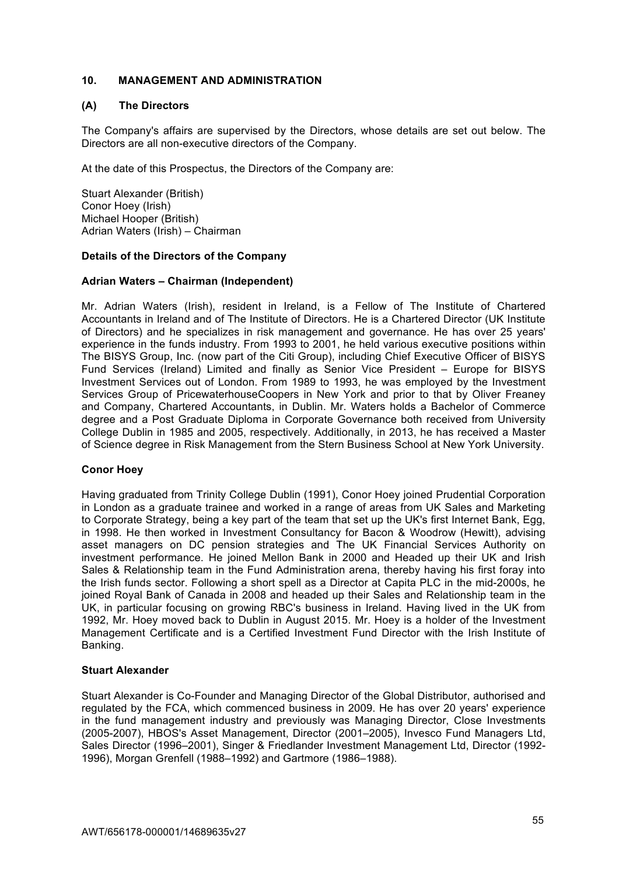# **10. MANAGEMENT AND ADMINISTRATION**

### **(A) The Directors**

The Company's affairs are supervised by the Directors, whose details are set out below. The Directors are all non-executive directors of the Company.

At the date of this Prospectus, the Directors of the Company are:

Stuart Alexander (British) Conor Hoey (Irish) Michael Hooper (British) Adrian Waters (Irish) – Chairman

#### **Details of the Directors of the Company**

#### **Adrian Waters – Chairman (Independent)**

Mr. Adrian Waters (Irish), resident in Ireland, is a Fellow of The Institute of Chartered Accountants in Ireland and of The Institute of Directors. He is a Chartered Director (UK Institute of Directors) and he specializes in risk management and governance. He has over 25 years' experience in the funds industry. From 1993 to 2001, he held various executive positions within The BISYS Group, Inc. (now part of the Citi Group), including Chief Executive Officer of BISYS Fund Services (Ireland) Limited and finally as Senior Vice President – Europe for BISYS Investment Services out of London. From 1989 to 1993, he was employed by the Investment Services Group of PricewaterhouseCoopers in New York and prior to that by Oliver Freaney and Company, Chartered Accountants, in Dublin. Mr. Waters holds a Bachelor of Commerce degree and a Post Graduate Diploma in Corporate Governance both received from University College Dublin in 1985 and 2005, respectively. Additionally, in 2013, he has received a Master of Science degree in Risk Management from the Stern Business School at New York University.

### **Conor Hoey**

Having graduated from Trinity College Dublin (1991), Conor Hoey joined Prudential Corporation in London as a graduate trainee and worked in a range of areas from UK Sales and Marketing to Corporate Strategy, being a key part of the team that set up the UK's first Internet Bank, Egg, in 1998. He then worked in Investment Consultancy for Bacon & Woodrow (Hewitt), advising asset managers on DC pension strategies and The UK Financial Services Authority on investment performance. He joined Mellon Bank in 2000 and Headed up their UK and Irish Sales & Relationship team in the Fund Administration arena, thereby having his first foray into the Irish funds sector. Following a short spell as a Director at Capita PLC in the mid-2000s, he joined Royal Bank of Canada in 2008 and headed up their Sales and Relationship team in the UK, in particular focusing on growing RBC's business in Ireland. Having lived in the UK from 1992, Mr. Hoey moved back to Dublin in August 2015. Mr. Hoey is a holder of the Investment Management Certificate and is a Certified Investment Fund Director with the Irish Institute of Banking.

#### **Stuart Alexander**

Stuart Alexander is Co-Founder and Managing Director of the Global Distributor, authorised and regulated by the FCA, which commenced business in 2009. He has over 20 years' experience in the fund management industry and previously was Managing Director, Close Investments (2005-2007), HBOS's Asset Management, Director (2001–2005), Invesco Fund Managers Ltd, Sales Director (1996–2001), Singer & Friedlander Investment Management Ltd, Director (1992- 1996), Morgan Grenfell (1988–1992) and Gartmore (1986–1988).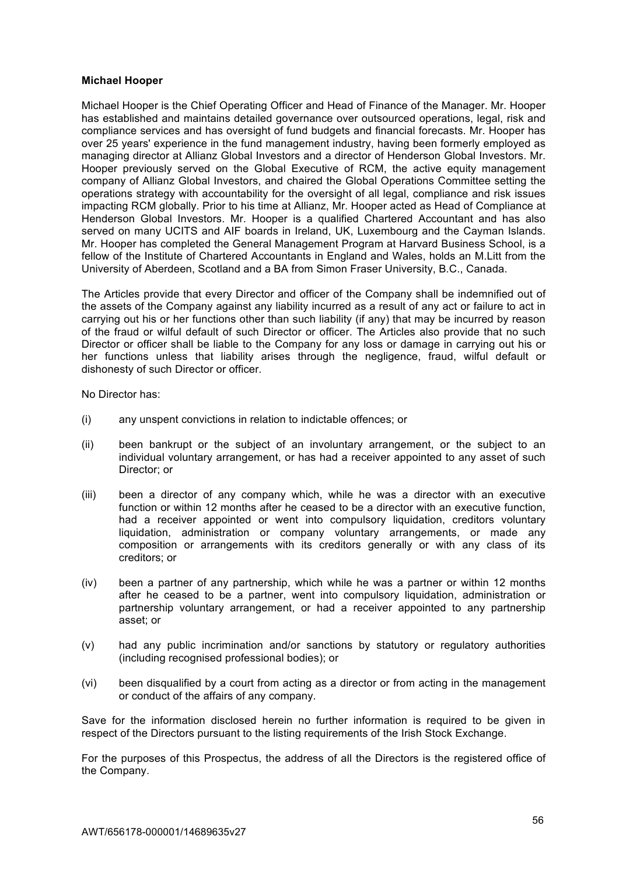#### **Michael Hooper**

Michael Hooper is the Chief Operating Officer and Head of Finance of the Manager. Mr. Hooper has established and maintains detailed governance over outsourced operations, legal, risk and compliance services and has oversight of fund budgets and financial forecasts. Mr. Hooper has over 25 years' experience in the fund management industry, having been formerly employed as managing director at Allianz Global Investors and a director of Henderson Global Investors. Mr. Hooper previously served on the Global Executive of RCM, the active equity management company of Allianz Global Investors, and chaired the Global Operations Committee setting the operations strategy with accountability for the oversight of all legal, compliance and risk issues impacting RCM globally. Prior to his time at Allianz, Mr. Hooper acted as Head of Compliance at Henderson Global Investors. Mr. Hooper is a qualified Chartered Accountant and has also served on many UCITS and AIF boards in Ireland, UK, Luxembourg and the Cayman Islands. Mr. Hooper has completed the General Management Program at Harvard Business School, is a fellow of the Institute of Chartered Accountants in England and Wales, holds an M.Litt from the University of Aberdeen, Scotland and a BA from Simon Fraser University, B.C., Canada.

The Articles provide that every Director and officer of the Company shall be indemnified out of the assets of the Company against any liability incurred as a result of any act or failure to act in carrying out his or her functions other than such liability (if any) that may be incurred by reason of the fraud or wilful default of such Director or officer. The Articles also provide that no such Director or officer shall be liable to the Company for any loss or damage in carrying out his or her functions unless that liability arises through the negligence, fraud, wilful default or dishonesty of such Director or officer.

No Director has:

- (i) any unspent convictions in relation to indictable offences; or
- (ii) been bankrupt or the subject of an involuntary arrangement, or the subject to an individual voluntary arrangement, or has had a receiver appointed to any asset of such Director; or
- (iii) been a director of any company which, while he was a director with an executive function or within 12 months after he ceased to be a director with an executive function, had a receiver appointed or went into compulsory liquidation, creditors voluntary liquidation, administration or company voluntary arrangements, or made any composition or arrangements with its creditors generally or with any class of its creditors; or
- (iv) been a partner of any partnership, which while he was a partner or within 12 months after he ceased to be a partner, went into compulsory liquidation, administration or partnership voluntary arrangement, or had a receiver appointed to any partnership asset; or
- (v) had any public incrimination and/or sanctions by statutory or regulatory authorities (including recognised professional bodies); or
- (vi) been disqualified by a court from acting as a director or from acting in the management or conduct of the affairs of any company.

Save for the information disclosed herein no further information is required to be given in respect of the Directors pursuant to the listing requirements of the Irish Stock Exchange.

For the purposes of this Prospectus, the address of all the Directors is the registered office of the Company.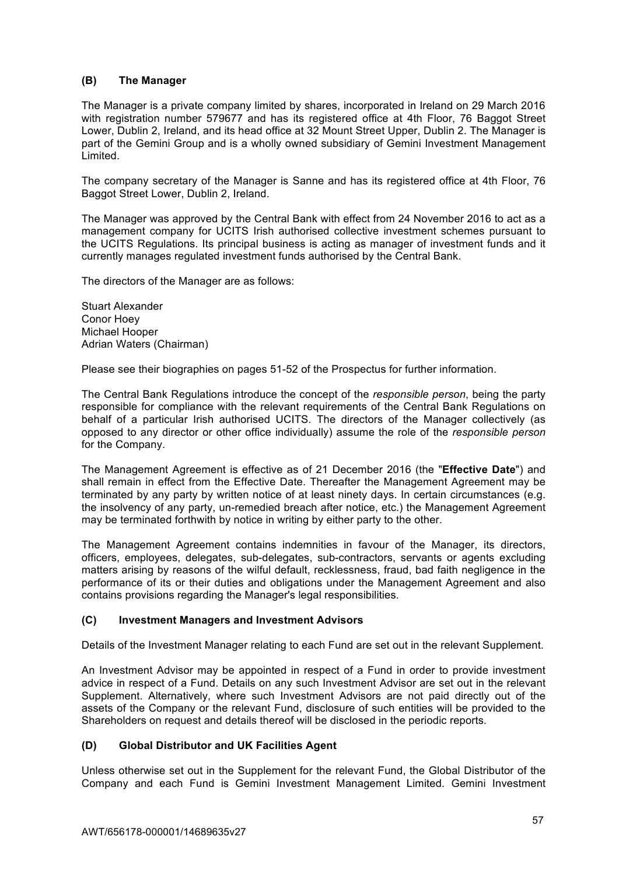# **(B) The Manager**

The Manager is a private company limited by shares, incorporated in Ireland on 29 March 2016 with registration number 579677 and has its registered office at 4th Floor, 76 Baggot Street Lower, Dublin 2, Ireland, and its head office at 32 Mount Street Upper, Dublin 2. The Manager is part of the Gemini Group and is a wholly owned subsidiary of Gemini Investment Management Limited.

The company secretary of the Manager is Sanne and has its registered office at 4th Floor, 76 Baggot Street Lower, Dublin 2, Ireland.

The Manager was approved by the Central Bank with effect from 24 November 2016 to act as a management company for UCITS Irish authorised collective investment schemes pursuant to the UCITS Regulations. Its principal business is acting as manager of investment funds and it currently manages regulated investment funds authorised by the Central Bank.

The directors of the Manager are as follows:

Stuart Alexander Conor Hoey Michael Hooper Adrian Waters (Chairman)

Please see their biographies on pages 51-52 of the Prospectus for further information.

The Central Bank Regulations introduce the concept of the *responsible person*, being the party responsible for compliance with the relevant requirements of the Central Bank Regulations on behalf of a particular Irish authorised UCITS. The directors of the Manager collectively (as opposed to any director or other office individually) assume the role of the *responsible person* for the Company.

The Management Agreement is effective as of 21 December 2016 (the "**Effective Date**") and shall remain in effect from the Effective Date. Thereafter the Management Agreement may be terminated by any party by written notice of at least ninety days. In certain circumstances (e.g. the insolvency of any party, un-remedied breach after notice, etc.) the Management Agreement may be terminated forthwith by notice in writing by either party to the other.

The Management Agreement contains indemnities in favour of the Manager, its directors, officers, employees, delegates, sub-delegates, sub-contractors, servants or agents excluding matters arising by reasons of the wilful default, recklessness, fraud, bad faith negligence in the performance of its or their duties and obligations under the Management Agreement and also contains provisions regarding the Manager's legal responsibilities.

### **(C) Investment Managers and Investment Advisors**

Details of the Investment Manager relating to each Fund are set out in the relevant Supplement.

An Investment Advisor may be appointed in respect of a Fund in order to provide investment advice in respect of a Fund. Details on any such Investment Advisor are set out in the relevant Supplement. Alternatively, where such Investment Advisors are not paid directly out of the assets of the Company or the relevant Fund, disclosure of such entities will be provided to the Shareholders on request and details thereof will be disclosed in the periodic reports.

### **(D) Global Distributor and UK Facilities Agent**

Unless otherwise set out in the Supplement for the relevant Fund, the Global Distributor of the Company and each Fund is Gemini Investment Management Limited. Gemini Investment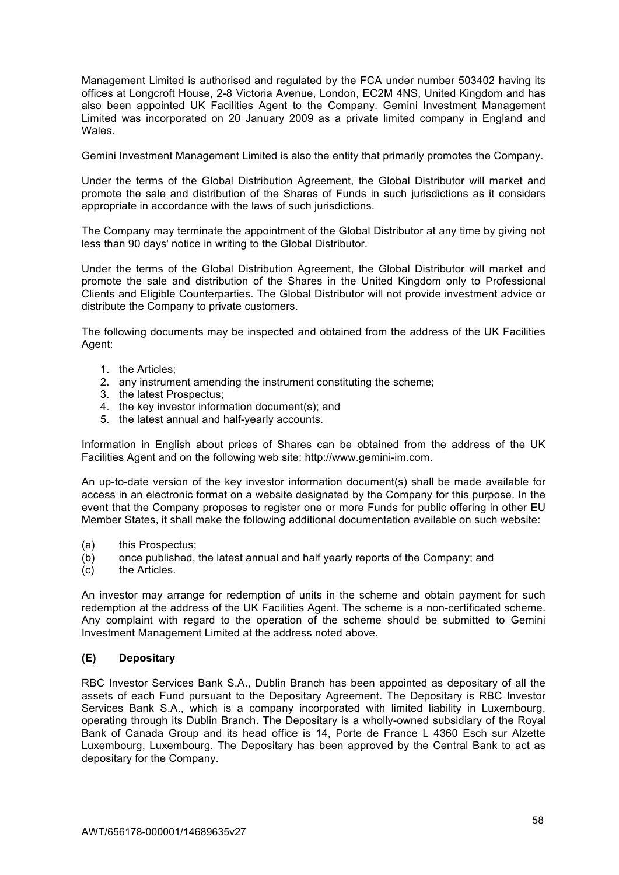Management Limited is authorised and regulated by the FCA under number 503402 having its offices at Longcroft House, 2-8 Victoria Avenue, London, EC2M 4NS, United Kingdom and has also been appointed UK Facilities Agent to the Company. Gemini Investment Management Limited was incorporated on 20 January 2009 as a private limited company in England and Wales.

Gemini Investment Management Limited is also the entity that primarily promotes the Company.

Under the terms of the Global Distribution Agreement, the Global Distributor will market and promote the sale and distribution of the Shares of Funds in such jurisdictions as it considers appropriate in accordance with the laws of such jurisdictions.

The Company may terminate the appointment of the Global Distributor at any time by giving not less than 90 days' notice in writing to the Global Distributor.

Under the terms of the Global Distribution Agreement, the Global Distributor will market and promote the sale and distribution of the Shares in the United Kingdom only to Professional Clients and Eligible Counterparties. The Global Distributor will not provide investment advice or distribute the Company to private customers.

The following documents may be inspected and obtained from the address of the UK Facilities Agent:

- 1. the Articles;
- 2. any instrument amending the instrument constituting the scheme;
- 3. the latest Prospectus;
- 4. the key investor information document(s); and
- 5. the latest annual and half-yearly accounts.

Information in English about prices of Shares can be obtained from the address of the UK Facilities Agent and on the following web site: http://www.gemini-im.com.

An up-to-date version of the key investor information document(s) shall be made available for access in an electronic format on a website designated by the Company for this purpose. In the event that the Company proposes to register one or more Funds for public offering in other EU Member States, it shall make the following additional documentation available on such website:

- (a) this Prospectus;
- (b) once published, the latest annual and half yearly reports of the Company; and
- (c) the Articles.

An investor may arrange for redemption of units in the scheme and obtain payment for such redemption at the address of the UK Facilities Agent. The scheme is a non-certificated scheme. Any complaint with regard to the operation of the scheme should be submitted to Gemini Investment Management Limited at the address noted above.

### **(E) Depositary**

RBC Investor Services Bank S.A., Dublin Branch has been appointed as depositary of all the assets of each Fund pursuant to the Depositary Agreement. The Depositary is RBC Investor Services Bank S.A., which is a company incorporated with limited liability in Luxembourg, operating through its Dublin Branch. The Depositary is a wholly-owned subsidiary of the Royal Bank of Canada Group and its head office is 14, Porte de France L 4360 Esch sur Alzette Luxembourg, Luxembourg. The Depositary has been approved by the Central Bank to act as depositary for the Company.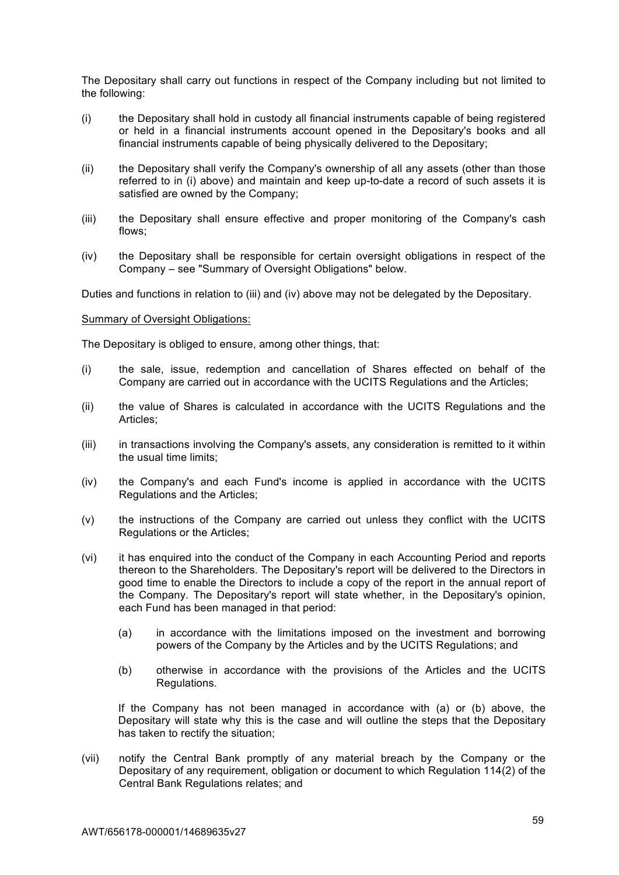The Depositary shall carry out functions in respect of the Company including but not limited to the following:

- (i) the Depositary shall hold in custody all financial instruments capable of being registered or held in a financial instruments account opened in the Depositary's books and all financial instruments capable of being physically delivered to the Depositary;
- (ii) the Depositary shall verify the Company's ownership of all any assets (other than those referred to in (i) above) and maintain and keep up-to-date a record of such assets it is satisfied are owned by the Company;
- (iii) the Depositary shall ensure effective and proper monitoring of the Company's cash flows;
- (iv) the Depositary shall be responsible for certain oversight obligations in respect of the Company – see "Summary of Oversight Obligations" below.

Duties and functions in relation to (iii) and (iv) above may not be delegated by the Depositary.

#### Summary of Oversight Obligations:

The Depositary is obliged to ensure, among other things, that:

- (i) the sale, issue, redemption and cancellation of Shares effected on behalf of the Company are carried out in accordance with the UCITS Regulations and the Articles;
- (ii) the value of Shares is calculated in accordance with the UCITS Regulations and the Articles;
- (iii) in transactions involving the Company's assets, any consideration is remitted to it within the usual time limits;
- (iv) the Company's and each Fund's income is applied in accordance with the UCITS Regulations and the Articles;
- (v) the instructions of the Company are carried out unless they conflict with the UCITS Regulations or the Articles;
- (vi) it has enquired into the conduct of the Company in each Accounting Period and reports thereon to the Shareholders. The Depositary's report will be delivered to the Directors in good time to enable the Directors to include a copy of the report in the annual report of the Company. The Depositary's report will state whether, in the Depositary's opinion, each Fund has been managed in that period:
	- (a) in accordance with the limitations imposed on the investment and borrowing powers of the Company by the Articles and by the UCITS Regulations; and
	- (b) otherwise in accordance with the provisions of the Articles and the UCITS Regulations.

If the Company has not been managed in accordance with (a) or (b) above, the Depositary will state why this is the case and will outline the steps that the Depositary has taken to rectify the situation;

(vii) notify the Central Bank promptly of any material breach by the Company or the Depositary of any requirement, obligation or document to which Regulation 114(2) of the Central Bank Regulations relates; and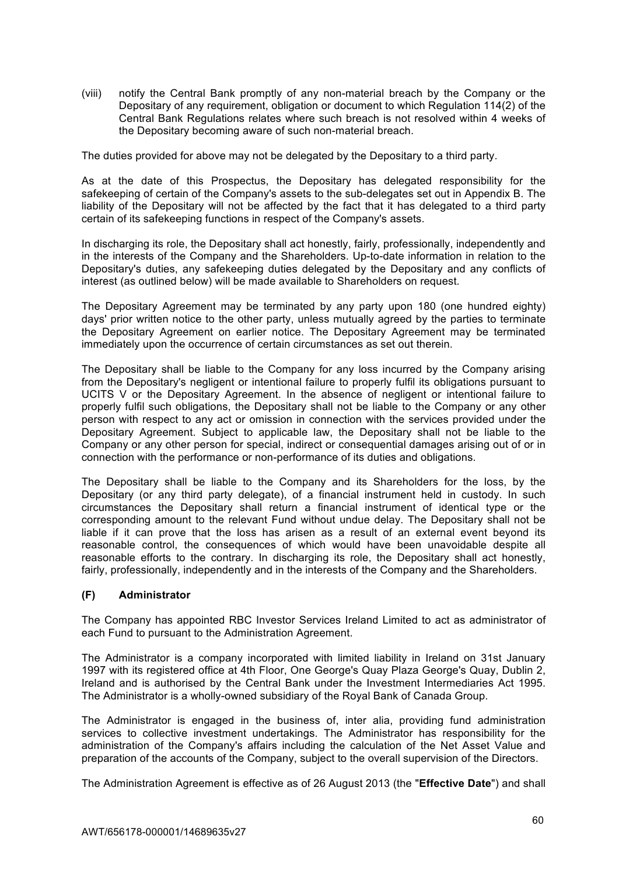(viii) notify the Central Bank promptly of any non-material breach by the Company or the Depositary of any requirement, obligation or document to which Regulation 114(2) of the Central Bank Regulations relates where such breach is not resolved within 4 weeks of the Depositary becoming aware of such non-material breach.

The duties provided for above may not be delegated by the Depositary to a third party.

As at the date of this Prospectus, the Depositary has delegated responsibility for the safekeeping of certain of the Company's assets to the sub-delegates set out in Appendix B. The liability of the Depositary will not be affected by the fact that it has delegated to a third party certain of its safekeeping functions in respect of the Company's assets.

In discharging its role, the Depositary shall act honestly, fairly, professionally, independently and in the interests of the Company and the Shareholders. Up-to-date information in relation to the Depositary's duties, any safekeeping duties delegated by the Depositary and any conflicts of interest (as outlined below) will be made available to Shareholders on request.

The Depositary Agreement may be terminated by any party upon 180 (one hundred eighty) days' prior written notice to the other party, unless mutually agreed by the parties to terminate the Depositary Agreement on earlier notice. The Depositary Agreement may be terminated immediately upon the occurrence of certain circumstances as set out therein.

The Depositary shall be liable to the Company for any loss incurred by the Company arising from the Depositary's negligent or intentional failure to properly fulfil its obligations pursuant to UCITS V or the Depositary Agreement. In the absence of negligent or intentional failure to properly fulfil such obligations, the Depositary shall not be liable to the Company or any other person with respect to any act or omission in connection with the services provided under the Depositary Agreement. Subject to applicable law, the Depositary shall not be liable to the Company or any other person for special, indirect or consequential damages arising out of or in connection with the performance or non-performance of its duties and obligations.

The Depositary shall be liable to the Company and its Shareholders for the loss, by the Depositary (or any third party delegate), of a financial instrument held in custody. In such circumstances the Depositary shall return a financial instrument of identical type or the corresponding amount to the relevant Fund without undue delay. The Depositary shall not be liable if it can prove that the loss has arisen as a result of an external event beyond its reasonable control, the consequences of which would have been unavoidable despite all reasonable efforts to the contrary. In discharging its role, the Depositary shall act honestly, fairly, professionally, independently and in the interests of the Company and the Shareholders.

# **(F) Administrator**

The Company has appointed RBC Investor Services Ireland Limited to act as administrator of each Fund to pursuant to the Administration Agreement.

The Administrator is a company incorporated with limited liability in Ireland on 31st January 1997 with its registered office at 4th Floor, One George's Quay Plaza George's Quay, Dublin 2, Ireland and is authorised by the Central Bank under the Investment Intermediaries Act 1995. The Administrator is a wholly-owned subsidiary of the Royal Bank of Canada Group.

The Administrator is engaged in the business of, inter alia, providing fund administration services to collective investment undertakings. The Administrator has responsibility for the administration of the Company's affairs including the calculation of the Net Asset Value and preparation of the accounts of the Company, subject to the overall supervision of the Directors.

The Administration Agreement is effective as of 26 August 2013 (the "**Effective Date**") and shall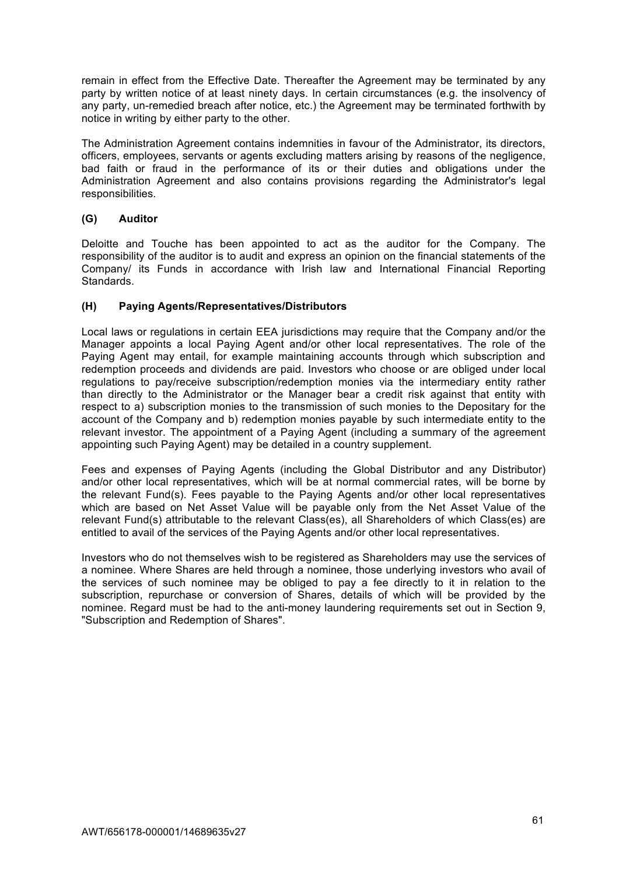remain in effect from the Effective Date. Thereafter the Agreement may be terminated by any party by written notice of at least ninety days. In certain circumstances (e.g. the insolvency of any party, un-remedied breach after notice, etc.) the Agreement may be terminated forthwith by notice in writing by either party to the other.

The Administration Agreement contains indemnities in favour of the Administrator, its directors, officers, employees, servants or agents excluding matters arising by reasons of the negligence, bad faith or fraud in the performance of its or their duties and obligations under the Administration Agreement and also contains provisions regarding the Administrator's legal responsibilities.

# **(G) Auditor**

Deloitte and Touche has been appointed to act as the auditor for the Company. The responsibility of the auditor is to audit and express an opinion on the financial statements of the Company/ its Funds in accordance with Irish law and International Financial Reporting Standards.

# **(H) Paying Agents/Representatives/Distributors**

Local laws or regulations in certain EEA jurisdictions may require that the Company and/or the Manager appoints a local Paying Agent and/or other local representatives. The role of the Paying Agent may entail, for example maintaining accounts through which subscription and redemption proceeds and dividends are paid. Investors who choose or are obliged under local regulations to pay/receive subscription/redemption monies via the intermediary entity rather than directly to the Administrator or the Manager bear a credit risk against that entity with respect to a) subscription monies to the transmission of such monies to the Depositary for the account of the Company and b) redemption monies payable by such intermediate entity to the relevant investor. The appointment of a Paying Agent (including a summary of the agreement appointing such Paying Agent) may be detailed in a country supplement.

Fees and expenses of Paying Agents (including the Global Distributor and any Distributor) and/or other local representatives, which will be at normal commercial rates, will be borne by the relevant Fund(s). Fees payable to the Paying Agents and/or other local representatives which are based on Net Asset Value will be payable only from the Net Asset Value of the relevant Fund(s) attributable to the relevant Class(es), all Shareholders of which Class(es) are entitled to avail of the services of the Paying Agents and/or other local representatives.

Investors who do not themselves wish to be registered as Shareholders may use the services of a nominee. Where Shares are held through a nominee, those underlying investors who avail of the services of such nominee may be obliged to pay a fee directly to it in relation to the subscription, repurchase or conversion of Shares, details of which will be provided by the nominee. Regard must be had to the anti-money laundering requirements set out in Section 9, "Subscription and Redemption of Shares".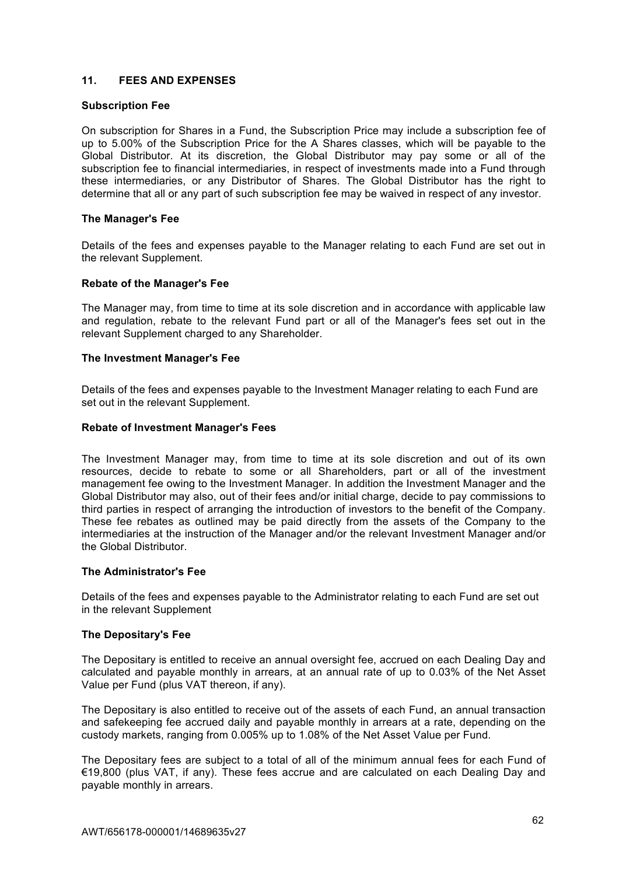# **11. FEES AND EXPENSES**

#### **Subscription Fee**

On subscription for Shares in a Fund, the Subscription Price may include a subscription fee of up to 5.00% of the Subscription Price for the A Shares classes, which will be payable to the Global Distributor. At its discretion, the Global Distributor may pay some or all of the subscription fee to financial intermediaries, in respect of investments made into a Fund through these intermediaries, or any Distributor of Shares. The Global Distributor has the right to determine that all or any part of such subscription fee may be waived in respect of any investor.

#### **The Manager's Fee**

Details of the fees and expenses payable to the Manager relating to each Fund are set out in the relevant Supplement.

#### **Rebate of the Manager's Fee**

The Manager may, from time to time at its sole discretion and in accordance with applicable law and regulation, rebate to the relevant Fund part or all of the Manager's fees set out in the relevant Supplement charged to any Shareholder.

#### **The Investment Manager's Fee**

Details of the fees and expenses payable to the Investment Manager relating to each Fund are set out in the relevant Supplement.

#### **Rebate of Investment Manager's Fees**

The Investment Manager may, from time to time at its sole discretion and out of its own resources, decide to rebate to some or all Shareholders, part or all of the investment management fee owing to the Investment Manager. In addition the Investment Manager and the Global Distributor may also, out of their fees and/or initial charge, decide to pay commissions to third parties in respect of arranging the introduction of investors to the benefit of the Company. These fee rebates as outlined may be paid directly from the assets of the Company to the intermediaries at the instruction of the Manager and/or the relevant Investment Manager and/or the Global Distributor.

### **The Administrator's Fee**

Details of the fees and expenses payable to the Administrator relating to each Fund are set out in the relevant Supplement

#### **The Depositary's Fee**

The Depositary is entitled to receive an annual oversight fee, accrued on each Dealing Day and calculated and payable monthly in arrears, at an annual rate of up to 0.03% of the Net Asset Value per Fund (plus VAT thereon, if any).

The Depositary is also entitled to receive out of the assets of each Fund, an annual transaction and safekeeping fee accrued daily and payable monthly in arrears at a rate, depending on the custody markets, ranging from 0.005% up to 1.08% of the Net Asset Value per Fund.

The Depositary fees are subject to a total of all of the minimum annual fees for each Fund of €19,800 (plus VAT, if any). These fees accrue and are calculated on each Dealing Day and payable monthly in arrears.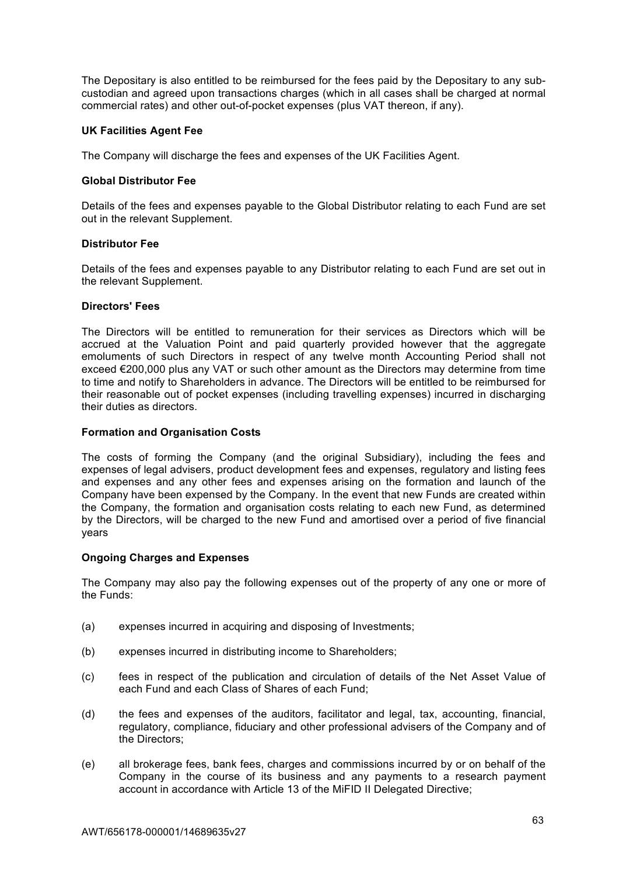The Depositary is also entitled to be reimbursed for the fees paid by the Depositary to any subcustodian and agreed upon transactions charges (which in all cases shall be charged at normal commercial rates) and other out-of-pocket expenses (plus VAT thereon, if any).

## **UK Facilities Agent Fee**

The Company will discharge the fees and expenses of the UK Facilities Agent.

## **Global Distributor Fee**

Details of the fees and expenses payable to the Global Distributor relating to each Fund are set out in the relevant Supplement.

### **Distributor Fee**

Details of the fees and expenses payable to any Distributor relating to each Fund are set out in the relevant Supplement.

# **Directors' Fees**

The Directors will be entitled to remuneration for their services as Directors which will be accrued at the Valuation Point and paid quarterly provided however that the aggregate emoluments of such Directors in respect of any twelve month Accounting Period shall not exceed €200,000 plus any VAT or such other amount as the Directors may determine from time to time and notify to Shareholders in advance. The Directors will be entitled to be reimbursed for their reasonable out of pocket expenses (including travelling expenses) incurred in discharging their duties as directors.

## **Formation and Organisation Costs**

The costs of forming the Company (and the original Subsidiary), including the fees and expenses of legal advisers, product development fees and expenses, regulatory and listing fees and expenses and any other fees and expenses arising on the formation and launch of the Company have been expensed by the Company. In the event that new Funds are created within the Company, the formation and organisation costs relating to each new Fund, as determined by the Directors, will be charged to the new Fund and amortised over a period of five financial years

### **Ongoing Charges and Expenses**

The Company may also pay the following expenses out of the property of any one or more of the Funds:

- (a) expenses incurred in acquiring and disposing of Investments;
- (b) expenses incurred in distributing income to Shareholders;
- (c) fees in respect of the publication and circulation of details of the Net Asset Value of each Fund and each Class of Shares of each Fund;
- (d) the fees and expenses of the auditors, facilitator and legal, tax, accounting, financial, regulatory, compliance, fiduciary and other professional advisers of the Company and of the Directors;
- (e) all brokerage fees, bank fees, charges and commissions incurred by or on behalf of the Company in the course of its business and any payments to a research payment account in accordance with Article 13 of the MiFID II Delegated Directive;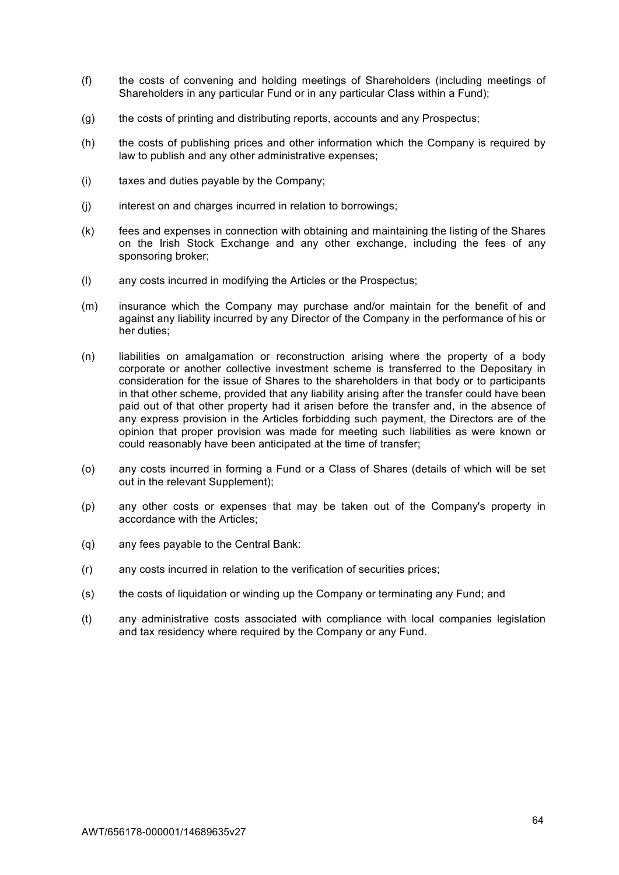- (f) the costs of convening and holding meetings of Shareholders (including meetings of Shareholders in any particular Fund or in any particular Class within a Fund);
- (g) the costs of printing and distributing reports, accounts and any Prospectus;
- (h) the costs of publishing prices and other information which the Company is required by law to publish and any other administrative expenses;
- (i) taxes and duties payable by the Company;
- (j) interest on and charges incurred in relation to borrowings;
- (k) fees and expenses in connection with obtaining and maintaining the listing of the Shares on the Irish Stock Exchange and any other exchange, including the fees of any sponsoring broker;
- (l) any costs incurred in modifying the Articles or the Prospectus;
- (m) insurance which the Company may purchase and/or maintain for the benefit of and against any liability incurred by any Director of the Company in the performance of his or her duties;
- (n) liabilities on amalgamation or reconstruction arising where the property of a body corporate or another collective investment scheme is transferred to the Depositary in consideration for the issue of Shares to the shareholders in that body or to participants in that other scheme, provided that any liability arising after the transfer could have been paid out of that other property had it arisen before the transfer and, in the absence of any express provision in the Articles forbidding such payment, the Directors are of the opinion that proper provision was made for meeting such liabilities as were known or could reasonably have been anticipated at the time of transfer;
- (o) any costs incurred in forming a Fund or a Class of Shares (details of which will be set out in the relevant Supplement);
- (p) any other costs or expenses that may be taken out of the Company's property in accordance with the Articles;
- (q) any fees payable to the Central Bank:
- (r) any costs incurred in relation to the verification of securities prices;
- (s) the costs of liquidation or winding up the Company or terminating any Fund; and
- (t) any administrative costs associated with compliance with local companies legislation and tax residency where required by the Company or any Fund.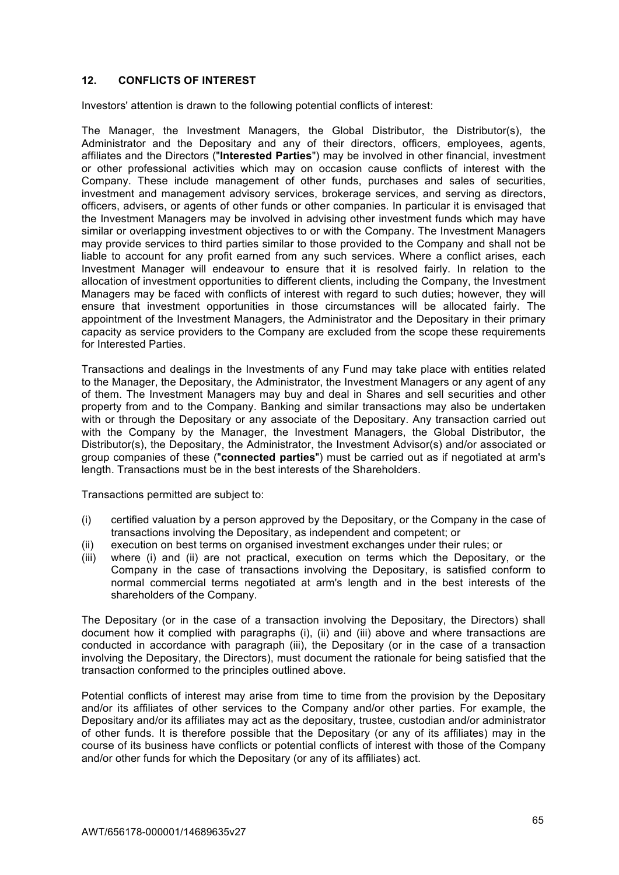# **12. CONFLICTS OF INTEREST**

Investors' attention is drawn to the following potential conflicts of interest:

The Manager, the Investment Managers, the Global Distributor, the Distributor(s), the Administrator and the Depositary and any of their directors, officers, employees, agents, affiliates and the Directors ("**Interested Parties**") may be involved in other financial, investment or other professional activities which may on occasion cause conflicts of interest with the Company. These include management of other funds, purchases and sales of securities, investment and management advisory services, brokerage services, and serving as directors, officers, advisers, or agents of other funds or other companies. In particular it is envisaged that the Investment Managers may be involved in advising other investment funds which may have similar or overlapping investment objectives to or with the Company. The Investment Managers may provide services to third parties similar to those provided to the Company and shall not be liable to account for any profit earned from any such services. Where a conflict arises, each Investment Manager will endeavour to ensure that it is resolved fairly. In relation to the allocation of investment opportunities to different clients, including the Company, the Investment Managers may be faced with conflicts of interest with regard to such duties; however, they will ensure that investment opportunities in those circumstances will be allocated fairly. The appointment of the Investment Managers, the Administrator and the Depositary in their primary capacity as service providers to the Company are excluded from the scope these requirements for Interested Parties.

Transactions and dealings in the Investments of any Fund may take place with entities related to the Manager, the Depositary, the Administrator, the Investment Managers or any agent of any of them. The Investment Managers may buy and deal in Shares and sell securities and other property from and to the Company. Banking and similar transactions may also be undertaken with or through the Depositary or any associate of the Depositary. Any transaction carried out with the Company by the Manager, the Investment Managers, the Global Distributor, the Distributor(s), the Depositary, the Administrator, the Investment Advisor(s) and/or associated or group companies of these ("**connected parties**") must be carried out as if negotiated at arm's length. Transactions must be in the best interests of the Shareholders.

Transactions permitted are subject to:

- (i) certified valuation by a person approved by the Depositary, or the Company in the case of transactions involving the Depositary, as independent and competent; or
- (ii) execution on best terms on organised investment exchanges under their rules; or
- (iii) where (i) and (ii) are not practical, execution on terms which the Depositary, or the Company in the case of transactions involving the Depositary, is satisfied conform to normal commercial terms negotiated at arm's length and in the best interests of the shareholders of the Company.

The Depositary (or in the case of a transaction involving the Depositary, the Directors) shall document how it complied with paragraphs (i), (ii) and (iii) above and where transactions are conducted in accordance with paragraph (iii), the Depositary (or in the case of a transaction involving the Depositary, the Directors), must document the rationale for being satisfied that the transaction conformed to the principles outlined above.

Potential conflicts of interest may arise from time to time from the provision by the Depositary and/or its affiliates of other services to the Company and/or other parties. For example, the Depositary and/or its affiliates may act as the depositary, trustee, custodian and/or administrator of other funds. It is therefore possible that the Depositary (or any of its affiliates) may in the course of its business have conflicts or potential conflicts of interest with those of the Company and/or other funds for which the Depositary (or any of its affiliates) act.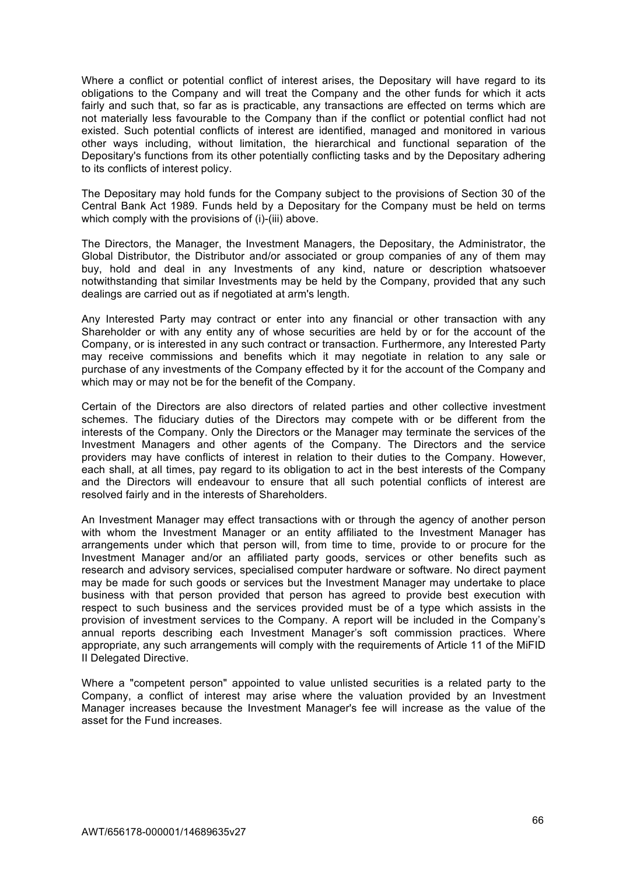Where a conflict or potential conflict of interest arises, the Depositary will have regard to its obligations to the Company and will treat the Company and the other funds for which it acts fairly and such that, so far as is practicable, any transactions are effected on terms which are not materially less favourable to the Company than if the conflict or potential conflict had not existed. Such potential conflicts of interest are identified, managed and monitored in various other ways including, without limitation, the hierarchical and functional separation of the Depositary's functions from its other potentially conflicting tasks and by the Depositary adhering to its conflicts of interest policy.

The Depositary may hold funds for the Company subject to the provisions of Section 30 of the Central Bank Act 1989. Funds held by a Depositary for the Company must be held on terms which comply with the provisions of (i)-(iii) above.

The Directors, the Manager, the Investment Managers, the Depositary, the Administrator, the Global Distributor, the Distributor and/or associated or group companies of any of them may buy, hold and deal in any Investments of any kind, nature or description whatsoever notwithstanding that similar Investments may be held by the Company, provided that any such dealings are carried out as if negotiated at arm's length.

Any Interested Party may contract or enter into any financial or other transaction with any Shareholder or with any entity any of whose securities are held by or for the account of the Company, or is interested in any such contract or transaction. Furthermore, any Interested Party may receive commissions and benefits which it may negotiate in relation to any sale or purchase of any investments of the Company effected by it for the account of the Company and which may or may not be for the benefit of the Company.

Certain of the Directors are also directors of related parties and other collective investment schemes. The fiduciary duties of the Directors may compete with or be different from the interests of the Company. Only the Directors or the Manager may terminate the services of the Investment Managers and other agents of the Company. The Directors and the service providers may have conflicts of interest in relation to their duties to the Company. However, each shall, at all times, pay regard to its obligation to act in the best interests of the Company and the Directors will endeavour to ensure that all such potential conflicts of interest are resolved fairly and in the interests of Shareholders.

An Investment Manager may effect transactions with or through the agency of another person with whom the Investment Manager or an entity affiliated to the Investment Manager has arrangements under which that person will, from time to time, provide to or procure for the Investment Manager and/or an affiliated party goods, services or other benefits such as research and advisory services, specialised computer hardware or software. No direct payment may be made for such goods or services but the Investment Manager may undertake to place business with that person provided that person has agreed to provide best execution with respect to such business and the services provided must be of a type which assists in the provision of investment services to the Company. A report will be included in the Company's annual reports describing each Investment Manager's soft commission practices. Where appropriate, any such arrangements will comply with the requirements of Article 11 of the MiFID II Delegated Directive.

Where a "competent person" appointed to value unlisted securities is a related party to the Company, a conflict of interest may arise where the valuation provided by an Investment Manager increases because the Investment Manager's fee will increase as the value of the asset for the Fund increases.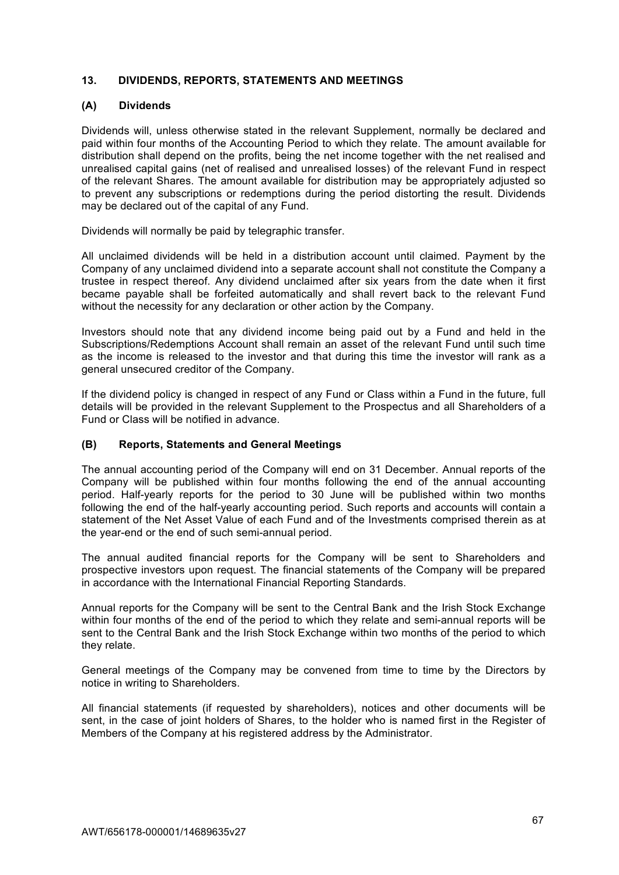## **13. DIVIDENDS, REPORTS, STATEMENTS AND MEETINGS**

## **(A) Dividends**

Dividends will, unless otherwise stated in the relevant Supplement, normally be declared and paid within four months of the Accounting Period to which they relate. The amount available for distribution shall depend on the profits, being the net income together with the net realised and unrealised capital gains (net of realised and unrealised losses) of the relevant Fund in respect of the relevant Shares. The amount available for distribution may be appropriately adjusted so to prevent any subscriptions or redemptions during the period distorting the result. Dividends may be declared out of the capital of any Fund.

Dividends will normally be paid by telegraphic transfer.

All unclaimed dividends will be held in a distribution account until claimed. Payment by the Company of any unclaimed dividend into a separate account shall not constitute the Company a trustee in respect thereof. Any dividend unclaimed after six years from the date when it first became payable shall be forfeited automatically and shall revert back to the relevant Fund without the necessity for any declaration or other action by the Company.

Investors should note that any dividend income being paid out by a Fund and held in the Subscriptions/Redemptions Account shall remain an asset of the relevant Fund until such time as the income is released to the investor and that during this time the investor will rank as a general unsecured creditor of the Company.

If the dividend policy is changed in respect of any Fund or Class within a Fund in the future, full details will be provided in the relevant Supplement to the Prospectus and all Shareholders of a Fund or Class will be notified in advance.

## **(B) Reports, Statements and General Meetings**

The annual accounting period of the Company will end on 31 December. Annual reports of the Company will be published within four months following the end of the annual accounting period. Half-yearly reports for the period to 30 June will be published within two months following the end of the half-yearly accounting period. Such reports and accounts will contain a statement of the Net Asset Value of each Fund and of the Investments comprised therein as at the year-end or the end of such semi-annual period.

The annual audited financial reports for the Company will be sent to Shareholders and prospective investors upon request. The financial statements of the Company will be prepared in accordance with the International Financial Reporting Standards.

Annual reports for the Company will be sent to the Central Bank and the Irish Stock Exchange within four months of the end of the period to which they relate and semi-annual reports will be sent to the Central Bank and the Irish Stock Exchange within two months of the period to which they relate.

General meetings of the Company may be convened from time to time by the Directors by notice in writing to Shareholders.

All financial statements (if requested by shareholders), notices and other documents will be sent, in the case of joint holders of Shares, to the holder who is named first in the Register of Members of the Company at his registered address by the Administrator.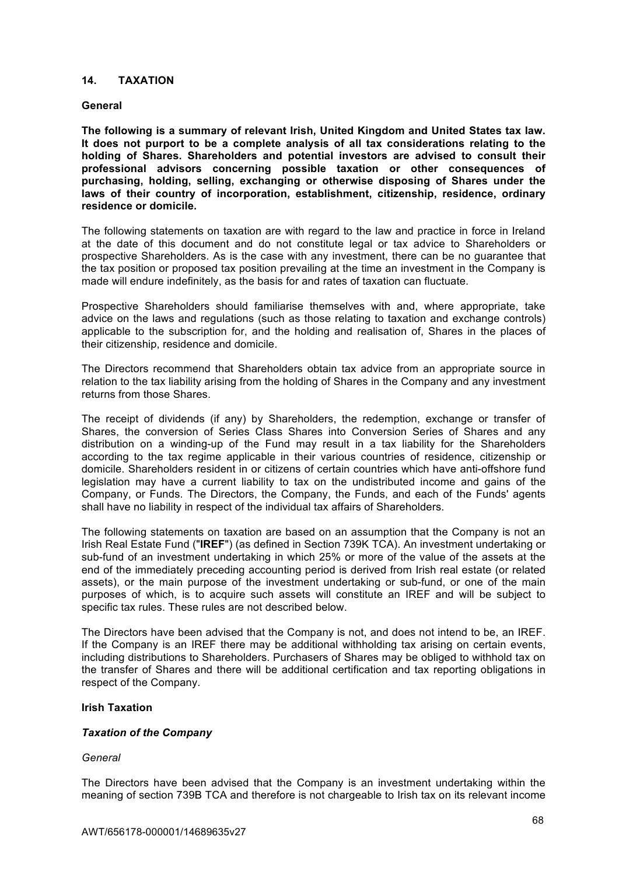### **14. TAXATION**

#### **General**

**The following is a summary of relevant Irish, United Kingdom and United States tax law. It does not purport to be a complete analysis of all tax considerations relating to the holding of Shares. Shareholders and potential investors are advised to consult their professional advisors concerning possible taxation or other consequences of purchasing, holding, selling, exchanging or otherwise disposing of Shares under the laws of their country of incorporation, establishment, citizenship, residence, ordinary residence or domicile.**

The following statements on taxation are with regard to the law and practice in force in Ireland at the date of this document and do not constitute legal or tax advice to Shareholders or prospective Shareholders. As is the case with any investment, there can be no guarantee that the tax position or proposed tax position prevailing at the time an investment in the Company is made will endure indefinitely, as the basis for and rates of taxation can fluctuate.

Prospective Shareholders should familiarise themselves with and, where appropriate, take advice on the laws and regulations (such as those relating to taxation and exchange controls) applicable to the subscription for, and the holding and realisation of, Shares in the places of their citizenship, residence and domicile.

The Directors recommend that Shareholders obtain tax advice from an appropriate source in relation to the tax liability arising from the holding of Shares in the Company and any investment returns from those Shares.

The receipt of dividends (if any) by Shareholders, the redemption, exchange or transfer of Shares, the conversion of Series Class Shares into Conversion Series of Shares and any distribution on a winding-up of the Fund may result in a tax liability for the Shareholders according to the tax regime applicable in their various countries of residence, citizenship or domicile. Shareholders resident in or citizens of certain countries which have anti-offshore fund legislation may have a current liability to tax on the undistributed income and gains of the Company, or Funds. The Directors, the Company, the Funds, and each of the Funds' agents shall have no liability in respect of the individual tax affairs of Shareholders.

The following statements on taxation are based on an assumption that the Company is not an Irish Real Estate Fund ("**IREF**") (as defined in Section 739K TCA). An investment undertaking or sub-fund of an investment undertaking in which 25% or more of the value of the assets at the end of the immediately preceding accounting period is derived from Irish real estate (or related assets), or the main purpose of the investment undertaking or sub-fund, or one of the main purposes of which, is to acquire such assets will constitute an IREF and will be subject to specific tax rules. These rules are not described below.

The Directors have been advised that the Company is not, and does not intend to be, an IREF. If the Company is an IREF there may be additional withholding tax arising on certain events, including distributions to Shareholders. Purchasers of Shares may be obliged to withhold tax on the transfer of Shares and there will be additional certification and tax reporting obligations in respect of the Company.

### **Irish Taxation**

### *Taxation of the Company*

#### *General*

The Directors have been advised that the Company is an investment undertaking within the meaning of section 739B TCA and therefore is not chargeable to Irish tax on its relevant income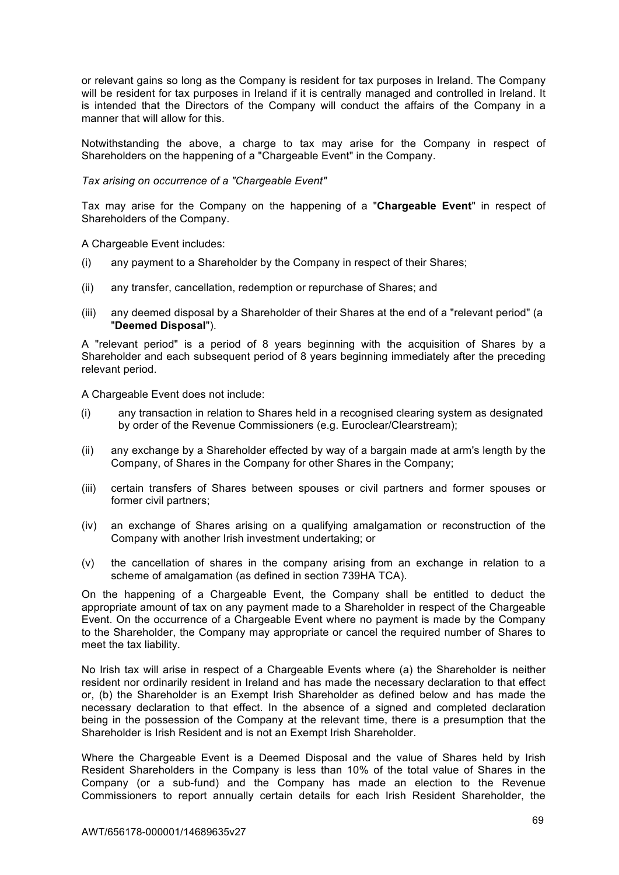or relevant gains so long as the Company is resident for tax purposes in Ireland. The Company will be resident for tax purposes in Ireland if it is centrally managed and controlled in Ireland. It is intended that the Directors of the Company will conduct the affairs of the Company in a manner that will allow for this.

Notwithstanding the above, a charge to tax may arise for the Company in respect of Shareholders on the happening of a "Chargeable Event" in the Company.

*Tax arising on occurrence of a "Chargeable Event"*

Tax may arise for the Company on the happening of a "**Chargeable Event**" in respect of Shareholders of the Company.

A Chargeable Event includes:

- (i) any payment to a Shareholder by the Company in respect of their Shares;
- (ii) any transfer, cancellation, redemption or repurchase of Shares; and
- (iii) any deemed disposal by a Shareholder of their Shares at the end of a "relevant period" (a "**Deemed Disposal**").

A "relevant period" is a period of 8 years beginning with the acquisition of Shares by a Shareholder and each subsequent period of 8 years beginning immediately after the preceding relevant period.

A Chargeable Event does not include:

- (i) any transaction in relation to Shares held in a recognised clearing system as designated by order of the Revenue Commissioners (e.g. Euroclear/Clearstream);
- (ii) any exchange by a Shareholder effected by way of a bargain made at arm's length by the Company, of Shares in the Company for other Shares in the Company;
- (iii) certain transfers of Shares between spouses or civil partners and former spouses or former civil partners;
- (iv) an exchange of Shares arising on a qualifying amalgamation or reconstruction of the Company with another Irish investment undertaking; or
- (v) the cancellation of shares in the company arising from an exchange in relation to a scheme of amalgamation (as defined in section 739HA TCA).

On the happening of a Chargeable Event, the Company shall be entitled to deduct the appropriate amount of tax on any payment made to a Shareholder in respect of the Chargeable Event. On the occurrence of a Chargeable Event where no payment is made by the Company to the Shareholder, the Company may appropriate or cancel the required number of Shares to meet the tax liability.

No Irish tax will arise in respect of a Chargeable Events where (a) the Shareholder is neither resident nor ordinarily resident in Ireland and has made the necessary declaration to that effect or, (b) the Shareholder is an Exempt Irish Shareholder as defined below and has made the necessary declaration to that effect. In the absence of a signed and completed declaration being in the possession of the Company at the relevant time, there is a presumption that the Shareholder is Irish Resident and is not an Exempt Irish Shareholder.

Where the Chargeable Event is a Deemed Disposal and the value of Shares held by Irish Resident Shareholders in the Company is less than 10% of the total value of Shares in the Company (or a sub-fund) and the Company has made an election to the Revenue Commissioners to report annually certain details for each Irish Resident Shareholder, the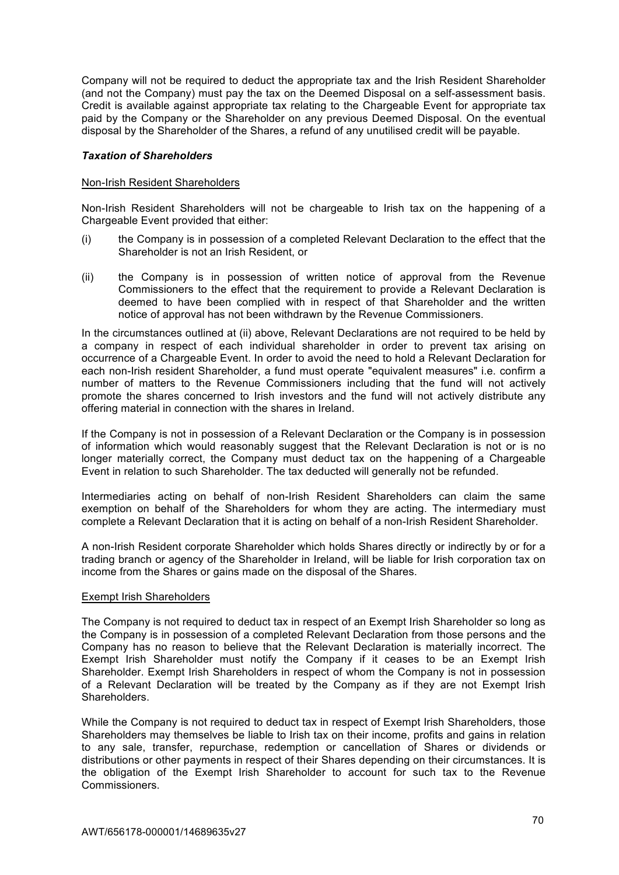Company will not be required to deduct the appropriate tax and the Irish Resident Shareholder (and not the Company) must pay the tax on the Deemed Disposal on a self-assessment basis. Credit is available against appropriate tax relating to the Chargeable Event for appropriate tax paid by the Company or the Shareholder on any previous Deemed Disposal. On the eventual disposal by the Shareholder of the Shares, a refund of any unutilised credit will be payable.

#### *Taxation of Shareholders*

#### Non-Irish Resident Shareholders

Non-Irish Resident Shareholders will not be chargeable to Irish tax on the happening of a Chargeable Event provided that either:

- (i) the Company is in possession of a completed Relevant Declaration to the effect that the Shareholder is not an Irish Resident, or
- (ii) the Company is in possession of written notice of approval from the Revenue Commissioners to the effect that the requirement to provide a Relevant Declaration is deemed to have been complied with in respect of that Shareholder and the written notice of approval has not been withdrawn by the Revenue Commissioners.

In the circumstances outlined at (ii) above, Relevant Declarations are not required to be held by a company in respect of each individual shareholder in order to prevent tax arising on occurrence of a Chargeable Event. In order to avoid the need to hold a Relevant Declaration for each non-Irish resident Shareholder, a fund must operate "equivalent measures" i.e. confirm a number of matters to the Revenue Commissioners including that the fund will not actively promote the shares concerned to Irish investors and the fund will not actively distribute any offering material in connection with the shares in Ireland.

If the Company is not in possession of a Relevant Declaration or the Company is in possession of information which would reasonably suggest that the Relevant Declaration is not or is no longer materially correct, the Company must deduct tax on the happening of a Chargeable Event in relation to such Shareholder. The tax deducted will generally not be refunded.

Intermediaries acting on behalf of non-Irish Resident Shareholders can claim the same exemption on behalf of the Shareholders for whom they are acting. The intermediary must complete a Relevant Declaration that it is acting on behalf of a non-Irish Resident Shareholder.

A non-Irish Resident corporate Shareholder which holds Shares directly or indirectly by or for a trading branch or agency of the Shareholder in Ireland, will be liable for Irish corporation tax on income from the Shares or gains made on the disposal of the Shares.

#### Exempt Irish Shareholders

The Company is not required to deduct tax in respect of an Exempt Irish Shareholder so long as the Company is in possession of a completed Relevant Declaration from those persons and the Company has no reason to believe that the Relevant Declaration is materially incorrect. The Exempt Irish Shareholder must notify the Company if it ceases to be an Exempt Irish Shareholder. Exempt Irish Shareholders in respect of whom the Company is not in possession of a Relevant Declaration will be treated by the Company as if they are not Exempt Irish Shareholders.

While the Company is not required to deduct tax in respect of Exempt Irish Shareholders, those Shareholders may themselves be liable to Irish tax on their income, profits and gains in relation to any sale, transfer, repurchase, redemption or cancellation of Shares or dividends or distributions or other payments in respect of their Shares depending on their circumstances. It is the obligation of the Exempt Irish Shareholder to account for such tax to the Revenue Commissioners.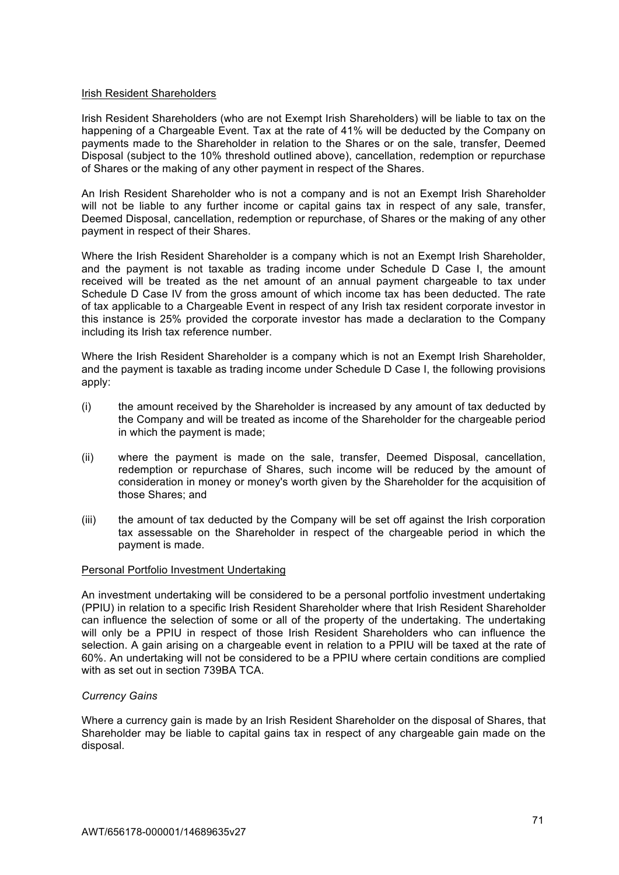#### Irish Resident Shareholders

Irish Resident Shareholders (who are not Exempt Irish Shareholders) will be liable to tax on the happening of a Chargeable Event. Tax at the rate of 41% will be deducted by the Company on payments made to the Shareholder in relation to the Shares or on the sale, transfer, Deemed Disposal (subject to the 10% threshold outlined above), cancellation, redemption or repurchase of Shares or the making of any other payment in respect of the Shares.

An Irish Resident Shareholder who is not a company and is not an Exempt Irish Shareholder will not be liable to any further income or capital gains tax in respect of any sale, transfer, Deemed Disposal, cancellation, redemption or repurchase, of Shares or the making of any other payment in respect of their Shares.

Where the Irish Resident Shareholder is a company which is not an Exempt Irish Shareholder, and the payment is not taxable as trading income under Schedule D Case I, the amount received will be treated as the net amount of an annual payment chargeable to tax under Schedule D Case IV from the gross amount of which income tax has been deducted. The rate of tax applicable to a Chargeable Event in respect of any Irish tax resident corporate investor in this instance is 25% provided the corporate investor has made a declaration to the Company including its Irish tax reference number.

Where the Irish Resident Shareholder is a company which is not an Exempt Irish Shareholder, and the payment is taxable as trading income under Schedule D Case I, the following provisions apply:

- (i) the amount received by the Shareholder is increased by any amount of tax deducted by the Company and will be treated as income of the Shareholder for the chargeable period in which the payment is made;
- (ii) where the payment is made on the sale, transfer, Deemed Disposal, cancellation, redemption or repurchase of Shares, such income will be reduced by the amount of consideration in money or money's worth given by the Shareholder for the acquisition of those Shares; and
- (iii) the amount of tax deducted by the Company will be set off against the Irish corporation tax assessable on the Shareholder in respect of the chargeable period in which the payment is made.

### Personal Portfolio Investment Undertaking

An investment undertaking will be considered to be a personal portfolio investment undertaking (PPIU) in relation to a specific Irish Resident Shareholder where that Irish Resident Shareholder can influence the selection of some or all of the property of the undertaking. The undertaking will only be a PPIU in respect of those Irish Resident Shareholders who can influence the selection. A gain arising on a chargeable event in relation to a PPIU will be taxed at the rate of 60%. An undertaking will not be considered to be a PPIU where certain conditions are complied with as set out in section 739BA TCA.

### *Currency Gains*

Where a currency gain is made by an Irish Resident Shareholder on the disposal of Shares, that Shareholder may be liable to capital gains tax in respect of any chargeable gain made on the disposal.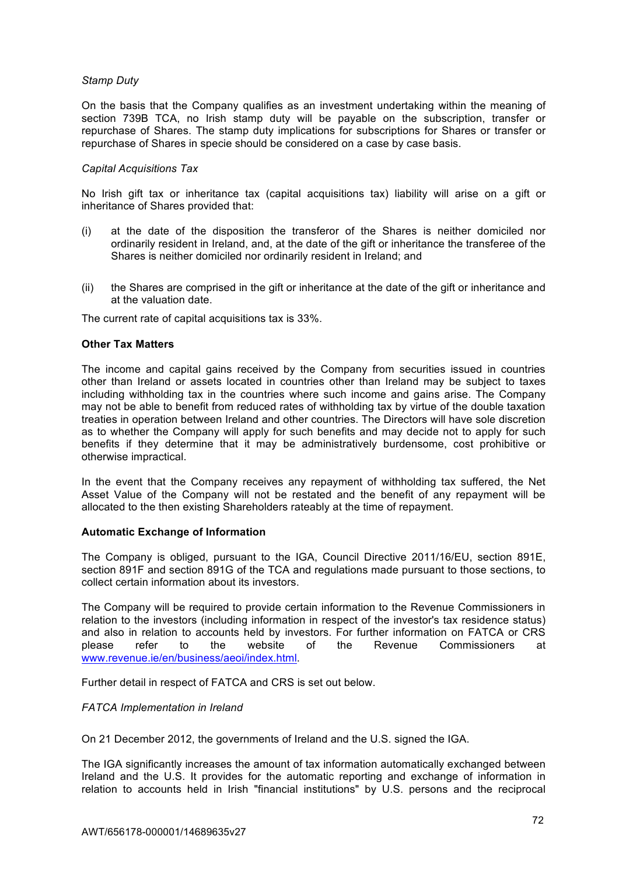## *Stamp Duty*

On the basis that the Company qualifies as an investment undertaking within the meaning of section 739B TCA, no Irish stamp duty will be payable on the subscription, transfer or repurchase of Shares. The stamp duty implications for subscriptions for Shares or transfer or repurchase of Shares in specie should be considered on a case by case basis.

### *Capital Acquisitions Tax*

No Irish gift tax or inheritance tax (capital acquisitions tax) liability will arise on a gift or inheritance of Shares provided that:

- (i) at the date of the disposition the transferor of the Shares is neither domiciled nor ordinarily resident in Ireland, and, at the date of the gift or inheritance the transferee of the Shares is neither domiciled nor ordinarily resident in Ireland; and
- (ii) the Shares are comprised in the gift or inheritance at the date of the gift or inheritance and at the valuation date.

The current rate of capital acquisitions tax is 33%.

### **Other Tax Matters**

The income and capital gains received by the Company from securities issued in countries other than Ireland or assets located in countries other than Ireland may be subject to taxes including withholding tax in the countries where such income and gains arise. The Company may not be able to benefit from reduced rates of withholding tax by virtue of the double taxation treaties in operation between Ireland and other countries. The Directors will have sole discretion as to whether the Company will apply for such benefits and may decide not to apply for such benefits if they determine that it may be administratively burdensome, cost prohibitive or otherwise impractical.

In the event that the Company receives any repayment of withholding tax suffered, the Net Asset Value of the Company will not be restated and the benefit of any repayment will be allocated to the then existing Shareholders rateably at the time of repayment.

### **Automatic Exchange of Information**

The Company is obliged, pursuant to the IGA, Council Directive 2011/16/EU, section 891E, section 891F and section 891G of the TCA and regulations made pursuant to those sections, to collect certain information about its investors.

The Company will be required to provide certain information to the Revenue Commissioners in relation to the investors (including information in respect of the investor's tax residence status) and also in relation to accounts held by investors. For further information on FATCA or CRS please refer to the website of the Revenue Commissioners at www.revenue.ie/en/business/aeoi/index.html.

Further detail in respect of FATCA and CRS is set out below.

### *FATCA Implementation in Ireland*

On 21 December 2012, the governments of Ireland and the U.S. signed the IGA.

The IGA significantly increases the amount of tax information automatically exchanged between Ireland and the U.S. It provides for the automatic reporting and exchange of information in relation to accounts held in Irish "financial institutions" by U.S. persons and the reciprocal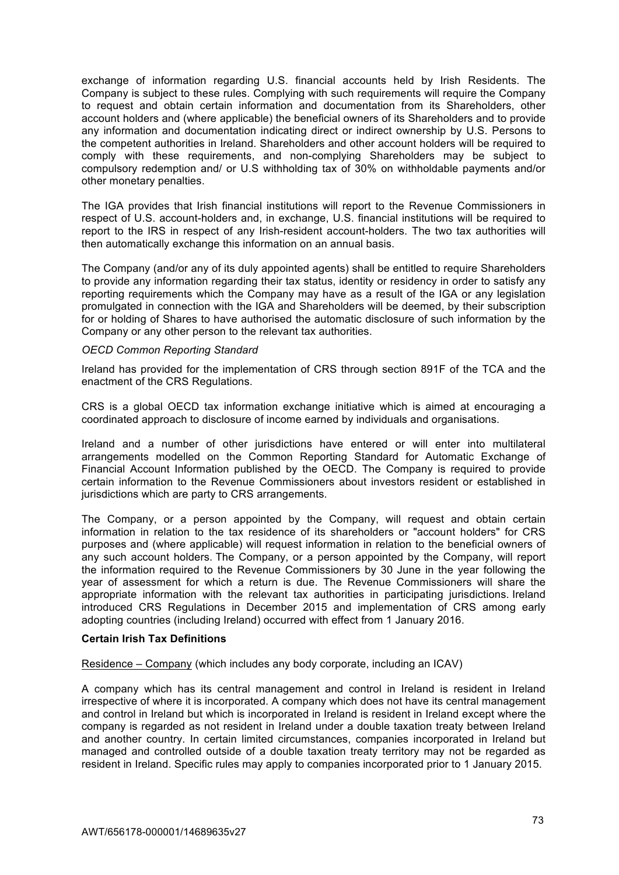exchange of information regarding U.S. financial accounts held by Irish Residents. The Company is subject to these rules. Complying with such requirements will require the Company to request and obtain certain information and documentation from its Shareholders, other account holders and (where applicable) the beneficial owners of its Shareholders and to provide any information and documentation indicating direct or indirect ownership by U.S. Persons to the competent authorities in Ireland. Shareholders and other account holders will be required to comply with these requirements, and non-complying Shareholders may be subject to compulsory redemption and/ or U.S withholding tax of 30% on withholdable payments and/or other monetary penalties.

The IGA provides that Irish financial institutions will report to the Revenue Commissioners in respect of U.S. account-holders and, in exchange, U.S. financial institutions will be required to report to the IRS in respect of any Irish-resident account-holders. The two tax authorities will then automatically exchange this information on an annual basis.

The Company (and/or any of its duly appointed agents) shall be entitled to require Shareholders to provide any information regarding their tax status, identity or residency in order to satisfy any reporting requirements which the Company may have as a result of the IGA or any legislation promulgated in connection with the IGA and Shareholders will be deemed, by their subscription for or holding of Shares to have authorised the automatic disclosure of such information by the Company or any other person to the relevant tax authorities.

### *OECD Common Reporting Standard*

Ireland has provided for the implementation of CRS through section 891F of the TCA and the enactment of the CRS Regulations.

CRS is a global OECD tax information exchange initiative which is aimed at encouraging a coordinated approach to disclosure of income earned by individuals and organisations.

Ireland and a number of other jurisdictions have entered or will enter into multilateral arrangements modelled on the Common Reporting Standard for Automatic Exchange of Financial Account Information published by the OECD. The Company is required to provide certain information to the Revenue Commissioners about investors resident or established in jurisdictions which are party to CRS arrangements.

The Company, or a person appointed by the Company, will request and obtain certain information in relation to the tax residence of its shareholders or "account holders" for CRS purposes and (where applicable) will request information in relation to the beneficial owners of any such account holders. The Company, or a person appointed by the Company, will report the information required to the Revenue Commissioners by 30 June in the year following the year of assessment for which a return is due. The Revenue Commissioners will share the appropriate information with the relevant tax authorities in participating jurisdictions. Ireland introduced CRS Regulations in December 2015 and implementation of CRS among early adopting countries (including Ireland) occurred with effect from 1 January 2016.

# **Certain Irish Tax Definitions**

Residence – Company (which includes any body corporate, including an ICAV)

A company which has its central management and control in Ireland is resident in Ireland irrespective of where it is incorporated. A company which does not have its central management and control in Ireland but which is incorporated in Ireland is resident in Ireland except where the company is regarded as not resident in Ireland under a double taxation treaty between Ireland and another country. In certain limited circumstances, companies incorporated in Ireland but managed and controlled outside of a double taxation treaty territory may not be regarded as resident in Ireland. Specific rules may apply to companies incorporated prior to 1 January 2015.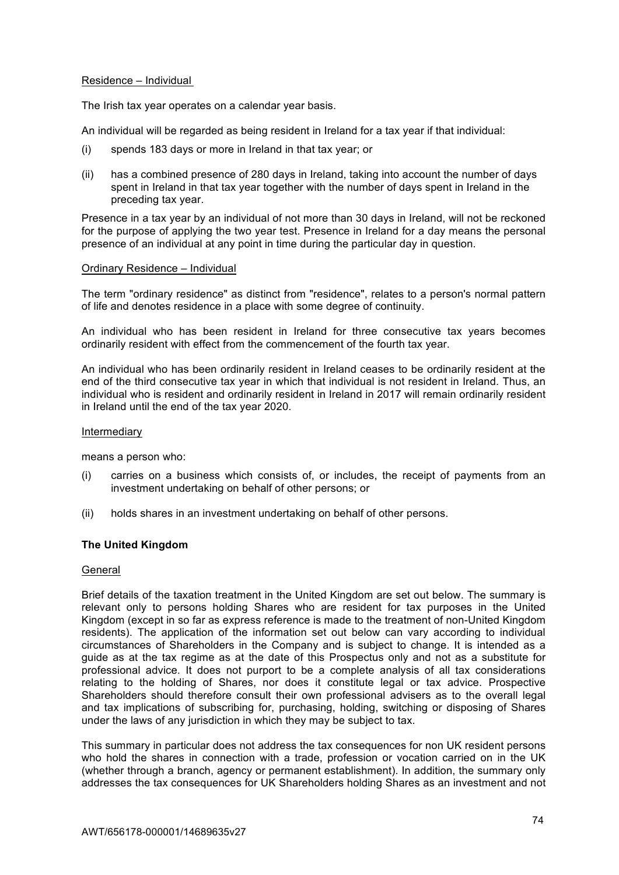# Residence – Individual

The Irish tax year operates on a calendar year basis.

An individual will be regarded as being resident in Ireland for a tax year if that individual:

- (i) spends 183 days or more in Ireland in that tax year; or
- (ii) has a combined presence of 280 days in Ireland, taking into account the number of days spent in Ireland in that tax year together with the number of days spent in Ireland in the preceding tax year.

Presence in a tax year by an individual of not more than 30 days in Ireland, will not be reckoned for the purpose of applying the two year test. Presence in Ireland for a day means the personal presence of an individual at any point in time during the particular day in question.

#### Ordinary Residence – Individual

The term "ordinary residence" as distinct from "residence", relates to a person's normal pattern of life and denotes residence in a place with some degree of continuity.

An individual who has been resident in Ireland for three consecutive tax years becomes ordinarily resident with effect from the commencement of the fourth tax year.

An individual who has been ordinarily resident in Ireland ceases to be ordinarily resident at the end of the third consecutive tax year in which that individual is not resident in Ireland. Thus, an individual who is resident and ordinarily resident in Ireland in 2017 will remain ordinarily resident in Ireland until the end of the tax year 2020.

#### Intermediary

means a person who:

- (i) carries on a business which consists of, or includes, the receipt of payments from an investment undertaking on behalf of other persons; or
- (ii) holds shares in an investment undertaking on behalf of other persons.

# **The United Kingdom**

#### General

Brief details of the taxation treatment in the United Kingdom are set out below. The summary is relevant only to persons holding Shares who are resident for tax purposes in the United Kingdom (except in so far as express reference is made to the treatment of non-United Kingdom residents). The application of the information set out below can vary according to individual circumstances of Shareholders in the Company and is subject to change. It is intended as a guide as at the tax regime as at the date of this Prospectus only and not as a substitute for professional advice. It does not purport to be a complete analysis of all tax considerations relating to the holding of Shares, nor does it constitute legal or tax advice. Prospective Shareholders should therefore consult their own professional advisers as to the overall legal and tax implications of subscribing for, purchasing, holding, switching or disposing of Shares under the laws of any jurisdiction in which they may be subject to tax.

This summary in particular does not address the tax consequences for non UK resident persons who hold the shares in connection with a trade, profession or vocation carried on in the UK (whether through a branch, agency or permanent establishment). In addition, the summary only addresses the tax consequences for UK Shareholders holding Shares as an investment and not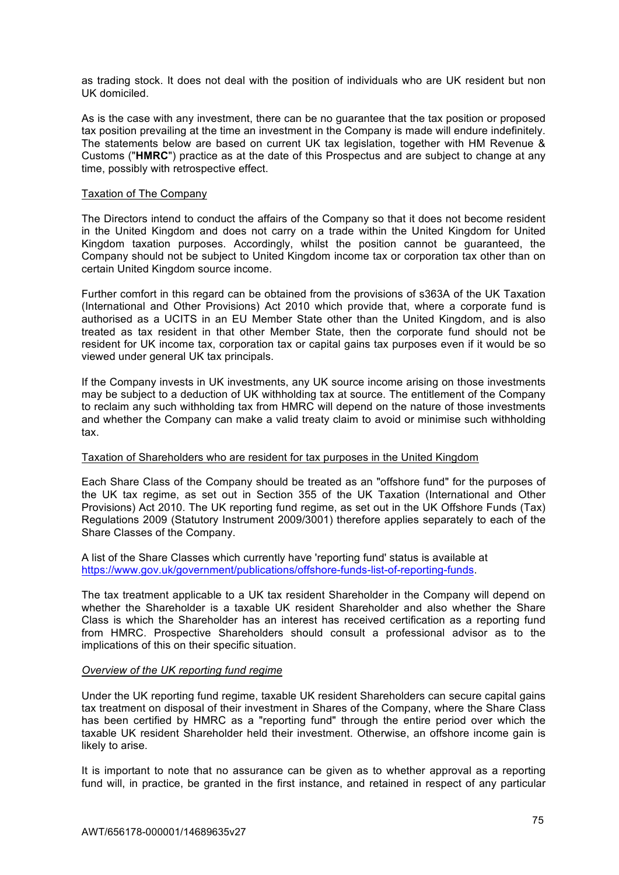as trading stock. It does not deal with the position of individuals who are UK resident but non UK domiciled.

As is the case with any investment, there can be no guarantee that the tax position or proposed tax position prevailing at the time an investment in the Company is made will endure indefinitely. The statements below are based on current UK tax legislation, together with HM Revenue & Customs ("**HMRC**") practice as at the date of this Prospectus and are subject to change at any time, possibly with retrospective effect.

### Taxation of The Company

The Directors intend to conduct the affairs of the Company so that it does not become resident in the United Kingdom and does not carry on a trade within the United Kingdom for United Kingdom taxation purposes. Accordingly, whilst the position cannot be guaranteed, the Company should not be subject to United Kingdom income tax or corporation tax other than on certain United Kingdom source income.

Further comfort in this regard can be obtained from the provisions of s363A of the UK Taxation (International and Other Provisions) Act 2010 which provide that, where a corporate fund is authorised as a UCITS in an EU Member State other than the United Kingdom, and is also treated as tax resident in that other Member State, then the corporate fund should not be resident for UK income tax, corporation tax or capital gains tax purposes even if it would be so viewed under general UK tax principals.

If the Company invests in UK investments, any UK source income arising on those investments may be subject to a deduction of UK withholding tax at source. The entitlement of the Company to reclaim any such withholding tax from HMRC will depend on the nature of those investments and whether the Company can make a valid treaty claim to avoid or minimise such withholding tax.

#### Taxation of Shareholders who are resident for tax purposes in the United Kingdom

Each Share Class of the Company should be treated as an "offshore fund" for the purposes of the UK tax regime, as set out in Section 355 of the UK Taxation (International and Other Provisions) Act 2010. The UK reporting fund regime, as set out in the UK Offshore Funds (Tax) Regulations 2009 (Statutory Instrument 2009/3001) therefore applies separately to each of the Share Classes of the Company.

A list of the Share Classes which currently have 'reporting fund' status is available at https://www.gov.uk/government/publications/offshore-funds-list-of-reporting-funds.

The tax treatment applicable to a UK tax resident Shareholder in the Company will depend on whether the Shareholder is a taxable UK resident Shareholder and also whether the Share Class is which the Shareholder has an interest has received certification as a reporting fund from HMRC. Prospective Shareholders should consult a professional advisor as to the implications of this on their specific situation.

#### *Overview of the UK reporting fund regime*

Under the UK reporting fund regime, taxable UK resident Shareholders can secure capital gains tax treatment on disposal of their investment in Shares of the Company, where the Share Class has been certified by HMRC as a "reporting fund" through the entire period over which the taxable UK resident Shareholder held their investment. Otherwise, an offshore income gain is likely to arise.

It is important to note that no assurance can be given as to whether approval as a reporting fund will, in practice, be granted in the first instance, and retained in respect of any particular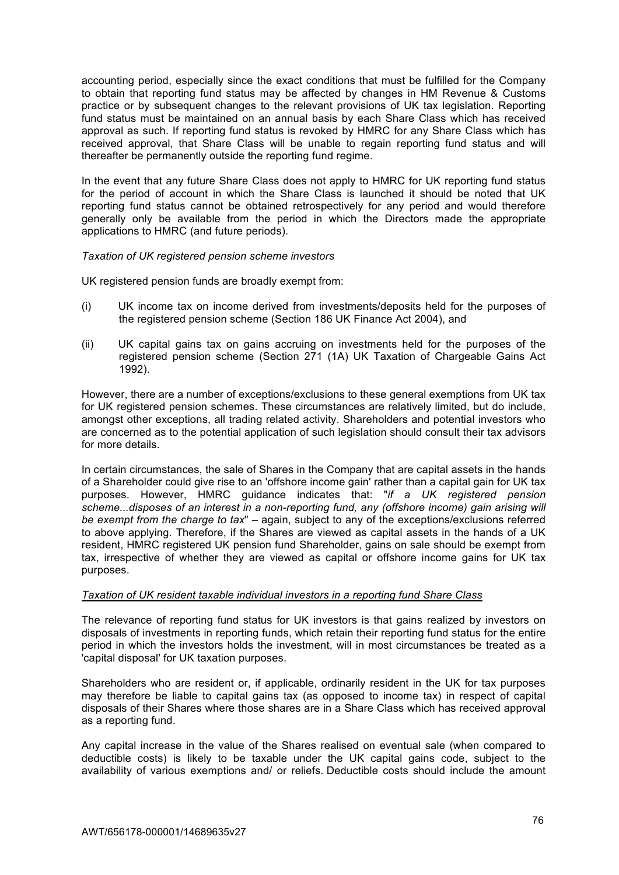accounting period, especially since the exact conditions that must be fulfilled for the Company to obtain that reporting fund status may be affected by changes in HM Revenue & Customs practice or by subsequent changes to the relevant provisions of UK tax legislation. Reporting fund status must be maintained on an annual basis by each Share Class which has received approval as such. If reporting fund status is revoked by HMRC for any Share Class which has received approval, that Share Class will be unable to regain reporting fund status and will thereafter be permanently outside the reporting fund regime.

In the event that any future Share Class does not apply to HMRC for UK reporting fund status for the period of account in which the Share Class is launched it should be noted that UK reporting fund status cannot be obtained retrospectively for any period and would therefore generally only be available from the period in which the Directors made the appropriate applications to HMRC (and future periods).

### *Taxation of UK registered pension scheme investors*

UK registered pension funds are broadly exempt from:

- (i) UK income tax on income derived from investments/deposits held for the purposes of the registered pension scheme (Section 186 UK Finance Act 2004), and
- (ii) UK capital gains tax on gains accruing on investments held for the purposes of the registered pension scheme (Section 271 (1A) UK Taxation of Chargeable Gains Act 1992).

However, there are a number of exceptions/exclusions to these general exemptions from UK tax for UK registered pension schemes. These circumstances are relatively limited, but do include, amongst other exceptions, all trading related activity. Shareholders and potential investors who are concerned as to the potential application of such legislation should consult their tax advisors for more details.

In certain circumstances, the sale of Shares in the Company that are capital assets in the hands of a Shareholder could give rise to an 'offshore income gain' rather than a capital gain for UK tax purposes. However, HMRC guidance indicates that: "*if a UK registered pension scheme...disposes of an interest in a non-reporting fund, any (offshore income) gain arising will be exempt from the charge to tax*" – again, subject to any of the exceptions/exclusions referred to above applying. Therefore, if the Shares are viewed as capital assets in the hands of a UK resident, HMRC registered UK pension fund Shareholder, gains on sale should be exempt from tax, irrespective of whether they are viewed as capital or offshore income gains for UK tax purposes.

# *Taxation of UK resident taxable individual investors in a reporting fund Share Class*

The relevance of reporting fund status for UK investors is that gains realized by investors on disposals of investments in reporting funds, which retain their reporting fund status for the entire period in which the investors holds the investment, will in most circumstances be treated as a 'capital disposal' for UK taxation purposes.

Shareholders who are resident or, if applicable, ordinarily resident in the UK for tax purposes may therefore be liable to capital gains tax (as opposed to income tax) in respect of capital disposals of their Shares where those shares are in a Share Class which has received approval as a reporting fund.

Any capital increase in the value of the Shares realised on eventual sale (when compared to deductible costs) is likely to be taxable under the UK capital gains code, subject to the availability of various exemptions and/ or reliefs. Deductible costs should include the amount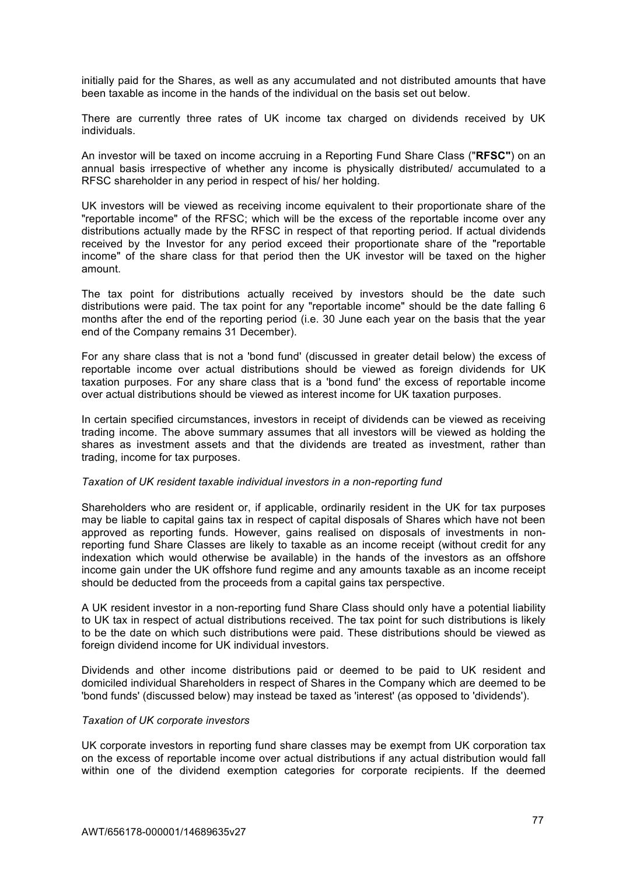initially paid for the Shares, as well as any accumulated and not distributed amounts that have been taxable as income in the hands of the individual on the basis set out below.

There are currently three rates of UK income tax charged on dividends received by UK individuals.

An investor will be taxed on income accruing in a Reporting Fund Share Class ("**RFSC"**) on an annual basis irrespective of whether any income is physically distributed/ accumulated to a RFSC shareholder in any period in respect of his/ her holding.

UK investors will be viewed as receiving income equivalent to their proportionate share of the "reportable income" of the RFSC; which will be the excess of the reportable income over any distributions actually made by the RFSC in respect of that reporting period. If actual dividends received by the Investor for any period exceed their proportionate share of the "reportable income" of the share class for that period then the UK investor will be taxed on the higher amount.

The tax point for distributions actually received by investors should be the date such distributions were paid. The tax point for any "reportable income" should be the date falling 6 months after the end of the reporting period (i.e. 30 June each year on the basis that the year end of the Company remains 31 December).

For any share class that is not a 'bond fund' (discussed in greater detail below) the excess of reportable income over actual distributions should be viewed as foreign dividends for UK taxation purposes. For any share class that is a 'bond fund' the excess of reportable income over actual distributions should be viewed as interest income for UK taxation purposes.

In certain specified circumstances, investors in receipt of dividends can be viewed as receiving trading income. The above summary assumes that all investors will be viewed as holding the shares as investment assets and that the dividends are treated as investment, rather than trading, income for tax purposes.

### *Taxation of UK resident taxable individual investors in a non-reporting fund*

Shareholders who are resident or, if applicable, ordinarily resident in the UK for tax purposes may be liable to capital gains tax in respect of capital disposals of Shares which have not been approved as reporting funds. However, gains realised on disposals of investments in nonreporting fund Share Classes are likely to taxable as an income receipt (without credit for any indexation which would otherwise be available) in the hands of the investors as an offshore income gain under the UK offshore fund regime and any amounts taxable as an income receipt should be deducted from the proceeds from a capital gains tax perspective.

A UK resident investor in a non-reporting fund Share Class should only have a potential liability to UK tax in respect of actual distributions received. The tax point for such distributions is likely to be the date on which such distributions were paid. These distributions should be viewed as foreign dividend income for UK individual investors.

Dividends and other income distributions paid or deemed to be paid to UK resident and domiciled individual Shareholders in respect of Shares in the Company which are deemed to be 'bond funds' (discussed below) may instead be taxed as 'interest' (as opposed to 'dividends').

#### *Taxation of UK corporate investors*

UK corporate investors in reporting fund share classes may be exempt from UK corporation tax on the excess of reportable income over actual distributions if any actual distribution would fall within one of the dividend exemption categories for corporate recipients. If the deemed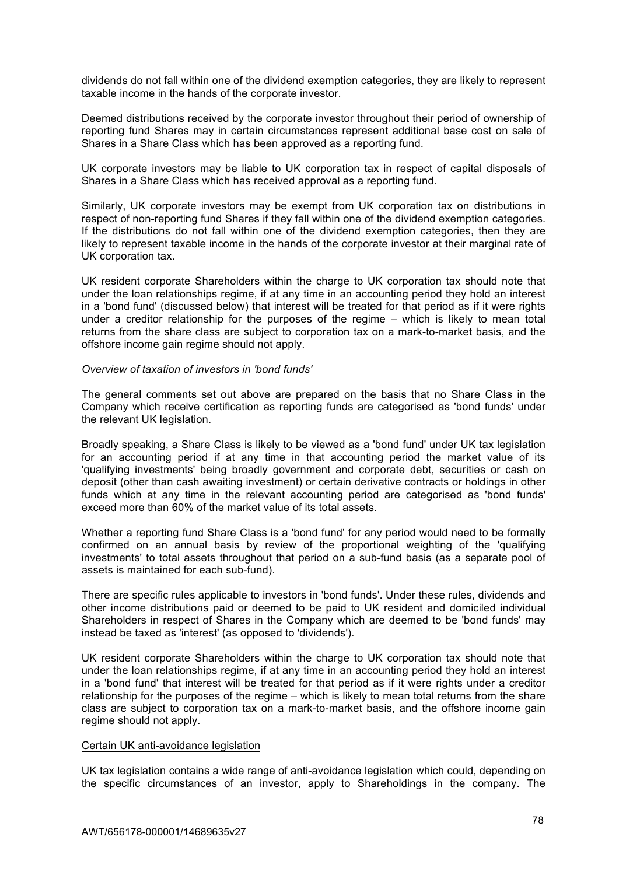dividends do not fall within one of the dividend exemption categories, they are likely to represent taxable income in the hands of the corporate investor.

Deemed distributions received by the corporate investor throughout their period of ownership of reporting fund Shares may in certain circumstances represent additional base cost on sale of Shares in a Share Class which has been approved as a reporting fund.

UK corporate investors may be liable to UK corporation tax in respect of capital disposals of Shares in a Share Class which has received approval as a reporting fund.

Similarly, UK corporate investors may be exempt from UK corporation tax on distributions in respect of non-reporting fund Shares if they fall within one of the dividend exemption categories. If the distributions do not fall within one of the dividend exemption categories, then they are likely to represent taxable income in the hands of the corporate investor at their marginal rate of UK corporation tax.

UK resident corporate Shareholders within the charge to UK corporation tax should note that under the loan relationships regime, if at any time in an accounting period they hold an interest in a 'bond fund' (discussed below) that interest will be treated for that period as if it were rights under a creditor relationship for the purposes of the regime – which is likely to mean total returns from the share class are subject to corporation tax on a mark-to-market basis, and the offshore income gain regime should not apply.

#### *Overview of taxation of investors in 'bond funds'*

The general comments set out above are prepared on the basis that no Share Class in the Company which receive certification as reporting funds are categorised as 'bond funds' under the relevant UK legislation.

Broadly speaking, a Share Class is likely to be viewed as a 'bond fund' under UK tax legislation for an accounting period if at any time in that accounting period the market value of its 'qualifying investments' being broadly government and corporate debt, securities or cash on deposit (other than cash awaiting investment) or certain derivative contracts or holdings in other funds which at any time in the relevant accounting period are categorised as 'bond funds' exceed more than 60% of the market value of its total assets.

Whether a reporting fund Share Class is a 'bond fund' for any period would need to be formally confirmed on an annual basis by review of the proportional weighting of the 'qualifying investments' to total assets throughout that period on a sub-fund basis (as a separate pool of assets is maintained for each sub-fund).

There are specific rules applicable to investors in 'bond funds'. Under these rules, dividends and other income distributions paid or deemed to be paid to UK resident and domiciled individual Shareholders in respect of Shares in the Company which are deemed to be 'bond funds' may instead be taxed as 'interest' (as opposed to 'dividends').

UK resident corporate Shareholders within the charge to UK corporation tax should note that under the loan relationships regime, if at any time in an accounting period they hold an interest in a 'bond fund' that interest will be treated for that period as if it were rights under a creditor relationship for the purposes of the regime – which is likely to mean total returns from the share class are subject to corporation tax on a mark-to-market basis, and the offshore income gain regime should not apply.

#### Certain UK anti-avoidance legislation

UK tax legislation contains a wide range of anti-avoidance legislation which could, depending on the specific circumstances of an investor, apply to Shareholdings in the company. The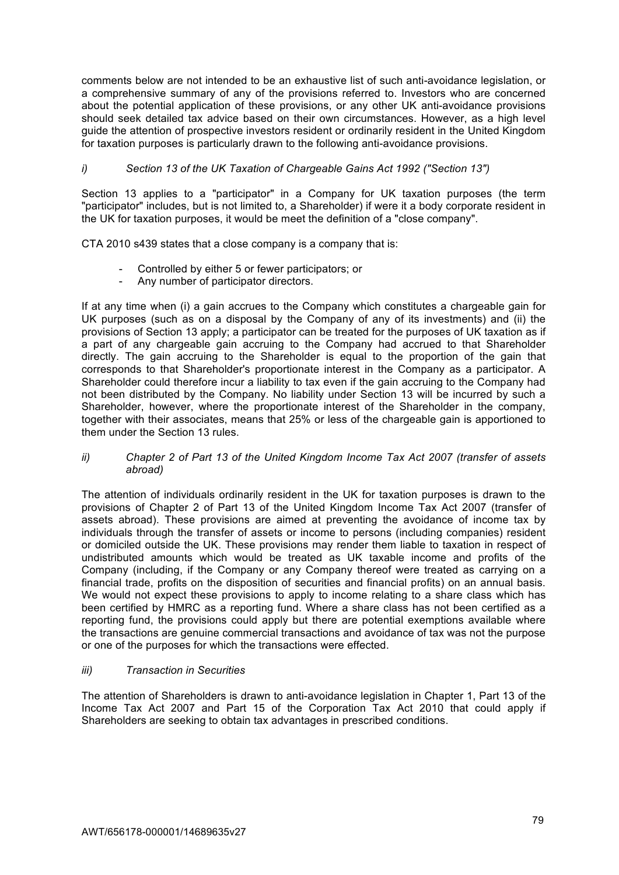comments below are not intended to be an exhaustive list of such anti-avoidance legislation, or a comprehensive summary of any of the provisions referred to. Investors who are concerned about the potential application of these provisions, or any other UK anti-avoidance provisions should seek detailed tax advice based on their own circumstances. However, as a high level guide the attention of prospective investors resident or ordinarily resident in the United Kingdom for taxation purposes is particularly drawn to the following anti-avoidance provisions.

# *i) Section 13 of the UK Taxation of Chargeable Gains Act 1992 ("Section 13")*

Section 13 applies to a "participator" in a Company for UK taxation purposes (the term "participator" includes, but is not limited to, a Shareholder) if were it a body corporate resident in the UK for taxation purposes, it would be meet the definition of a "close company".

CTA 2010 s439 states that a close company is a company that is:

- Controlled by either 5 or fewer participators; or
- Any number of participator directors.

If at any time when (i) a gain accrues to the Company which constitutes a chargeable gain for UK purposes (such as on a disposal by the Company of any of its investments) and (ii) the provisions of Section 13 apply; a participator can be treated for the purposes of UK taxation as if a part of any chargeable gain accruing to the Company had accrued to that Shareholder directly. The gain accruing to the Shareholder is equal to the proportion of the gain that corresponds to that Shareholder's proportionate interest in the Company as a participator. A Shareholder could therefore incur a liability to tax even if the gain accruing to the Company had not been distributed by the Company. No liability under Section 13 will be incurred by such a Shareholder, however, where the proportionate interest of the Shareholder in the company, together with their associates, means that 25% or less of the chargeable gain is apportioned to them under the Section 13 rules.

# *ii) Chapter 2 of Part 13 of the United Kingdom Income Tax Act 2007 (transfer of assets abroad)*

The attention of individuals ordinarily resident in the UK for taxation purposes is drawn to the provisions of Chapter 2 of Part 13 of the United Kingdom Income Tax Act 2007 (transfer of assets abroad). These provisions are aimed at preventing the avoidance of income tax by individuals through the transfer of assets or income to persons (including companies) resident or domiciled outside the UK. These provisions may render them liable to taxation in respect of undistributed amounts which would be treated as UK taxable income and profits of the Company (including, if the Company or any Company thereof were treated as carrying on a financial trade, profits on the disposition of securities and financial profits) on an annual basis. We would not expect these provisions to apply to income relating to a share class which has been certified by HMRC as a reporting fund. Where a share class has not been certified as a reporting fund, the provisions could apply but there are potential exemptions available where the transactions are genuine commercial transactions and avoidance of tax was not the purpose or one of the purposes for which the transactions were effected.

# *iii) Transaction in Securities*

The attention of Shareholders is drawn to anti-avoidance legislation in Chapter 1, Part 13 of the Income Tax Act 2007 and Part 15 of the Corporation Tax Act 2010 that could apply if Shareholders are seeking to obtain tax advantages in prescribed conditions.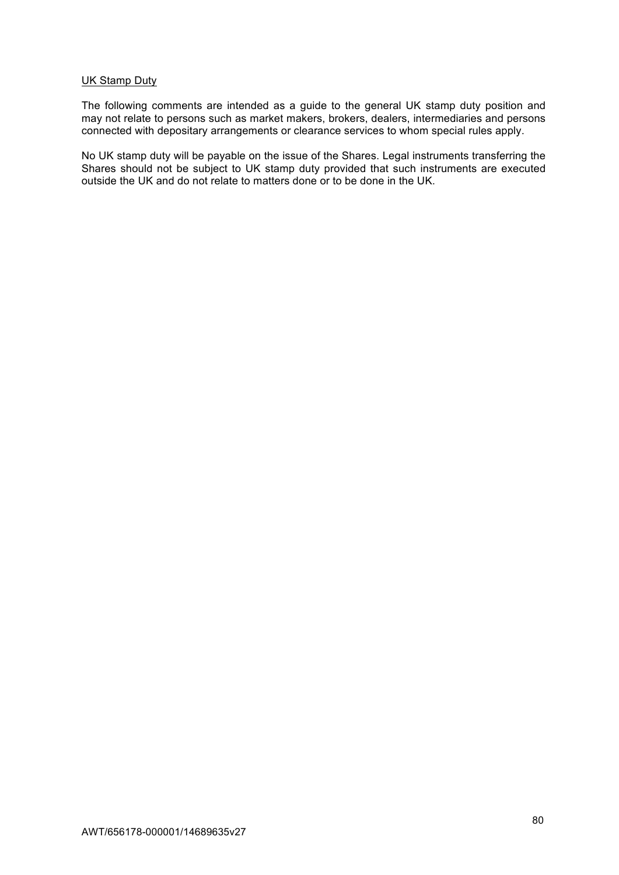### UK Stamp Duty

The following comments are intended as a guide to the general UK stamp duty position and may not relate to persons such as market makers, brokers, dealers, intermediaries and persons connected with depositary arrangements or clearance services to whom special rules apply.

No UK stamp duty will be payable on the issue of the Shares. Legal instruments transferring the Shares should not be subject to UK stamp duty provided that such instruments are executed outside the UK and do not relate to matters done or to be done in the UK.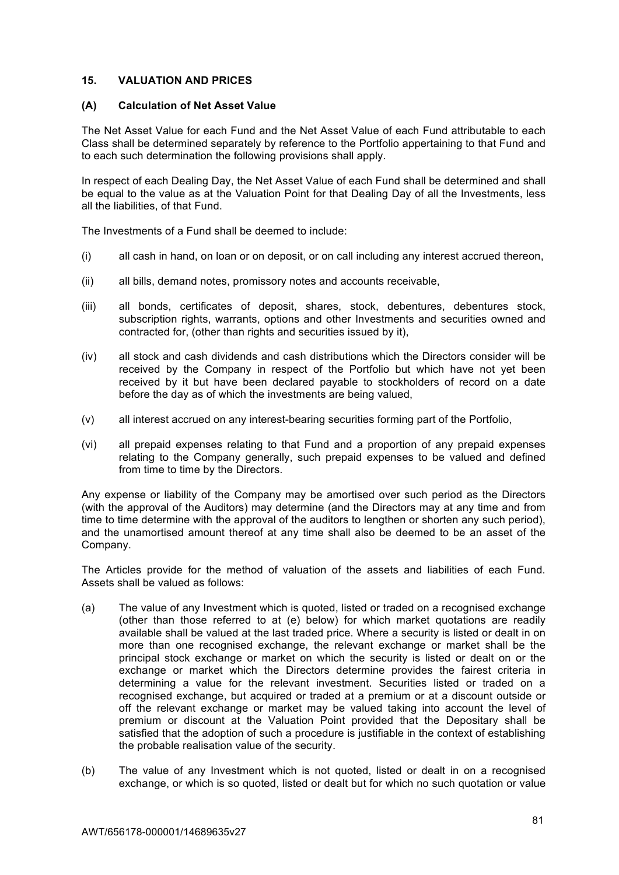# **15. VALUATION AND PRICES**

### **(A) Calculation of Net Asset Value**

The Net Asset Value for each Fund and the Net Asset Value of each Fund attributable to each Class shall be determined separately by reference to the Portfolio appertaining to that Fund and to each such determination the following provisions shall apply.

In respect of each Dealing Day, the Net Asset Value of each Fund shall be determined and shall be equal to the value as at the Valuation Point for that Dealing Day of all the Investments, less all the liabilities, of that Fund.

The Investments of a Fund shall be deemed to include:

- (i) all cash in hand, on loan or on deposit, or on call including any interest accrued thereon,
- (ii) all bills, demand notes, promissory notes and accounts receivable,
- (iii) all bonds, certificates of deposit, shares, stock, debentures, debentures stock, subscription rights, warrants, options and other Investments and securities owned and contracted for, (other than rights and securities issued by it),
- (iv) all stock and cash dividends and cash distributions which the Directors consider will be received by the Company in respect of the Portfolio but which have not yet been received by it but have been declared payable to stockholders of record on a date before the day as of which the investments are being valued,
- (v) all interest accrued on any interest-bearing securities forming part of the Portfolio,
- (vi) all prepaid expenses relating to that Fund and a proportion of any prepaid expenses relating to the Company generally, such prepaid expenses to be valued and defined from time to time by the Directors.

Any expense or liability of the Company may be amortised over such period as the Directors (with the approval of the Auditors) may determine (and the Directors may at any time and from time to time determine with the approval of the auditors to lengthen or shorten any such period), and the unamortised amount thereof at any time shall also be deemed to be an asset of the Company.

The Articles provide for the method of valuation of the assets and liabilities of each Fund. Assets shall be valued as follows:

- (a) The value of any Investment which is quoted, listed or traded on a recognised exchange (other than those referred to at (e) below) for which market quotations are readily available shall be valued at the last traded price. Where a security is listed or dealt in on more than one recognised exchange, the relevant exchange or market shall be the principal stock exchange or market on which the security is listed or dealt on or the exchange or market which the Directors determine provides the fairest criteria in determining a value for the relevant investment. Securities listed or traded on a recognised exchange, but acquired or traded at a premium or at a discount outside or off the relevant exchange or market may be valued taking into account the level of premium or discount at the Valuation Point provided that the Depositary shall be satisfied that the adoption of such a procedure is justifiable in the context of establishing the probable realisation value of the security.
- (b) The value of any Investment which is not quoted, listed or dealt in on a recognised exchange, or which is so quoted, listed or dealt but for which no such quotation or value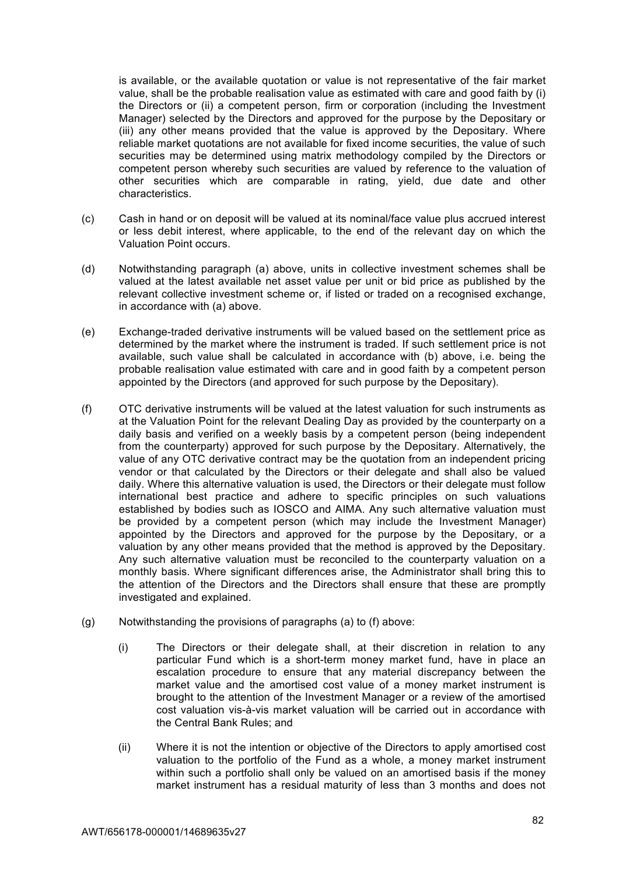is available, or the available quotation or value is not representative of the fair market value, shall be the probable realisation value as estimated with care and good faith by (i) the Directors or (ii) a competent person, firm or corporation (including the Investment Manager) selected by the Directors and approved for the purpose by the Depositary or (iii) any other means provided that the value is approved by the Depositary. Where reliable market quotations are not available for fixed income securities, the value of such securities may be determined using matrix methodology compiled by the Directors or competent person whereby such securities are valued by reference to the valuation of other securities which are comparable in rating, yield, due date and other characteristics.

- (c) Cash in hand or on deposit will be valued at its nominal/face value plus accrued interest or less debit interest, where applicable, to the end of the relevant day on which the Valuation Point occurs.
- (d) Notwithstanding paragraph (a) above, units in collective investment schemes shall be valued at the latest available net asset value per unit or bid price as published by the relevant collective investment scheme or, if listed or traded on a recognised exchange, in accordance with (a) above.
- (e) Exchange-traded derivative instruments will be valued based on the settlement price as determined by the market where the instrument is traded. If such settlement price is not available, such value shall be calculated in accordance with (b) above, i.e. being the probable realisation value estimated with care and in good faith by a competent person appointed by the Directors (and approved for such purpose by the Depositary).
- (f) OTC derivative instruments will be valued at the latest valuation for such instruments as at the Valuation Point for the relevant Dealing Day as provided by the counterparty on a daily basis and verified on a weekly basis by a competent person (being independent from the counterparty) approved for such purpose by the Depositary. Alternatively, the value of any OTC derivative contract may be the quotation from an independent pricing vendor or that calculated by the Directors or their delegate and shall also be valued daily. Where this alternative valuation is used, the Directors or their delegate must follow international best practice and adhere to specific principles on such valuations established by bodies such as IOSCO and AIMA. Any such alternative valuation must be provided by a competent person (which may include the Investment Manager) appointed by the Directors and approved for the purpose by the Depositary, or a valuation by any other means provided that the method is approved by the Depositary. Any such alternative valuation must be reconciled to the counterparty valuation on a monthly basis. Where significant differences arise, the Administrator shall bring this to the attention of the Directors and the Directors shall ensure that these are promptly investigated and explained.
- (g) Notwithstanding the provisions of paragraphs (a) to (f) above:
	- (i) The Directors or their delegate shall, at their discretion in relation to any particular Fund which is a short-term money market fund, have in place an escalation procedure to ensure that any material discrepancy between the market value and the amortised cost value of a money market instrument is brought to the attention of the Investment Manager or a review of the amortised cost valuation vis-à-vis market valuation will be carried out in accordance with the Central Bank Rules; and
	- (ii) Where it is not the intention or objective of the Directors to apply amortised cost valuation to the portfolio of the Fund as a whole, a money market instrument within such a portfolio shall only be valued on an amortised basis if the money market instrument has a residual maturity of less than 3 months and does not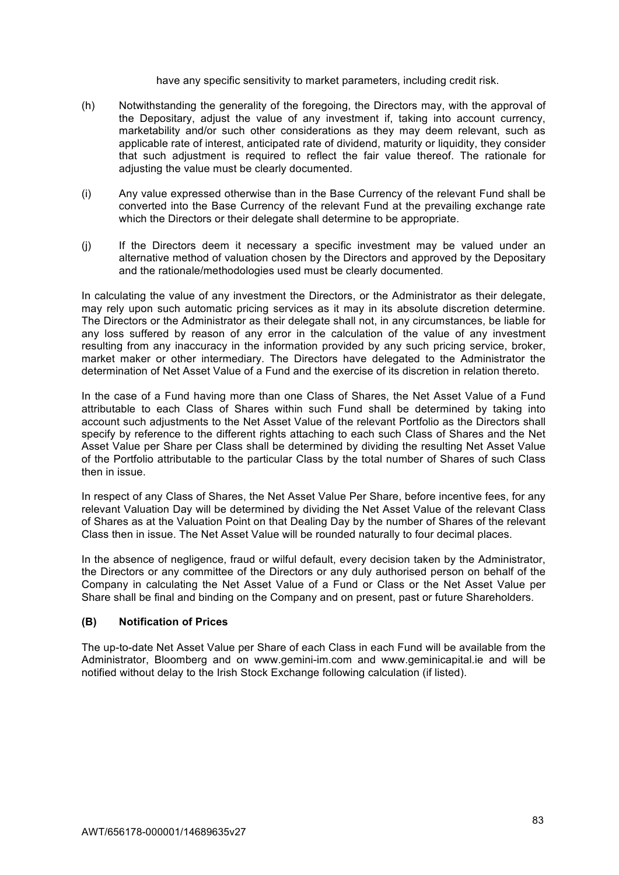### have any specific sensitivity to market parameters, including credit risk.

- (h) Notwithstanding the generality of the foregoing, the Directors may, with the approval of the Depositary, adjust the value of any investment if, taking into account currency, marketability and/or such other considerations as they may deem relevant, such as applicable rate of interest, anticipated rate of dividend, maturity or liquidity, they consider that such adjustment is required to reflect the fair value thereof. The rationale for adjusting the value must be clearly documented.
- (i) Any value expressed otherwise than in the Base Currency of the relevant Fund shall be converted into the Base Currency of the relevant Fund at the prevailing exchange rate which the Directors or their delegate shall determine to be appropriate.
- (j) If the Directors deem it necessary a specific investment may be valued under an alternative method of valuation chosen by the Directors and approved by the Depositary and the rationale/methodologies used must be clearly documented.

In calculating the value of any investment the Directors, or the Administrator as their delegate, may rely upon such automatic pricing services as it may in its absolute discretion determine. The Directors or the Administrator as their delegate shall not, in any circumstances, be liable for any loss suffered by reason of any error in the calculation of the value of any investment resulting from any inaccuracy in the information provided by any such pricing service, broker, market maker or other intermediary. The Directors have delegated to the Administrator the determination of Net Asset Value of a Fund and the exercise of its discretion in relation thereto.

In the case of a Fund having more than one Class of Shares, the Net Asset Value of a Fund attributable to each Class of Shares within such Fund shall be determined by taking into account such adjustments to the Net Asset Value of the relevant Portfolio as the Directors shall specify by reference to the different rights attaching to each such Class of Shares and the Net Asset Value per Share per Class shall be determined by dividing the resulting Net Asset Value of the Portfolio attributable to the particular Class by the total number of Shares of such Class then in issue.

In respect of any Class of Shares, the Net Asset Value Per Share, before incentive fees, for any relevant Valuation Day will be determined by dividing the Net Asset Value of the relevant Class of Shares as at the Valuation Point on that Dealing Day by the number of Shares of the relevant Class then in issue. The Net Asset Value will be rounded naturally to four decimal places.

In the absence of negligence, fraud or wilful default, every decision taken by the Administrator, the Directors or any committee of the Directors or any duly authorised person on behalf of the Company in calculating the Net Asset Value of a Fund or Class or the Net Asset Value per Share shall be final and binding on the Company and on present, past or future Shareholders.

# **(B) Notification of Prices**

The up-to-date Net Asset Value per Share of each Class in each Fund will be available from the Administrator, Bloomberg and on www.gemini-im.com and www.geminicapital.ie and will be notified without delay to the Irish Stock Exchange following calculation (if listed).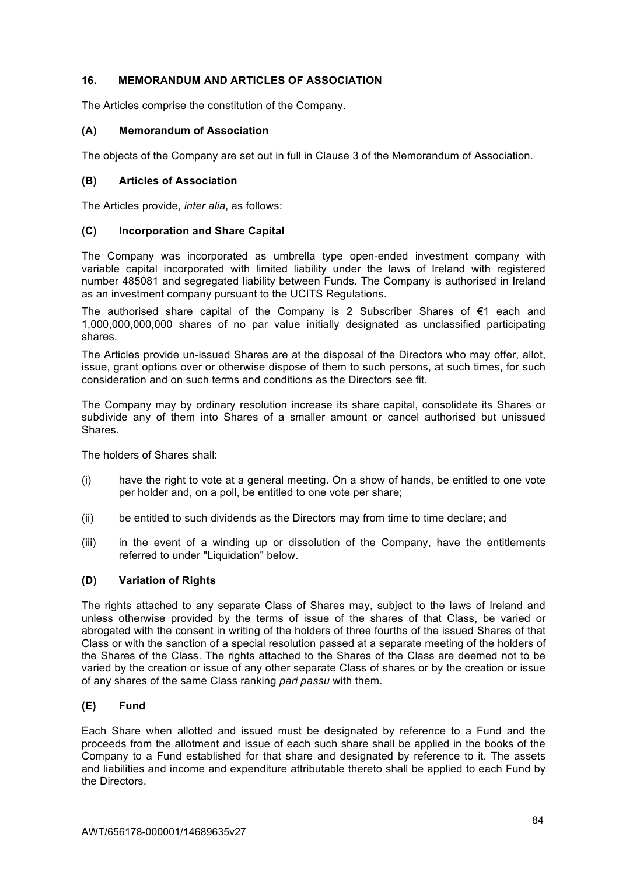# **16. MEMORANDUM AND ARTICLES OF ASSOCIATION**

The Articles comprise the constitution of the Company.

# **(A) Memorandum of Association**

The objects of the Company are set out in full in Clause 3 of the Memorandum of Association.

# **(B) Articles of Association**

The Articles provide, *inter alia*, as follows:

# **(C) Incorporation and Share Capital**

The Company was incorporated as umbrella type open-ended investment company with variable capital incorporated with limited liability under the laws of Ireland with registered number 485081 and segregated liability between Funds. The Company is authorised in Ireland as an investment company pursuant to the UCITS Regulations.

The authorised share capital of the Company is 2 Subscriber Shares of  $\epsilon$ 1 each and 1,000,000,000,000 shares of no par value initially designated as unclassified participating shares.

The Articles provide un-issued Shares are at the disposal of the Directors who may offer, allot, issue, grant options over or otherwise dispose of them to such persons, at such times, for such consideration and on such terms and conditions as the Directors see fit.

The Company may by ordinary resolution increase its share capital, consolidate its Shares or subdivide any of them into Shares of a smaller amount or cancel authorised but unissued **Shares** 

The holders of Shares shall:

- (i) have the right to vote at a general meeting. On a show of hands, be entitled to one vote per holder and, on a poll, be entitled to one vote per share;
- (ii) be entitled to such dividends as the Directors may from time to time declare; and
- (iii) in the event of a winding up or dissolution of the Company, have the entitlements referred to under "Liquidation" below.

# **(D) Variation of Rights**

The rights attached to any separate Class of Shares may, subject to the laws of Ireland and unless otherwise provided by the terms of issue of the shares of that Class, be varied or abrogated with the consent in writing of the holders of three fourths of the issued Shares of that Class or with the sanction of a special resolution passed at a separate meeting of the holders of the Shares of the Class. The rights attached to the Shares of the Class are deemed not to be varied by the creation or issue of any other separate Class of shares or by the creation or issue of any shares of the same Class ranking *pari passu* with them.

# **(E) Fund**

Each Share when allotted and issued must be designated by reference to a Fund and the proceeds from the allotment and issue of each such share shall be applied in the books of the Company to a Fund established for that share and designated by reference to it. The assets and liabilities and income and expenditure attributable thereto shall be applied to each Fund by the Directors.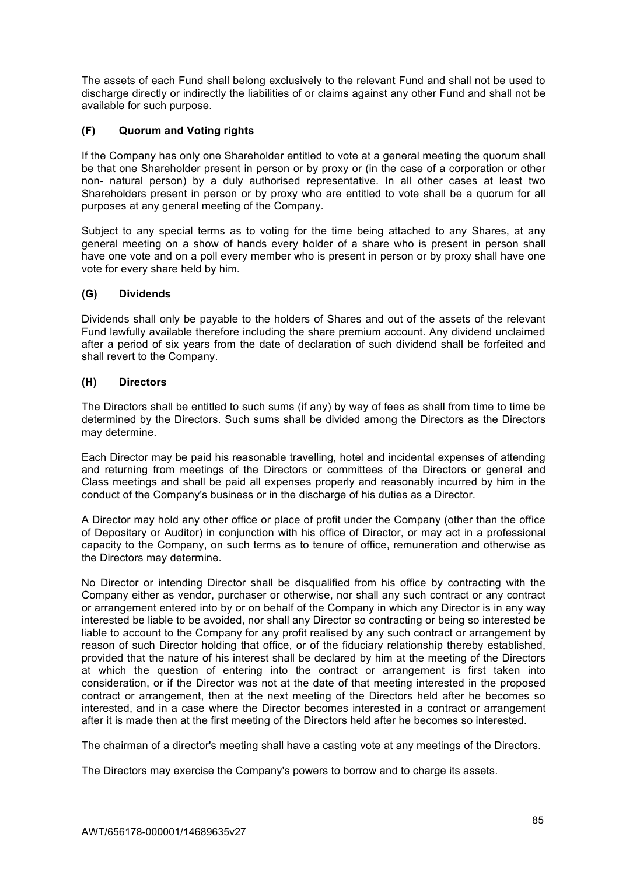The assets of each Fund shall belong exclusively to the relevant Fund and shall not be used to discharge directly or indirectly the liabilities of or claims against any other Fund and shall not be available for such purpose.

# **(F) Quorum and Voting rights**

If the Company has only one Shareholder entitled to vote at a general meeting the quorum shall be that one Shareholder present in person or by proxy or (in the case of a corporation or other non- natural person) by a duly authorised representative. In all other cases at least two Shareholders present in person or by proxy who are entitled to vote shall be a quorum for all purposes at any general meeting of the Company.

Subject to any special terms as to voting for the time being attached to any Shares, at any general meeting on a show of hands every holder of a share who is present in person shall have one vote and on a poll every member who is present in person or by proxy shall have one vote for every share held by him.

# **(G) Dividends**

Dividends shall only be payable to the holders of Shares and out of the assets of the relevant Fund lawfully available therefore including the share premium account. Any dividend unclaimed after a period of six years from the date of declaration of such dividend shall be forfeited and shall revert to the Company.

# **(H) Directors**

The Directors shall be entitled to such sums (if any) by way of fees as shall from time to time be determined by the Directors. Such sums shall be divided among the Directors as the Directors may determine.

Each Director may be paid his reasonable travelling, hotel and incidental expenses of attending and returning from meetings of the Directors or committees of the Directors or general and Class meetings and shall be paid all expenses properly and reasonably incurred by him in the conduct of the Company's business or in the discharge of his duties as a Director.

A Director may hold any other office or place of profit under the Company (other than the office of Depositary or Auditor) in conjunction with his office of Director, or may act in a professional capacity to the Company, on such terms as to tenure of office, remuneration and otherwise as the Directors may determine.

No Director or intending Director shall be disqualified from his office by contracting with the Company either as vendor, purchaser or otherwise, nor shall any such contract or any contract or arrangement entered into by or on behalf of the Company in which any Director is in any way interested be liable to be avoided, nor shall any Director so contracting or being so interested be liable to account to the Company for any profit realised by any such contract or arrangement by reason of such Director holding that office, or of the fiduciary relationship thereby established, provided that the nature of his interest shall be declared by him at the meeting of the Directors at which the question of entering into the contract or arrangement is first taken into consideration, or if the Director was not at the date of that meeting interested in the proposed contract or arrangement, then at the next meeting of the Directors held after he becomes so interested, and in a case where the Director becomes interested in a contract or arrangement after it is made then at the first meeting of the Directors held after he becomes so interested.

The chairman of a director's meeting shall have a casting vote at any meetings of the Directors.

The Directors may exercise the Company's powers to borrow and to charge its assets.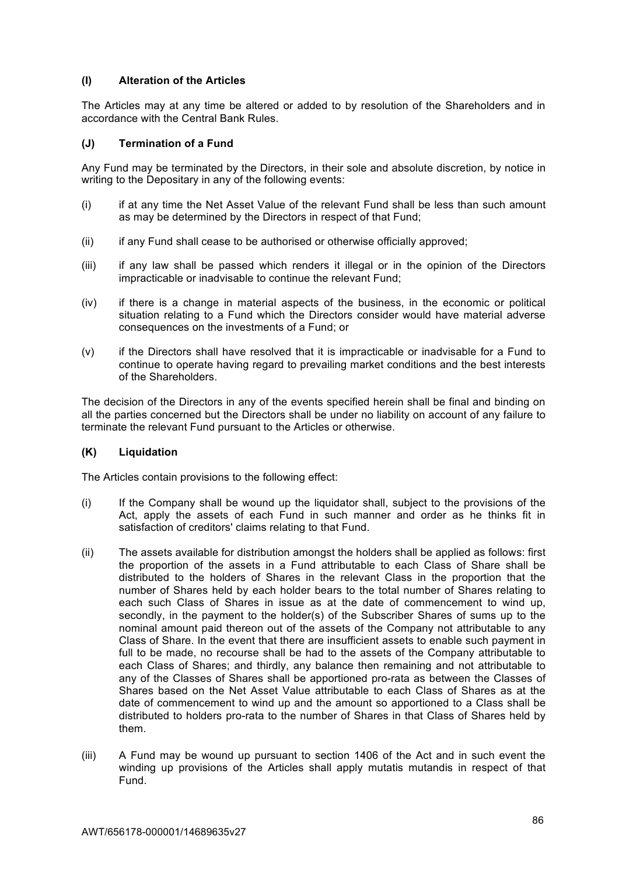# **(I) Alteration of the Articles**

The Articles may at any time be altered or added to by resolution of the Shareholders and in accordance with the Central Bank Rules.

# **(J) Termination of a Fund**

Any Fund may be terminated by the Directors, in their sole and absolute discretion, by notice in writing to the Depositary in any of the following events:

- (i) if at any time the Net Asset Value of the relevant Fund shall be less than such amount as may be determined by the Directors in respect of that Fund;
- (ii) if any Fund shall cease to be authorised or otherwise officially approved;
- (iii) if any law shall be passed which renders it illegal or in the opinion of the Directors impracticable or inadvisable to continue the relevant Fund;
- (iv) if there is a change in material aspects of the business, in the economic or political situation relating to a Fund which the Directors consider would have material adverse consequences on the investments of a Fund; or
- (v) if the Directors shall have resolved that it is impracticable or inadvisable for a Fund to continue to operate having regard to prevailing market conditions and the best interests of the Shareholders.

The decision of the Directors in any of the events specified herein shall be final and binding on all the parties concerned but the Directors shall be under no liability on account of any failure to terminate the relevant Fund pursuant to the Articles or otherwise.

# **(K) Liquidation**

The Articles contain provisions to the following effect:

- (i) If the Company shall be wound up the liquidator shall, subject to the provisions of the Act, apply the assets of each Fund in such manner and order as he thinks fit in satisfaction of creditors' claims relating to that Fund.
- (ii) The assets available for distribution amongst the holders shall be applied as follows: first the proportion of the assets in a Fund attributable to each Class of Share shall be distributed to the holders of Shares in the relevant Class in the proportion that the number of Shares held by each holder bears to the total number of Shares relating to each such Class of Shares in issue as at the date of commencement to wind up, secondly, in the payment to the holder(s) of the Subscriber Shares of sums up to the nominal amount paid thereon out of the assets of the Company not attributable to any Class of Share. In the event that there are insufficient assets to enable such payment in full to be made, no recourse shall be had to the assets of the Company attributable to each Class of Shares; and thirdly, any balance then remaining and not attributable to any of the Classes of Shares shall be apportioned pro-rata as between the Classes of Shares based on the Net Asset Value attributable to each Class of Shares as at the date of commencement to wind up and the amount so apportioned to a Class shall be distributed to holders pro-rata to the number of Shares in that Class of Shares held by them.
- (iii) A Fund may be wound up pursuant to section 1406 of the Act and in such event the winding up provisions of the Articles shall apply mutatis mutandis in respect of that Fund.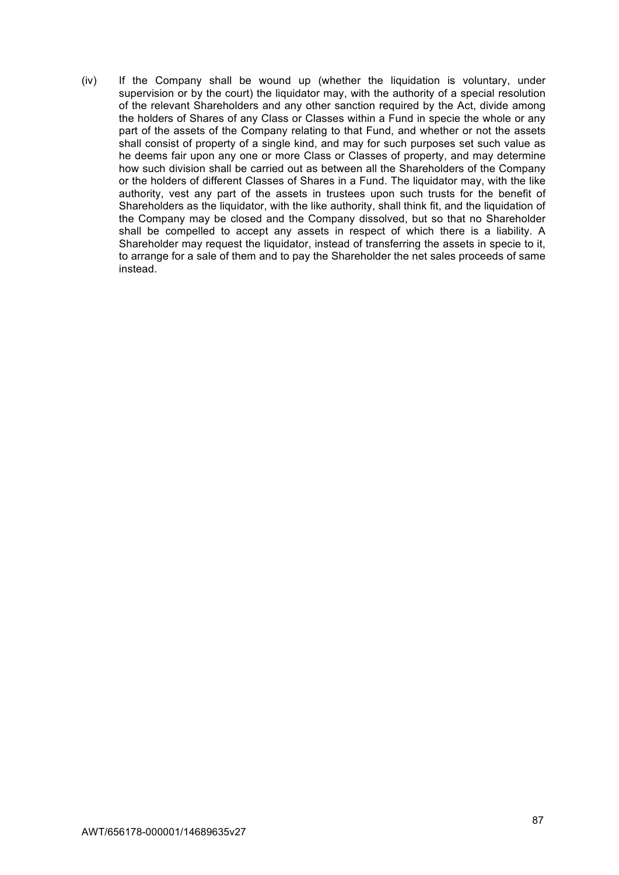(iv) If the Company shall be wound up (whether the liquidation is voluntary, under supervision or by the court) the liquidator may, with the authority of a special resolution of the relevant Shareholders and any other sanction required by the Act, divide among the holders of Shares of any Class or Classes within a Fund in specie the whole or any part of the assets of the Company relating to that Fund, and whether or not the assets shall consist of property of a single kind, and may for such purposes set such value as he deems fair upon any one or more Class or Classes of property, and may determine how such division shall be carried out as between all the Shareholders of the Company or the holders of different Classes of Shares in a Fund. The liquidator may, with the like authority, vest any part of the assets in trustees upon such trusts for the benefit of Shareholders as the liquidator, with the like authority, shall think fit, and the liquidation of the Company may be closed and the Company dissolved, but so that no Shareholder shall be compelled to accept any assets in respect of which there is a liability. A Shareholder may request the liquidator, instead of transferring the assets in specie to it, to arrange for a sale of them and to pay the Shareholder the net sales proceeds of same instead.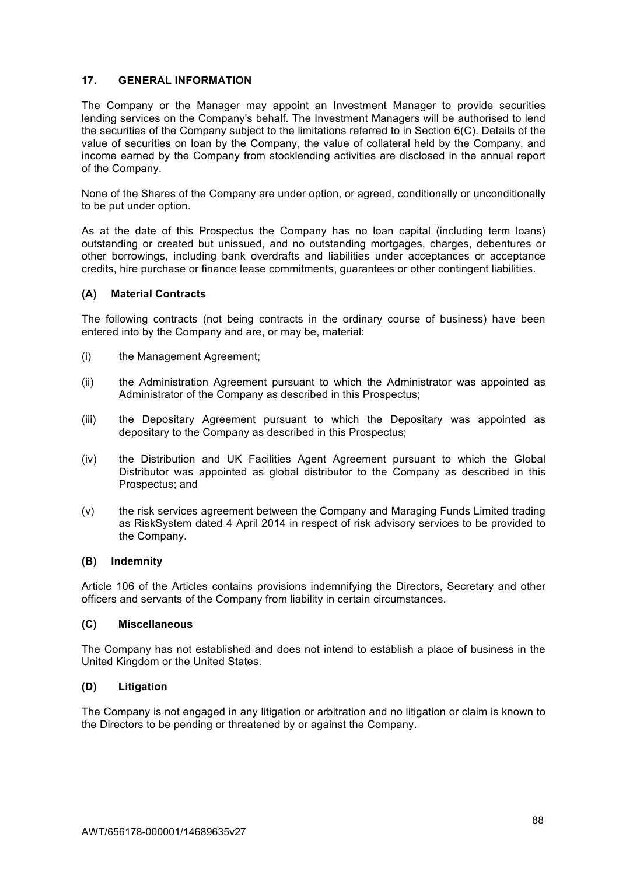# **17. GENERAL INFORMATION**

The Company or the Manager may appoint an Investment Manager to provide securities lending services on the Company's behalf. The Investment Managers will be authorised to lend the securities of the Company subject to the limitations referred to in Section 6(C). Details of the value of securities on loan by the Company, the value of collateral held by the Company, and income earned by the Company from stocklending activities are disclosed in the annual report of the Company.

None of the Shares of the Company are under option, or agreed, conditionally or unconditionally to be put under option.

As at the date of this Prospectus the Company has no loan capital (including term loans) outstanding or created but unissued, and no outstanding mortgages, charges, debentures or other borrowings, including bank overdrafts and liabilities under acceptances or acceptance credits, hire purchase or finance lease commitments, guarantees or other contingent liabilities.

### **(A) Material Contracts**

The following contracts (not being contracts in the ordinary course of business) have been entered into by the Company and are, or may be, material:

- (i) the Management Agreement;
- (ii) the Administration Agreement pursuant to which the Administrator was appointed as Administrator of the Company as described in this Prospectus;
- (iii) the Depositary Agreement pursuant to which the Depositary was appointed as depositary to the Company as described in this Prospectus;
- (iv) the Distribution and UK Facilities Agent Agreement pursuant to which the Global Distributor was appointed as global distributor to the Company as described in this Prospectus; and
- (v) the risk services agreement between the Company and Maraging Funds Limited trading as RiskSystem dated 4 April 2014 in respect of risk advisory services to be provided to the Company.

#### **(B) Indemnity**

Article 106 of the Articles contains provisions indemnifying the Directors, Secretary and other officers and servants of the Company from liability in certain circumstances.

#### **(C) Miscellaneous**

The Company has not established and does not intend to establish a place of business in the United Kingdom or the United States.

#### **(D) Litigation**

The Company is not engaged in any litigation or arbitration and no litigation or claim is known to the Directors to be pending or threatened by or against the Company.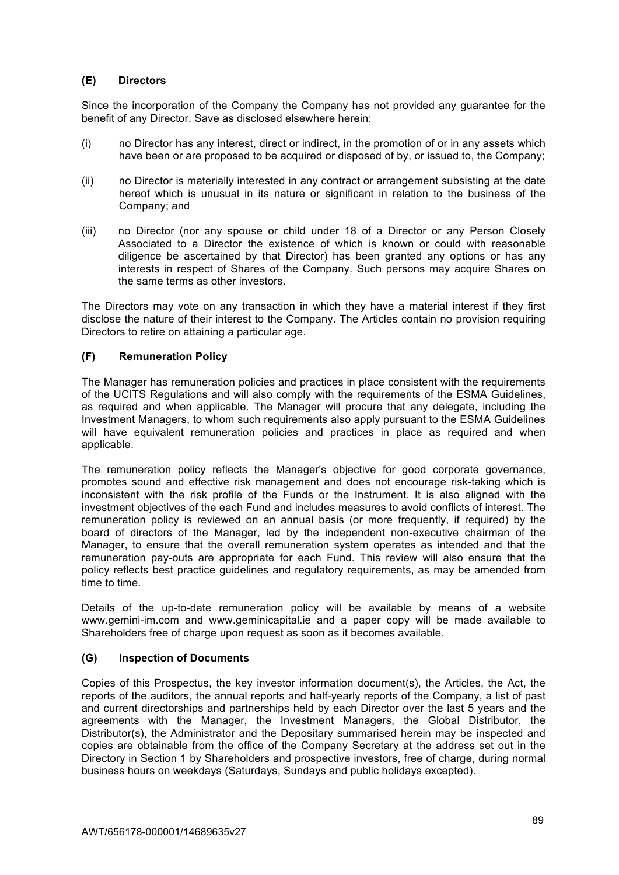# **(E) Directors**

Since the incorporation of the Company the Company has not provided any guarantee for the benefit of any Director. Save as disclosed elsewhere herein:

- (i) no Director has any interest, direct or indirect, in the promotion of or in any assets which have been or are proposed to be acquired or disposed of by, or issued to, the Company;
- (ii) no Director is materially interested in any contract or arrangement subsisting at the date hereof which is unusual in its nature or significant in relation to the business of the Company; and
- (iii) no Director (nor any spouse or child under 18 of a Director or any Person Closely Associated to a Director the existence of which is known or could with reasonable diligence be ascertained by that Director) has been granted any options or has any interests in respect of Shares of the Company. Such persons may acquire Shares on the same terms as other investors.

The Directors may vote on any transaction in which they have a material interest if they first disclose the nature of their interest to the Company. The Articles contain no provision requiring Directors to retire on attaining a particular age.

# **(F) Remuneration Policy**

The Manager has remuneration policies and practices in place consistent with the requirements of the UCITS Regulations and will also comply with the requirements of the ESMA Guidelines, as required and when applicable. The Manager will procure that any delegate, including the Investment Managers, to whom such requirements also apply pursuant to the ESMA Guidelines will have equivalent remuneration policies and practices in place as required and when applicable.

The remuneration policy reflects the Manager's objective for good corporate governance, promotes sound and effective risk management and does not encourage risk-taking which is inconsistent with the risk profile of the Funds or the Instrument. It is also aligned with the investment objectives of the each Fund and includes measures to avoid conflicts of interest. The remuneration policy is reviewed on an annual basis (or more frequently, if required) by the board of directors of the Manager, led by the independent non-executive chairman of the Manager, to ensure that the overall remuneration system operates as intended and that the remuneration pay-outs are appropriate for each Fund. This review will also ensure that the policy reflects best practice guidelines and regulatory requirements, as may be amended from time to time.

Details of the up-to-date remuneration policy will be available by means of a website www.gemini-im.com and www.geminicapital.ie and a paper copy will be made available to Shareholders free of charge upon request as soon as it becomes available.

# **(G) Inspection of Documents**

Copies of this Prospectus, the key investor information document(s), the Articles, the Act, the reports of the auditors, the annual reports and half-yearly reports of the Company, a list of past and current directorships and partnerships held by each Director over the last 5 years and the agreements with the Manager, the Investment Managers, the Global Distributor, the Distributor(s), the Administrator and the Depositary summarised herein may be inspected and copies are obtainable from the office of the Company Secretary at the address set out in the Directory in Section 1 by Shareholders and prospective investors, free of charge, during normal business hours on weekdays (Saturdays, Sundays and public holidays excepted).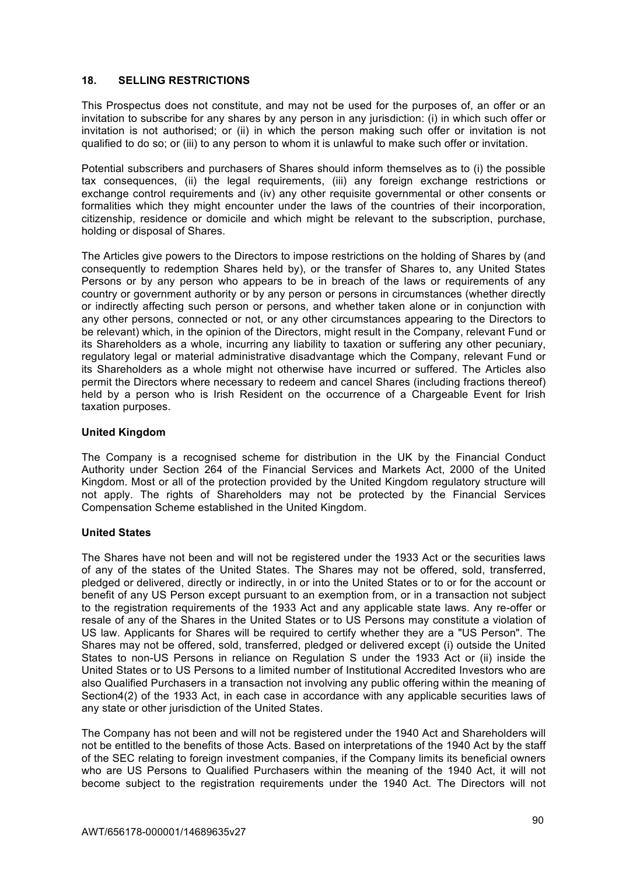# **18. SELLING RESTRICTIONS**

This Prospectus does not constitute, and may not be used for the purposes of, an offer or an invitation to subscribe for any shares by any person in any jurisdiction: (i) in which such offer or invitation is not authorised; or (ii) in which the person making such offer or invitation is not qualified to do so; or (iii) to any person to whom it is unlawful to make such offer or invitation.

Potential subscribers and purchasers of Shares should inform themselves as to (i) the possible tax consequences, (ii) the legal requirements, (iii) any foreign exchange restrictions or exchange control requirements and (iv) any other requisite governmental or other consents or formalities which they might encounter under the laws of the countries of their incorporation, citizenship, residence or domicile and which might be relevant to the subscription, purchase, holding or disposal of Shares.

The Articles give powers to the Directors to impose restrictions on the holding of Shares by (and consequently to redemption Shares held by), or the transfer of Shares to, any United States Persons or by any person who appears to be in breach of the laws or requirements of any country or government authority or by any person or persons in circumstances (whether directly or indirectly affecting such person or persons, and whether taken alone or in conjunction with any other persons, connected or not, or any other circumstances appearing to the Directors to be relevant) which, in the opinion of the Directors, might result in the Company, relevant Fund or its Shareholders as a whole, incurring any liability to taxation or suffering any other pecuniary, regulatory legal or material administrative disadvantage which the Company, relevant Fund or its Shareholders as a whole might not otherwise have incurred or suffered. The Articles also permit the Directors where necessary to redeem and cancel Shares (including fractions thereof) held by a person who is Irish Resident on the occurrence of a Chargeable Event for Irish taxation purposes.

# **United Kingdom**

The Company is a recognised scheme for distribution in the UK by the Financial Conduct Authority under Section 264 of the Financial Services and Markets Act, 2000 of the United Kingdom. Most or all of the protection provided by the United Kingdom regulatory structure will not apply. The rights of Shareholders may not be protected by the Financial Services Compensation Scheme established in the United Kingdom.

# **United States**

The Shares have not been and will not be registered under the 1933 Act or the securities laws of any of the states of the United States. The Shares may not be offered, sold, transferred, pledged or delivered, directly or indirectly, in or into the United States or to or for the account or benefit of any US Person except pursuant to an exemption from, or in a transaction not subject to the registration requirements of the 1933 Act and any applicable state laws. Any re-offer or resale of any of the Shares in the United States or to US Persons may constitute a violation of US law. Applicants for Shares will be required to certify whether they are a "US Person". The Shares may not be offered, sold, transferred, pledged or delivered except (i) outside the United States to non-US Persons in reliance on Regulation S under the 1933 Act or (ii) inside the United States or to US Persons to a limited number of Institutional Accredited Investors who are also Qualified Purchasers in a transaction not involving any public offering within the meaning of Section4(2) of the 1933 Act, in each case in accordance with any applicable securities laws of any state or other jurisdiction of the United States.

The Company has not been and will not be registered under the 1940 Act and Shareholders will not be entitled to the benefits of those Acts. Based on interpretations of the 1940 Act by the staff of the SEC relating to foreign investment companies, if the Company limits its beneficial owners who are US Persons to Qualified Purchasers within the meaning of the 1940 Act, it will not become subject to the registration requirements under the 1940 Act. The Directors will not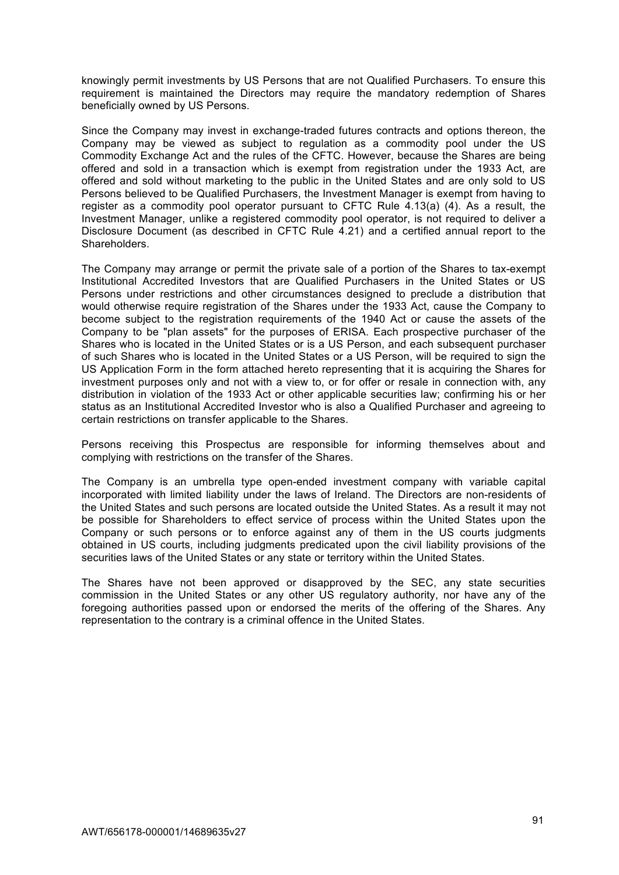knowingly permit investments by US Persons that are not Qualified Purchasers. To ensure this requirement is maintained the Directors may require the mandatory redemption of Shares beneficially owned by US Persons.

Since the Company may invest in exchange-traded futures contracts and options thereon, the Company may be viewed as subject to regulation as a commodity pool under the US Commodity Exchange Act and the rules of the CFTC. However, because the Shares are being offered and sold in a transaction which is exempt from registration under the 1933 Act, are offered and sold without marketing to the public in the United States and are only sold to US Persons believed to be Qualified Purchasers, the Investment Manager is exempt from having to register as a commodity pool operator pursuant to CFTC Rule 4.13(a) (4). As a result, the Investment Manager, unlike a registered commodity pool operator, is not required to deliver a Disclosure Document (as described in CFTC Rule 4.21) and a certified annual report to the Shareholders.

The Company may arrange or permit the private sale of a portion of the Shares to tax-exempt Institutional Accredited Investors that are Qualified Purchasers in the United States or US Persons under restrictions and other circumstances designed to preclude a distribution that would otherwise require registration of the Shares under the 1933 Act, cause the Company to become subject to the registration requirements of the 1940 Act or cause the assets of the Company to be "plan assets" for the purposes of ERISA. Each prospective purchaser of the Shares who is located in the United States or is a US Person, and each subsequent purchaser of such Shares who is located in the United States or a US Person, will be required to sign the US Application Form in the form attached hereto representing that it is acquiring the Shares for investment purposes only and not with a view to, or for offer or resale in connection with, any distribution in violation of the 1933 Act or other applicable securities law; confirming his or her status as an Institutional Accredited Investor who is also a Qualified Purchaser and agreeing to certain restrictions on transfer applicable to the Shares.

Persons receiving this Prospectus are responsible for informing themselves about and complying with restrictions on the transfer of the Shares.

The Company is an umbrella type open-ended investment company with variable capital incorporated with limited liability under the laws of Ireland. The Directors are non-residents of the United States and such persons are located outside the United States. As a result it may not be possible for Shareholders to effect service of process within the United States upon the Company or such persons or to enforce against any of them in the US courts judgments obtained in US courts, including judgments predicated upon the civil liability provisions of the securities laws of the United States or any state or territory within the United States.

The Shares have not been approved or disapproved by the SEC, any state securities commission in the United States or any other US regulatory authority, nor have any of the foregoing authorities passed upon or endorsed the merits of the offering of the Shares. Any representation to the contrary is a criminal offence in the United States.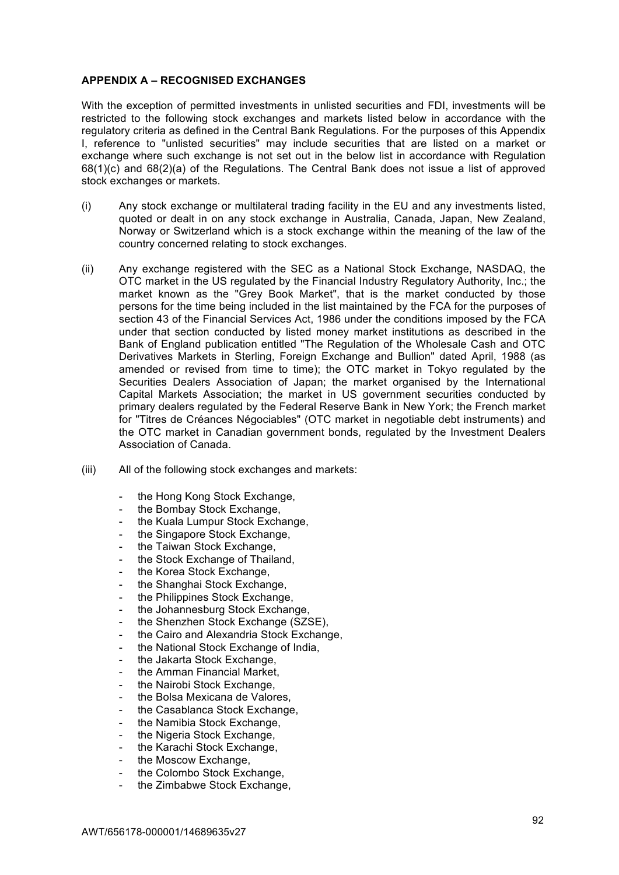# **APPENDIX A – RECOGNISED EXCHANGES**

With the exception of permitted investments in unlisted securities and FDI, investments will be restricted to the following stock exchanges and markets listed below in accordance with the regulatory criteria as defined in the Central Bank Regulations. For the purposes of this Appendix I, reference to "unlisted securities" may include securities that are listed on a market or exchange where such exchange is not set out in the below list in accordance with Regulation 68(1)(c) and 68(2)(a) of the Regulations. The Central Bank does not issue a list of approved stock exchanges or markets.

- (i) Any stock exchange or multilateral trading facility in the EU and any investments listed, quoted or dealt in on any stock exchange in Australia, Canada, Japan, New Zealand, Norway or Switzerland which is a stock exchange within the meaning of the law of the country concerned relating to stock exchanges.
- (ii) Any exchange registered with the SEC as a National Stock Exchange, NASDAQ, the OTC market in the US regulated by the Financial Industry Regulatory Authority, Inc.; the market known as the "Grey Book Market", that is the market conducted by those persons for the time being included in the list maintained by the FCA for the purposes of section 43 of the Financial Services Act, 1986 under the conditions imposed by the FCA under that section conducted by listed money market institutions as described in the Bank of England publication entitled "The Regulation of the Wholesale Cash and OTC Derivatives Markets in Sterling, Foreign Exchange and Bullion" dated April, 1988 (as amended or revised from time to time); the OTC market in Tokyo regulated by the Securities Dealers Association of Japan; the market organised by the International Capital Markets Association; the market in US government securities conducted by primary dealers regulated by the Federal Reserve Bank in New York; the French market for "Titres de Créances Négociables" (OTC market in negotiable debt instruments) and the OTC market in Canadian government bonds, regulated by the Investment Dealers Association of Canada.
- (iii) All of the following stock exchanges and markets:
	- the Hong Kong Stock Exchange,
	- the Bombay Stock Exchange,
	- the Kuala Lumpur Stock Exchange.
	- the Singapore Stock Exchange,
	- the Taiwan Stock Exchange,
	- the Stock Exchange of Thailand,
	- the Korea Stock Exchange,
	- the Shanghai Stock Exchange,
	- the Philippines Stock Exchange,
	- the Johannesburg Stock Exchange.
	- the Shenzhen Stock Exchange (SZSE),
	- the Cairo and Alexandria Stock Exchange.
	- the National Stock Exchange of India.
	- the Jakarta Stock Exchange,
	- the Amman Financial Market,
	- the Nairobi Stock Exchange,
	- the Bolsa Mexicana de Valores.
	- the Casablanca Stock Exchange,
	- the Namibia Stock Exchange,
	- the Nigeria Stock Exchange.
	- the Karachi Stock Exchange,
	- the Moscow Exchange,
	- the Colombo Stock Exchange,
	- the Zimbabwe Stock Exchange,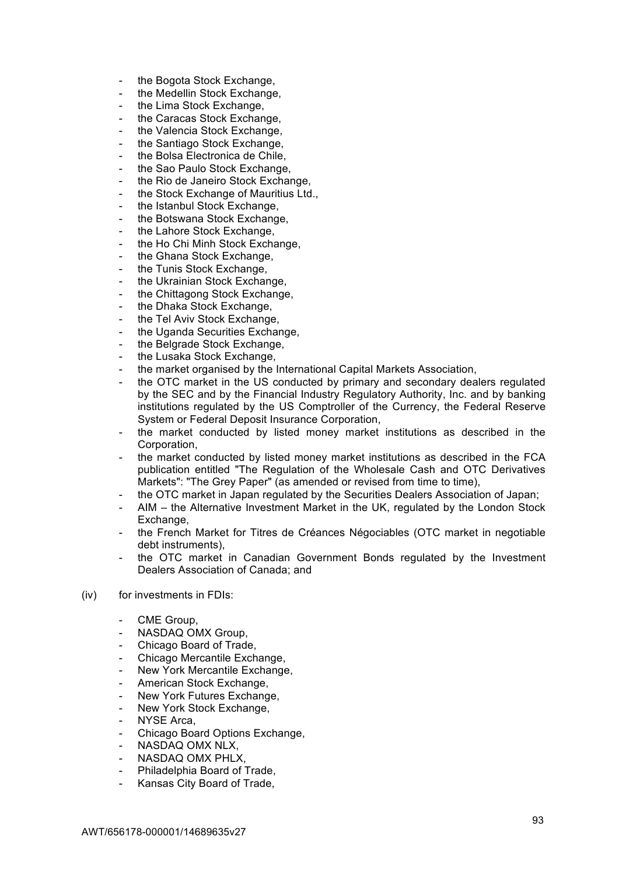- the Bogota Stock Exchange,
- the Medellin Stock Exchange.
- the Lima Stock Exchange,
- the Caracas Stock Exchange,
- the Valencia Stock Exchange,
- the Santiago Stock Exchange.
- the Bolsa Electronica de Chile,
- the Sao Paulo Stock Exchange.
- the Rio de Janeiro Stock Exchange.
- the Stock Exchange of Mauritius Ltd.,
- the Istanbul Stock Exchange,
- the Botswana Stock Exchange,
- the Lahore Stock Exchange,
- the Ho Chi Minh Stock Exchange,
- the Ghana Stock Exchange,
- the Tunis Stock Exchange,
- the Ukrainian Stock Exchange,
- the Chittagong Stock Exchange,
- the Dhaka Stock Exchange,
- the Tel Aviv Stock Exchange,
- the Uganda Securities Exchange,
- the Belgrade Stock Exchange,
- the Lusaka Stock Exchange,
- the market organised by the International Capital Markets Association,
- the OTC market in the US conducted by primary and secondary dealers regulated by the SEC and by the Financial Industry Regulatory Authority, Inc. and by banking institutions regulated by the US Comptroller of the Currency, the Federal Reserve System or Federal Deposit Insurance Corporation,
- the market conducted by listed money market institutions as described in the Corporation,
- the market conducted by listed money market institutions as described in the FCA publication entitled "The Regulation of the Wholesale Cash and OTC Derivatives Markets": "The Grey Paper" (as amended or revised from time to time),
- the OTC market in Japan regulated by the Securities Dealers Association of Japan;
- AIM the Alternative Investment Market in the UK, regulated by the London Stock Exchange,
- the French Market for Titres de Créances Négociables (OTC market in negotiable debt instruments),
- the OTC market in Canadian Government Bonds regulated by the Investment Dealers Association of Canada; and
- (iv) for investments in FDIs:
	- CME Group,
	- NASDAQ OMX Group.
	- Chicago Board of Trade,
	- Chicago Mercantile Exchange,
	- New York Mercantile Exchange.
	- American Stock Exchange.
	- New York Futures Exchange,
	- New York Stock Exchange,
	- NYSE Arca,
	- Chicago Board Options Exchange,
	- NASDAQ OMX NLX,
	- NASDAQ OMX PHLX.
	- Philadelphia Board of Trade,
	- Kansas City Board of Trade,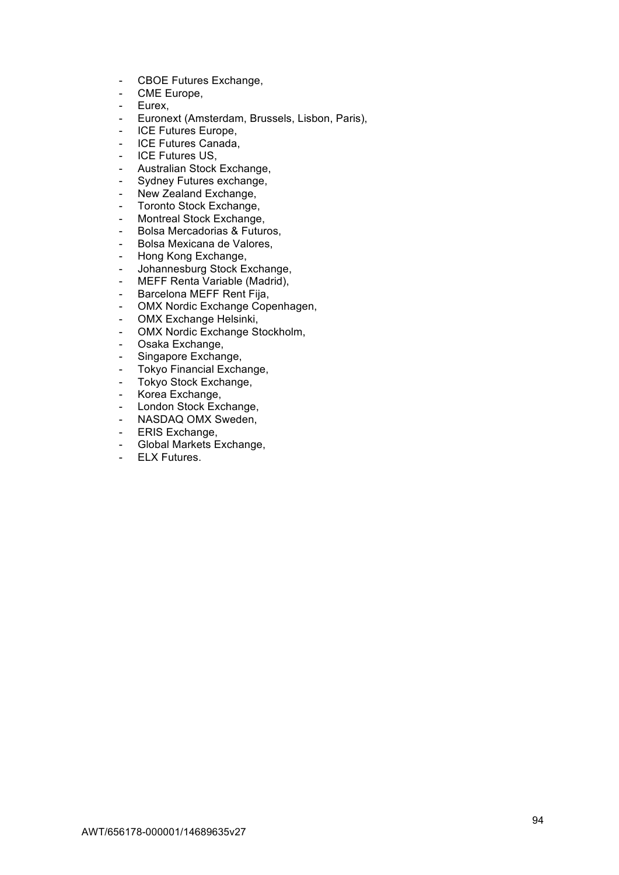- CBOE Futures Exchange,
- CME Europe,
- Eurex,
- Euronext (Amsterdam, Brussels, Lisbon, Paris),
- ICE Futures Europe,
- ICE Futures Canada,
- ICE Futures US,
- Australian Stock Exchange,
- Sydney Futures exchange,
- New Zealand Exchange,
- Toronto Stock Exchange,
- Montreal Stock Exchange,
- Bolsa Mercadorias & Futuros,
- Bolsa Mexicana de Valores,
- Hong Kong Exchange,
- Johannesburg Stock Exchange,
- MEFF Renta Variable (Madrid),
- Barcelona MEFF Rent Fija,
- OMX Nordic Exchange Copenhagen,
- OMX Exchange Helsinki,
- OMX Nordic Exchange Stockholm,
- Osaka Exchange,
- Singapore Exchange,
- Tokyo Financial Exchange,
- Tokyo Stock Exchange,
- Korea Exchange,
- London Stock Exchange,
- NASDAQ OMX Sweden.
- **ERIS Exchange.**
- Global Markets Exchange,
- ELX Futures.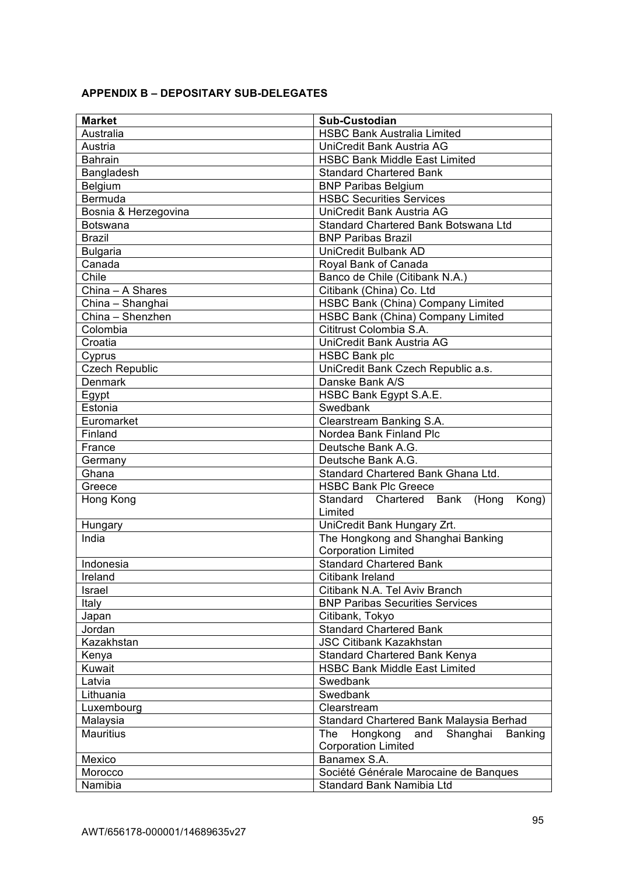|  |  | <b>APPENDIX B – DEPOSITARY SUB-DELEGATES</b> |
|--|--|----------------------------------------------|
|--|--|----------------------------------------------|

| <b>Market</b>         | Sub-Custodian                                        |  |
|-----------------------|------------------------------------------------------|--|
| Australia             | <b>HSBC Bank Australia Limited</b>                   |  |
| Austria               | UniCredit Bank Austria AG                            |  |
| <b>Bahrain</b>        | <b>HSBC Bank Middle East Limited</b>                 |  |
| Bangladesh            | <b>Standard Chartered Bank</b>                       |  |
| Belgium               | <b>BNP Paribas Belgium</b>                           |  |
| Bermuda               | <b>HSBC Securities Services</b>                      |  |
| Bosnia & Herzegovina  | UniCredit Bank Austria AG                            |  |
| <b>Botswana</b>       | Standard Chartered Bank Botswana Ltd                 |  |
| <b>Brazil</b>         | <b>BNP Paribas Brazil</b>                            |  |
| <b>Bulgaria</b>       | UniCredit Bulbank AD                                 |  |
| Canada                | Royal Bank of Canada                                 |  |
| Chile                 | Banco de Chile (Citibank N.A.)                       |  |
| China - A Shares      | Citibank (China) Co. Ltd                             |  |
| China - Shanghai      | HSBC Bank (China) Company Limited                    |  |
| China - Shenzhen      | <b>HSBC Bank (China) Company Limited</b>             |  |
| Colombia              | Cititrust Colombia S.A.                              |  |
| Croatia               | UniCredit Bank Austria AG                            |  |
| Cyprus                | <b>HSBC Bank plc</b>                                 |  |
| <b>Czech Republic</b> | UniCredit Bank Czech Republic a.s.                   |  |
| <b>Denmark</b>        | Danske Bank A/S                                      |  |
| Egypt                 | HSBC Bank Egypt S.A.E.                               |  |
| Estonia               | Swedbank                                             |  |
| Euromarket            | Clearstream Banking S.A.                             |  |
| Finland               | Nordea Bank Finland Plc                              |  |
| France                | Deutsche Bank A.G.                                   |  |
| Germany               | Deutsche Bank A.G.                                   |  |
| Ghana                 | Standard Chartered Bank Ghana Ltd.                   |  |
| Greece                | <b>HSBC Bank Plc Greece</b>                          |  |
| Hong Kong             | Standard<br>Chartered<br>Bank<br>(Hong<br>Kong)      |  |
|                       | Limited                                              |  |
| Hungary               | UniCredit Bank Hungary Zrt.                          |  |
| India                 | The Hongkong and Shanghai Banking                    |  |
|                       | <b>Corporation Limited</b>                           |  |
| Indonesia             | <b>Standard Chartered Bank</b>                       |  |
| Ireland               | Citibank Ireland                                     |  |
| Israel                | Citibank N.A. Tel Aviv Branch                        |  |
| Italy                 | <b>BNP Paribas Securities Services</b>               |  |
| Japan                 | Citibank, Tokyo                                      |  |
| Jordan                | <b>Standard Chartered Bank</b>                       |  |
| Kazakhstan            | <b>JSC Citibank Kazakhstan</b>                       |  |
| Kenya                 | Standard Chartered Bank Kenya                        |  |
| Kuwait                | <b>HSBC Bank Middle East Limited</b>                 |  |
| Latvia                | Swedbank                                             |  |
| Lithuania             | Swedbank                                             |  |
| Luxembourg            | Clearstream                                          |  |
| Malaysia              | Standard Chartered Bank Malaysia Berhad              |  |
| <b>Mauritius</b>      | The<br>Hongkong<br>Shanghai<br>and<br><b>Banking</b> |  |
|                       | <b>Corporation Limited</b>                           |  |
| Mexico                | Banamex S.A.                                         |  |
| Morocco               | Société Générale Marocaine de Banques                |  |
| Namibia               | Standard Bank Namibia Ltd                            |  |